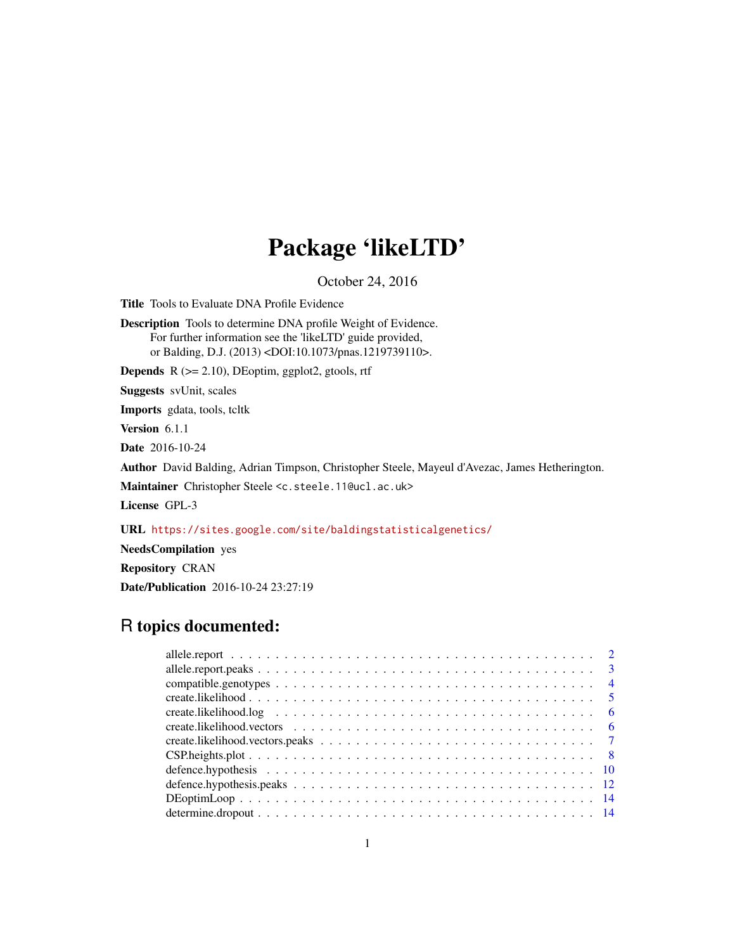## Package 'likeLTD'

October 24, 2016

Title Tools to Evaluate DNA Profile Evidence

Description Tools to determine DNA profile Weight of Evidence. For further information see the 'likeLTD' guide provided, or Balding, D.J. (2013) <DOI:10.1073/pnas.1219739110>.

**Depends**  $R$  ( $>= 2.10$ ), DEoptim, ggplot2, gtools, rtf

Suggests svUnit, scales

Imports gdata, tools, tcltk

Version 6.1.1

Date 2016-10-24

Author David Balding, Adrian Timpson, Christopher Steele, Mayeul d'Avezac, James Hetherington.

Maintainer Christopher Steele <c.steele.11@ucl.ac.uk>

License GPL-3

URL <https://sites.google.com/site/baldingstatisticalgenetics/>

NeedsCompilation yes

Repository CRAN

Date/Publication 2016-10-24 23:27:19

## R topics documented:

| $6^{\circ}$ |
|-------------|
|             |
|             |
|             |
|             |
|             |
|             |
|             |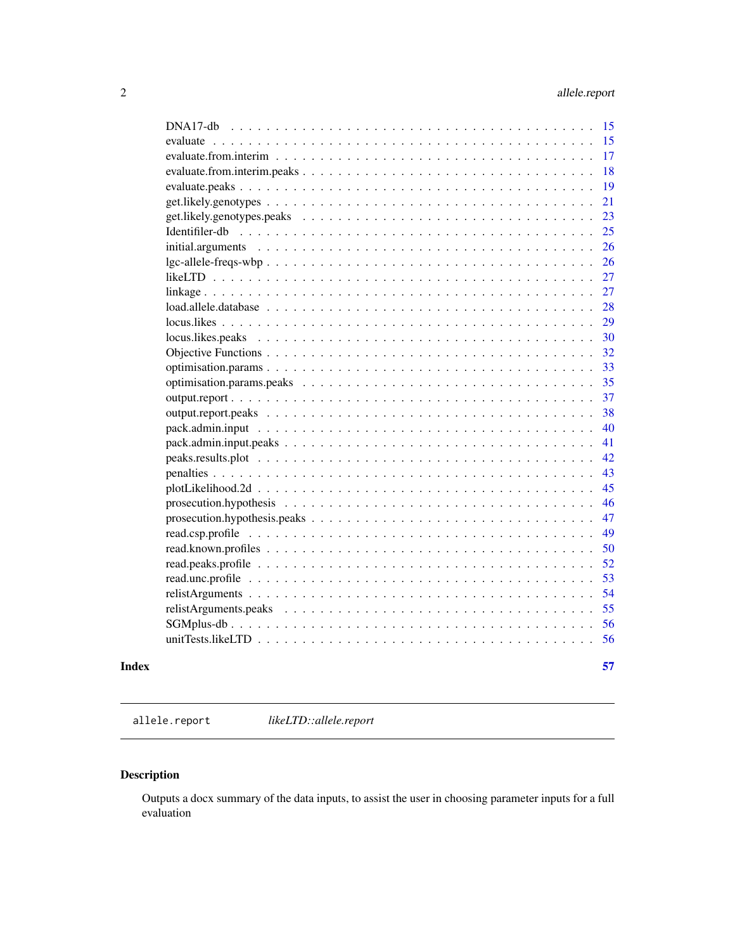<span id="page-1-0"></span>

| $prosection. hypothesis. peaks \dots \dots \dots \dots \dots \dots \dots \dots \dots \dots \dots \dots \dots \dots$ |  |  |
|---------------------------------------------------------------------------------------------------------------------|--|--|
|                                                                                                                     |  |  |
|                                                                                                                     |  |  |
|                                                                                                                     |  |  |
|                                                                                                                     |  |  |
|                                                                                                                     |  |  |
|                                                                                                                     |  |  |
|                                                                                                                     |  |  |
|                                                                                                                     |  |  |
|                                                                                                                     |  |  |
|                                                                                                                     |  |  |
|                                                                                                                     |  |  |
|                                                                                                                     |  |  |
|                                                                                                                     |  |  |
|                                                                                                                     |  |  |
|                                                                                                                     |  |  |
|                                                                                                                     |  |  |
|                                                                                                                     |  |  |
|                                                                                                                     |  |  |
|                                                                                                                     |  |  |
|                                                                                                                     |  |  |
|                                                                                                                     |  |  |
|                                                                                                                     |  |  |
|                                                                                                                     |  |  |
|                                                                                                                     |  |  |
|                                                                                                                     |  |  |
|                                                                                                                     |  |  |
|                                                                                                                     |  |  |
|                                                                                                                     |  |  |
|                                                                                                                     |  |  |
|                                                                                                                     |  |  |
|                                                                                                                     |  |  |
|                                                                                                                     |  |  |
|                                                                                                                     |  |  |

allele.report *likeLTD::allele.report*

### Description

Outputs a docx summary of the data inputs, to assist the user in choosing parameter inputs for a full evaluation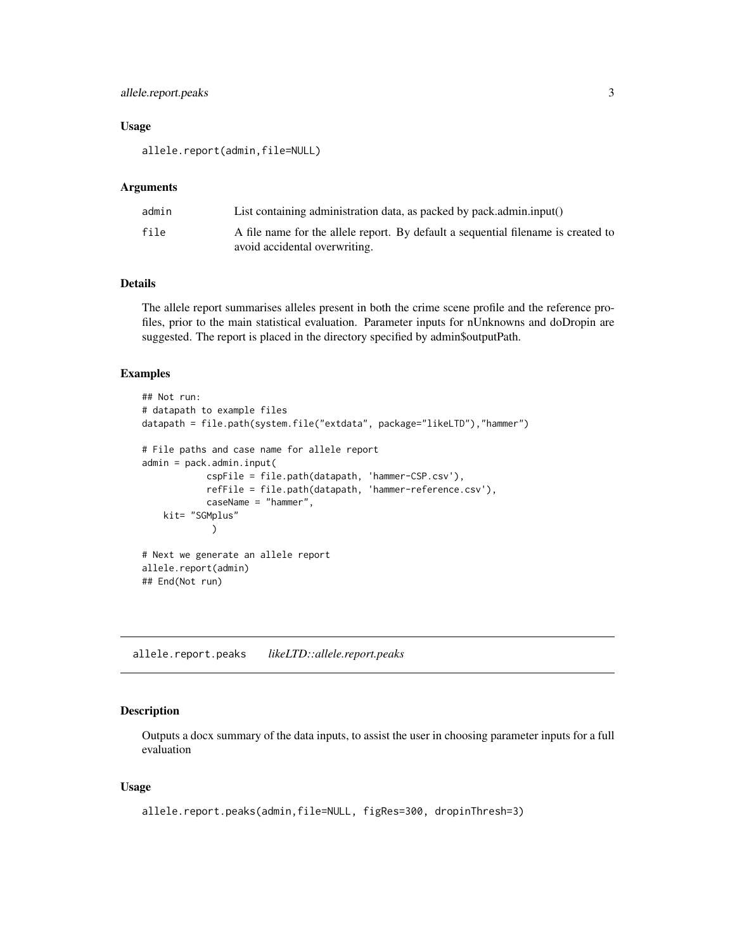### <span id="page-2-0"></span>allele.report.peaks 3

#### Usage

allele.report(admin,file=NULL)

#### Arguments

| admin | List containing administration data, as packed by pack.admin.input()                                               |
|-------|--------------------------------------------------------------------------------------------------------------------|
| file  | A file name for the allele report. By default a sequential filename is created to<br>avoid accidental overwriting. |

### Details

The allele report summarises alleles present in both the crime scene profile and the reference profiles, prior to the main statistical evaluation. Parameter inputs for nUnknowns and doDropin are suggested. The report is placed in the directory specified by admin\$outputPath.

#### Examples

```
## Not run:
# datapath to example files
datapath = file.path(system.file("extdata", package="likeLTD"),"hammer")
# File paths and case name for allele report
admin = pack.admin.input(
            cspFile = file.path(datapath, 'hammer-CSP.csv'),
            refFile = file.path(datapath, 'hammer-reference.csv'),
            caseName = "hammer",
   kit= "SGMplus"
             )
# Next we generate an allele report
allele.report(admin)
## End(Not run)
```
allele.report.peaks *likeLTD::allele.report.peaks*

#### Description

Outputs a docx summary of the data inputs, to assist the user in choosing parameter inputs for a full evaluation

### Usage

```
allele.report.peaks(admin,file=NULL, figRes=300, dropinThresh=3)
```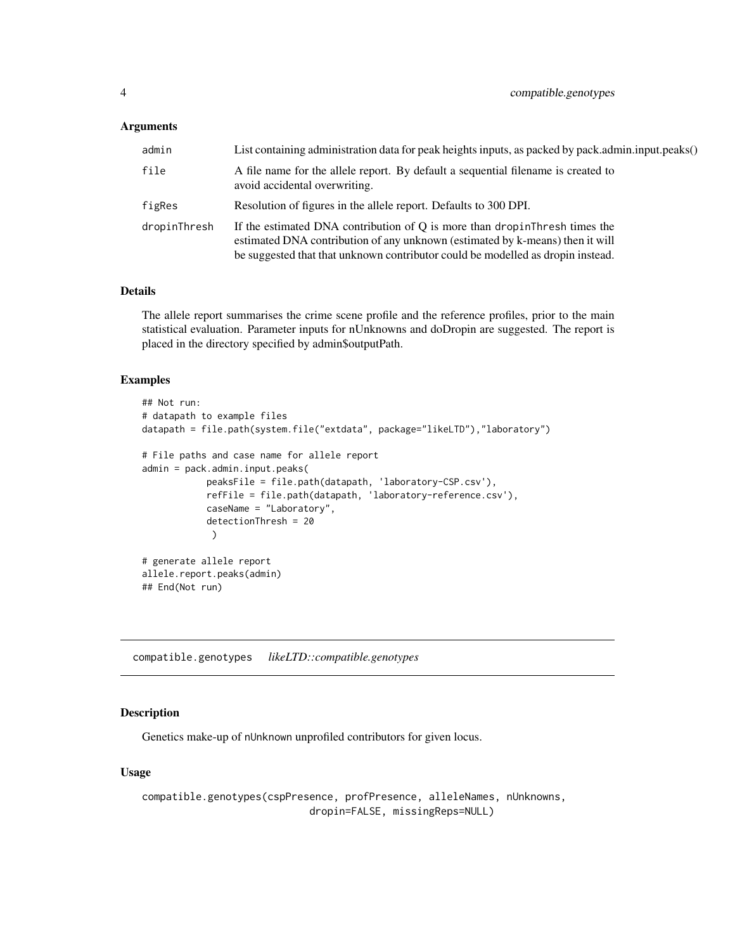#### <span id="page-3-0"></span>**Arguments**

| admin        | List containing administration data for peak heights inputs, as packed by pack.admin.input.peaks()                                                                                                                                               |
|--------------|--------------------------------------------------------------------------------------------------------------------------------------------------------------------------------------------------------------------------------------------------|
| file         | A file name for the allele report. By default a sequential filename is created to<br>avoid accidental overwriting.                                                                                                                               |
| figRes       | Resolution of figures in the allele report. Defaults to 300 DPI.                                                                                                                                                                                 |
| dropinThresh | If the estimated DNA contribution of Q is more than drop in Thresh times the<br>estimated DNA contribution of any unknown (estimated by k-means) then it will<br>be suggested that that unknown contributor could be modelled as dropin instead. |

### Details

The allele report summarises the crime scene profile and the reference profiles, prior to the main statistical evaluation. Parameter inputs for nUnknowns and doDropin are suggested. The report is placed in the directory specified by admin\$outputPath.

#### Examples

```
## Not run:
# datapath to example files
datapath = file.path(system.file("extdata", package="likeLTD"),"laboratory")
# File paths and case name for allele report
admin = pack.admin.input.peaks(
            peaksFile = file.path(datapath, 'laboratory-CSP.csv'),
            refFile = file.path(datapath, 'laboratory-reference.csv'),
            caseName = "Laboratory",
            detectionThresh = 20
            )
# generate allele report
allele.report.peaks(admin)
## End(Not run)
```
compatible.genotypes *likeLTD::compatible.genotypes*

### Description

Genetics make-up of nUnknown unprofiled contributors for given locus.

### Usage

compatible.genotypes(cspPresence, profPresence, alleleNames, nUnknowns, dropin=FALSE, missingReps=NULL)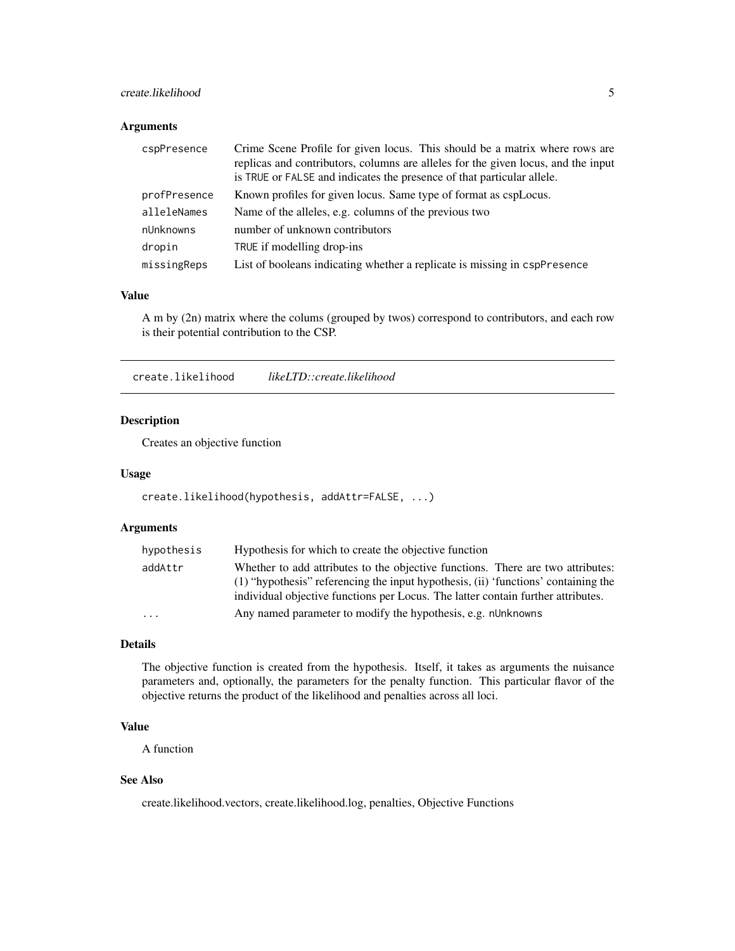### <span id="page-4-0"></span>create.likelihood 5

### Arguments

| cspPresence  | Crime Scene Profile for given locus. This should be a matrix where rows are<br>replicas and contributors, columns are alleles for the given locus, and the input<br>is TRUE or FALSE and indicates the presence of that particular allele. |
|--------------|--------------------------------------------------------------------------------------------------------------------------------------------------------------------------------------------------------------------------------------------|
| profPresence | Known profiles for given locus. Same type of format as cspLocus.                                                                                                                                                                           |
| alleleNames  | Name of the alleles, e.g. columns of the previous two                                                                                                                                                                                      |
| nUnknowns    | number of unknown contributors                                                                                                                                                                                                             |
| dropin       | TRUE if modelling drop-ins                                                                                                                                                                                                                 |
| missingReps  | List of booleans indicating whether a replicate is missing in cspPresence                                                                                                                                                                  |

#### Value

A m by (2n) matrix where the colums (grouped by twos) correspond to contributors, and each row is their potential contribution to the CSP.

create.likelihood *likeLTD::create.likelihood*

### Description

Creates an objective function

### Usage

create.likelihood(hypothesis, addAttr=FALSE, ...)

### Arguments

| hypothesis              | Hypothesis for which to create the objective function                                |
|-------------------------|--------------------------------------------------------------------------------------|
| addAttr                 | Whether to add attributes to the objective functions. There are two attributes:      |
|                         | $(1)$ "hypothesis" referencing the input hypothesis, (ii) 'functions' containing the |
|                         | individual objective functions per Locus. The latter contain further attributes.     |
| $\cdot$ $\cdot$ $\cdot$ | Any named parameter to modify the hypothesis, e.g. nUnknowns                         |

### Details

The objective function is created from the hypothesis. Itself, it takes as arguments the nuisance parameters and, optionally, the parameters for the penalty function. This particular flavor of the objective returns the product of the likelihood and penalties across all loci.

### Value

A function

### See Also

create.likelihood.vectors, create.likelihood.log, penalties, Objective Functions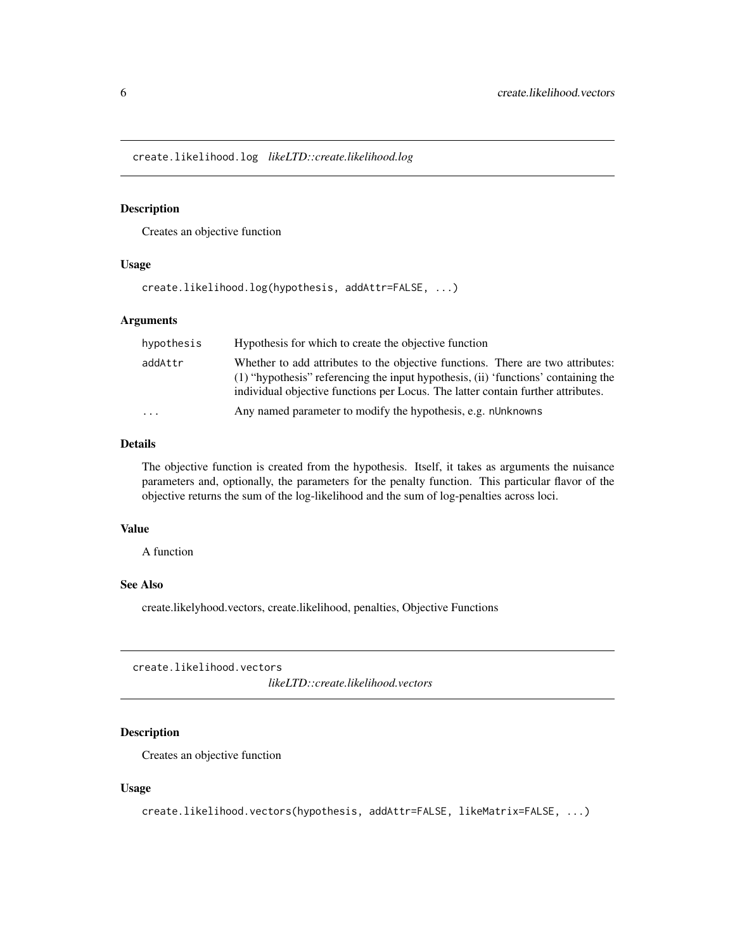<span id="page-5-0"></span>create.likelihood.log *likeLTD::create.likelihood.log*

#### Description

Creates an objective function

### Usage

```
create.likelihood.log(hypothesis, addAttr=FALSE, ...)
```
#### Arguments

| hypothesis | Hypothesis for which to create the objective function                                                                                                                                                                                                     |
|------------|-----------------------------------------------------------------------------------------------------------------------------------------------------------------------------------------------------------------------------------------------------------|
| addAttr    | Whether to add attributes to the objective functions. There are two attributes:<br>(1) "hypothesis" referencing the input hypothesis, (ii) 'functions' containing the<br>individual objective functions per Locus. The latter contain further attributes. |
| $\cdot$    | Any named parameter to modify the hypothesis, e.g. nUnknowns                                                                                                                                                                                              |

### Details

The objective function is created from the hypothesis. Itself, it takes as arguments the nuisance parameters and, optionally, the parameters for the penalty function. This particular flavor of the objective returns the sum of the log-likelihood and the sum of log-penalties across loci.

### Value

A function

### See Also

create.likelyhood.vectors, create.likelihood, penalties, Objective Functions

create.likelihood.vectors

*likeLTD::create.likelihood.vectors*

#### Description

Creates an objective function

### Usage

```
create.likelihood.vectors(hypothesis, addAttr=FALSE, likeMatrix=FALSE, ...)
```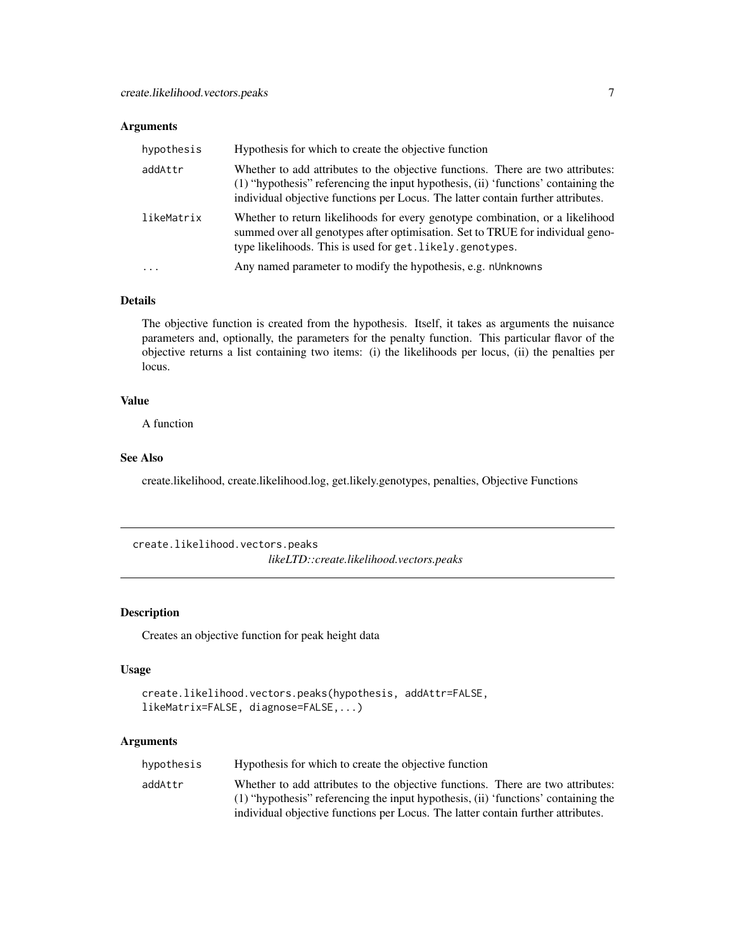### <span id="page-6-0"></span>Arguments

| hypothesis | Hypothesis for which to create the objective function                                                                                                                                                                                                     |
|------------|-----------------------------------------------------------------------------------------------------------------------------------------------------------------------------------------------------------------------------------------------------------|
| addAttr    | Whether to add attributes to the objective functions. There are two attributes:<br>(1) "hypothesis" referencing the input hypothesis, (ii) 'functions' containing the<br>individual objective functions per Locus. The latter contain further attributes. |
| likeMatrix | Whether to return likelihoods for every genotype combination, or a likelihood<br>summed over all genotypes after optimisation. Set to TRUE for individual geno-<br>type likelihoods. This is used for get. likely. genotypes.                             |
|            | Any named parameter to modify the hypothesis, e.g. nUnknowns                                                                                                                                                                                              |

#### Details

The objective function is created from the hypothesis. Itself, it takes as arguments the nuisance parameters and, optionally, the parameters for the penalty function. This particular flavor of the objective returns a list containing two items: (i) the likelihoods per locus, (ii) the penalties per locus.

### Value

A function

#### See Also

create.likelihood, create.likelihood.log, get.likely.genotypes, penalties, Objective Functions

create.likelihood.vectors.peaks *likeLTD::create.likelihood.vectors.peaks*

### Description

Creates an objective function for peak height data

### Usage

```
create.likelihood.vectors.peaks(hypothesis, addAttr=FALSE,
likeMatrix=FALSE, diagnose=FALSE,...)
```

| hypothesis | Hypothesis for which to create the objective function                                                                                                                 |
|------------|-----------------------------------------------------------------------------------------------------------------------------------------------------------------------|
| addAttr    | Whether to add attributes to the objective functions. There are two attributes:<br>(1) "hypothesis" referencing the input hypothesis, (ii) 'functions' containing the |
|            | individual objective functions per Locus. The latter contain further attributes.                                                                                      |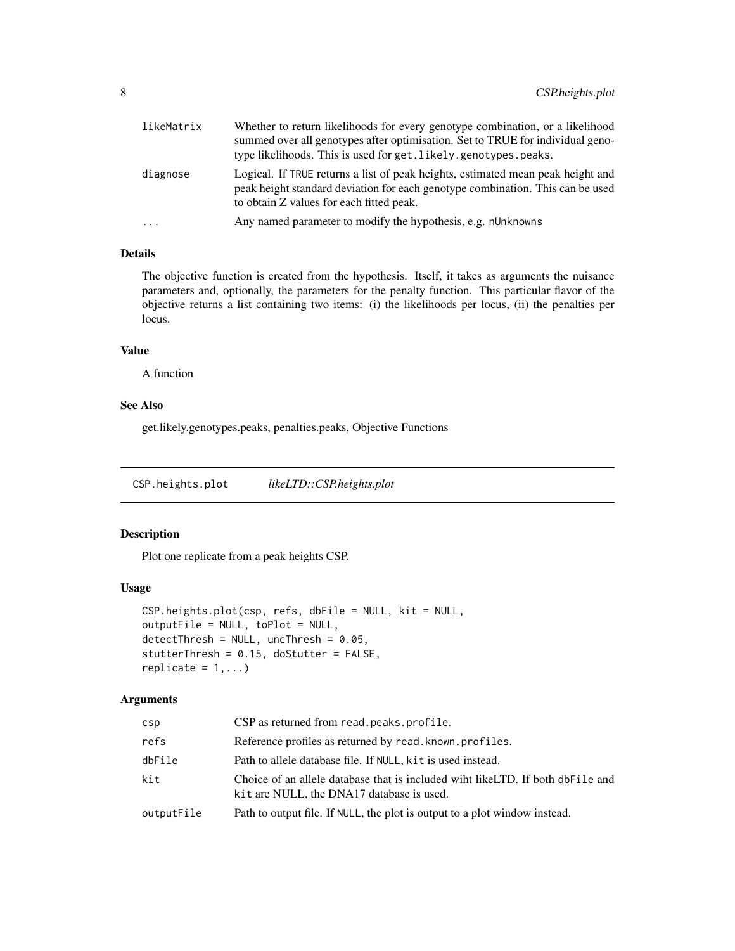<span id="page-7-0"></span>

| likeMatrix | Whether to return likelihoods for every genotype combination, or a likelihood<br>summed over all genotypes after optimisation. Set to TRUE for individual geno-<br>type likelihoods. This is used for get. likely.genotypes.peaks. |
|------------|------------------------------------------------------------------------------------------------------------------------------------------------------------------------------------------------------------------------------------|
| diagnose   | Logical. If TRUE returns a list of peak heights, estimated mean peak height and<br>peak height standard deviation for each genotype combination. This can be used<br>to obtain Z values for each fitted peak.                      |
| $\cdots$   | Any named parameter to modify the hypothesis, e.g. nUnknowns                                                                                                                                                                       |
|            |                                                                                                                                                                                                                                    |

### Details

The objective function is created from the hypothesis. Itself, it takes as arguments the nuisance parameters and, optionally, the parameters for the penalty function. This particular flavor of the objective returns a list containing two items: (i) the likelihoods per locus, (ii) the penalties per locus.

### Value

A function

### See Also

get.likely.genotypes.peaks, penalties.peaks, Objective Functions

CSP.heights.plot *likeLTD::CSP.heights.plot*

### Description

Plot one replicate from a peak heights CSP.

### Usage

```
CSP.heights.plot(csp, refs, dbFile = NULL, kit = NULL,
outputFile = NULL, toPlot = NULL,
detectThresh = NULL, uncThresh = 0.05,
stutterThresh = 0.15, doStutter = FALSE,
replicate = 1, \ldots)
```

| csp        | CSP as returned from read. peaks. profile.                                                                                    |
|------------|-------------------------------------------------------------------------------------------------------------------------------|
| refs       | Reference profiles as returned by read. known. profiles.                                                                      |
| dbFile     | Path to allele database file. If NULL, kit is used instead.                                                                   |
| kit        | Choice of an allele database that is included wiht like LTD. If both db File and<br>kit are NULL, the DNA17 database is used. |
| outputFile | Path to output file. If NULL, the plot is output to a plot window instead.                                                    |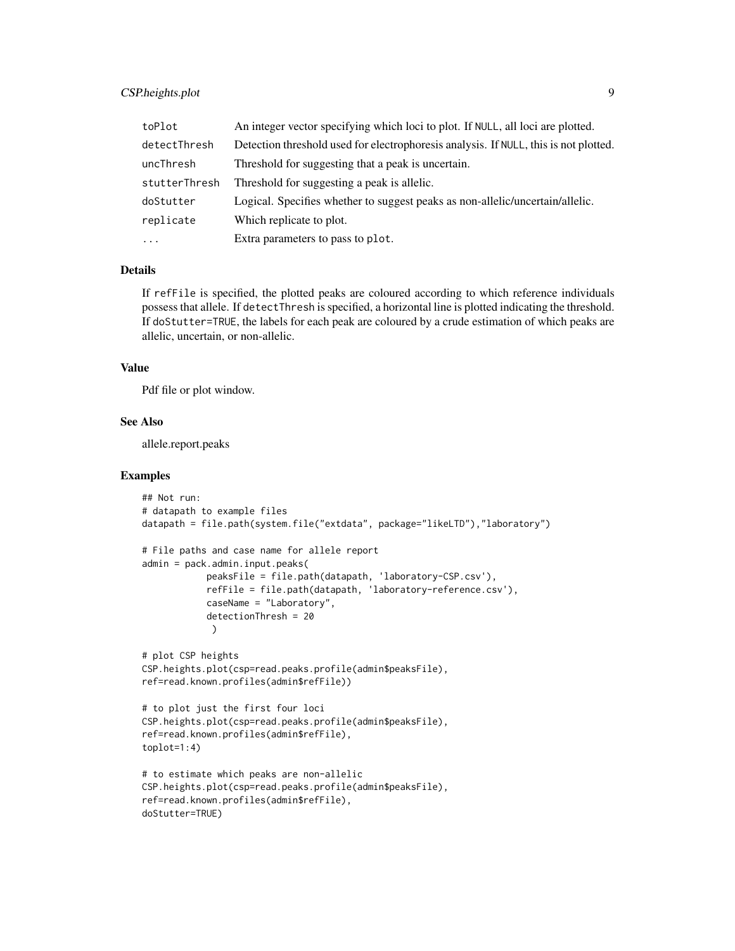### CSP.heights.plot 9

| toPlot        | An integer vector specifying which loci to plot. If NULL, all loci are plotted.      |
|---------------|--------------------------------------------------------------------------------------|
| detectThresh  | Detection threshold used for electrophoresis analysis. If NULL, this is not plotted. |
| uncThresh     | Threshold for suggesting that a peak is uncertain.                                   |
| stutterThresh | Threshold for suggesting a peak is allelic.                                          |
| doStutter     | Logical. Specifies whether to suggest peaks as non-allelic/uncertain/allelic.        |
| replicate     | Which replicate to plot.                                                             |
| $\cdots$      | Extra parameters to pass to plot.                                                    |

### Details

If refFile is specified, the plotted peaks are coloured according to which reference individuals possess that allele. If detectThresh is specified, a horizontal line is plotted indicating the threshold. If doStutter=TRUE, the labels for each peak are coloured by a crude estimation of which peaks are allelic, uncertain, or non-allelic.

#### Value

Pdf file or plot window.

### See Also

allele.report.peaks

```
## Not run:
# datapath to example files
datapath = file.path(system.file("extdata", package="likeLTD"),"laboratory")
# File paths and case name for allele report
admin = pack.admin.input.peaks(
            peaksFile = file.path(datapath, 'laboratory-CSP.csv'),
            refFile = file.path(datapath, 'laboratory-reference.csv'),
            caseName = "Laboratory",
            detectionThresh = 20
            )
# plot CSP heights
CSP.heights.plot(csp=read.peaks.profile(admin$peaksFile),
ref=read.known.profiles(admin$refFile))
# to plot just the first four loci
CSP.heights.plot(csp=read.peaks.profile(admin$peaksFile),
ref=read.known.profiles(admin$refFile),
toplot=1:4)
# to estimate which peaks are non-allelic
CSP.heights.plot(csp=read.peaks.profile(admin$peaksFile),
ref=read.known.profiles(admin$refFile),
doStutter=TRUE)
```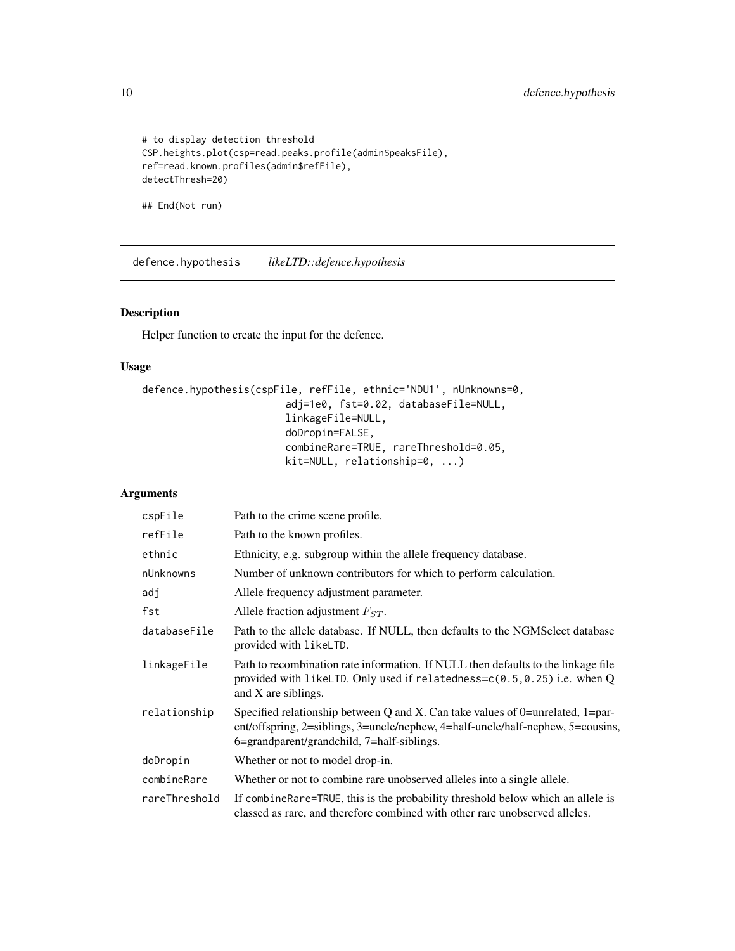```
# to display detection threshold
CSP.heights.plot(csp=read.peaks.profile(admin$peaksFile),
ref=read.known.profiles(admin$refFile),
detectThresh=20)
```
## End(Not run)

defence.hypothesis *likeLTD::defence.hypothesis*

### Description

Helper function to create the input for the defence.

### Usage

```
defence.hypothesis(cspFile, refFile, ethnic='NDU1', nUnknowns=0,
                        adj=1e0, fst=0.02, databaseFile=NULL,
                        linkageFile=NULL,
                        doDropin=FALSE,
                        combineRare=TRUE, rareThreshold=0.05,
                        kit=NULL, relationship=0, ...)
```

| cspFile       | Path to the crime scene profile.                                                                                                                                                                                |
|---------------|-----------------------------------------------------------------------------------------------------------------------------------------------------------------------------------------------------------------|
| refFile       | Path to the known profiles.                                                                                                                                                                                     |
| ethnic        | Ethnicity, e.g. subgroup within the allele frequency database.                                                                                                                                                  |
| nUnknowns     | Number of unknown contributors for which to perform calculation.                                                                                                                                                |
| adj           | Allele frequency adjustment parameter.                                                                                                                                                                          |
| fst           | Allele fraction adjustment $F_{ST}$ .                                                                                                                                                                           |
| databaseFile  | Path to the allele database. If NULL, then defaults to the NGMSelect database<br>provided with likeLTD.                                                                                                         |
| linkageFile   | Path to recombination rate information. If NULL then defaults to the linkage file<br>provided with likeLTD. Only used if relatedness= $c(0.5, 0.25)$ i.e. when Q<br>and X are siblings.                         |
| relationship  | Specified relationship between Q and X. Can take values of 0=unrelated, 1=par-<br>ent/offspring, 2=siblings, 3=uncle/nephew, 4=half-uncle/half-nephew, 5=cousins,<br>6=grandparent/grandchild, 7=half-siblings. |
| doDropin      | Whether or not to model drop-in.                                                                                                                                                                                |
| combineRare   | Whether or not to combine rare unobserved alleles into a single allele.                                                                                                                                         |
| rareThreshold | If combine Rare=TRUE, this is the probability threshold below which an allele is<br>classed as rare, and therefore combined with other rare unobserved alleles.                                                 |

<span id="page-9-0"></span>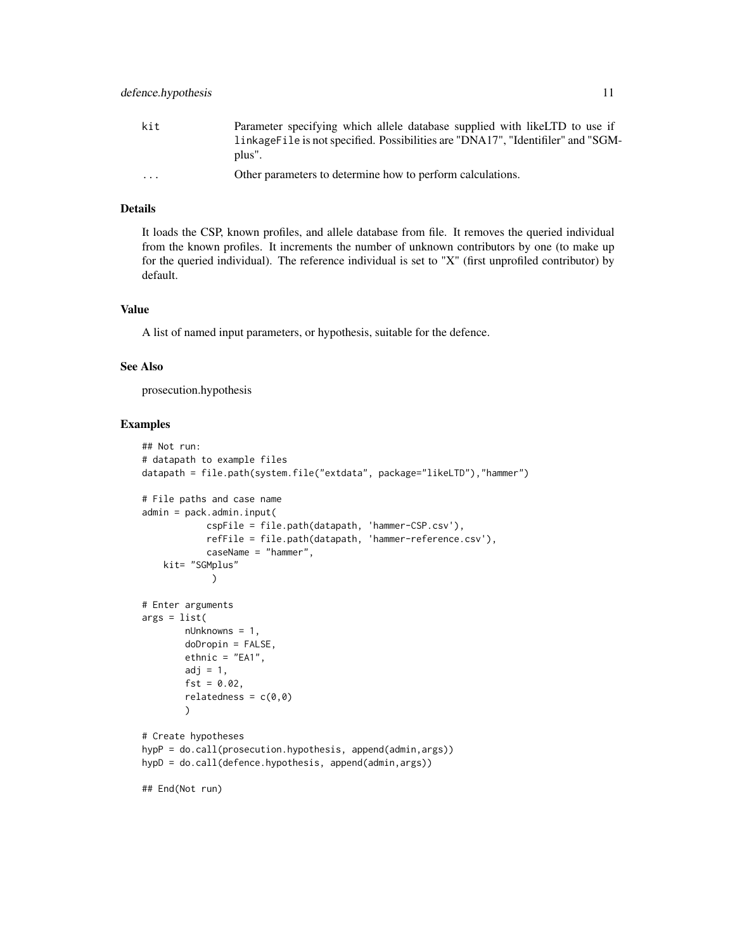| kit      | Parameter specifying which allele database supplied with like LTD to use if<br>linkage File is not specified. Possibilities are "DNA17", "Identifiler" and "SGM-<br>plus". |
|----------|----------------------------------------------------------------------------------------------------------------------------------------------------------------------------|
| $\cdots$ | Other parameters to determine how to perform calculations.                                                                                                                 |

#### Details

It loads the CSP, known profiles, and allele database from file. It removes the queried individual from the known profiles. It increments the number of unknown contributors by one (to make up for the queried individual). The reference individual is set to "X" (first unprofiled contributor) by default.

### Value

A list of named input parameters, or hypothesis, suitable for the defence.

#### See Also

prosecution.hypothesis

```
## Not run:
# datapath to example files
datapath = file.path(system.file("extdata", package="likeLTD"),"hammer")
# File paths and case name
admin = pack.admin.input(
            cspFile = file.path(datapath, 'hammer-CSP.csv'),
            refFile = file.path(datapath, 'hammer-reference.csv'),
            caseName = "hammer",
   kit= "SGMplus"
            )
# Enter arguments
args = list(nUnknowns = 1,
        doDropin = FALSE,
       ethnic = "EA1",
        adj = 1,fst = 0.02,relatedness = c(0,0)\lambda# Create hypotheses
hypP = do.call(prosecution.hypothesis, append(admin,args))
hypD = do.call(defence.hypothesis, append(admin,args))
## End(Not run)
```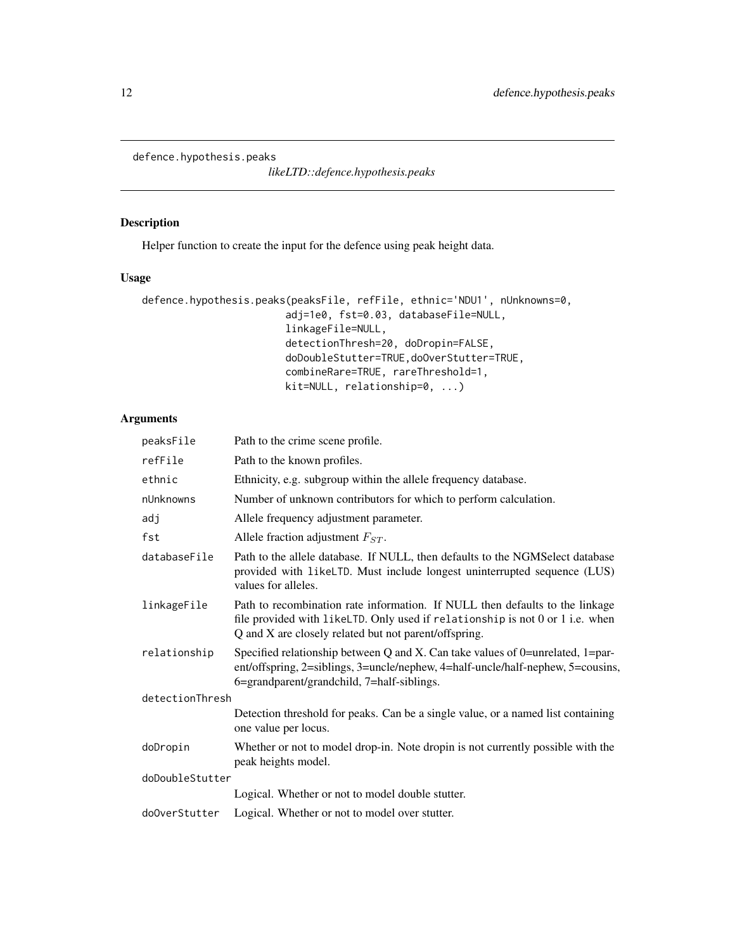<span id="page-11-0"></span>defence.hypothesis.peaks

*likeLTD::defence.hypothesis.peaks*

### Description

Helper function to create the input for the defence using peak height data.

### Usage

```
defence.hypothesis.peaks(peaksFile, refFile, ethnic='NDU1', nUnknowns=0,
                        adj=1e0, fst=0.03, databaseFile=NULL,
                        linkageFile=NULL,
                        detectionThresh=20, doDropin=FALSE,
                        doDoubleStutter=TRUE,doOverStutter=TRUE,
                        combineRare=TRUE, rareThreshold=1,
                        kit=NULL, relationship=0, ...)
```

| peaksFile       | Path to the crime scene profile.                                                                                                                                                                                       |
|-----------------|------------------------------------------------------------------------------------------------------------------------------------------------------------------------------------------------------------------------|
| refFile         | Path to the known profiles.                                                                                                                                                                                            |
| ethnic          | Ethnicity, e.g. subgroup within the allele frequency database.                                                                                                                                                         |
| nUnknowns       | Number of unknown contributors for which to perform calculation.                                                                                                                                                       |
| adj             | Allele frequency adjustment parameter.                                                                                                                                                                                 |
| fst             | Allele fraction adjustment $F_{ST}$ .                                                                                                                                                                                  |
| databaseFile    | Path to the allele database. If NULL, then defaults to the NGMS elect database<br>provided with likeLTD. Must include longest uninterrupted sequence (LUS)<br>values for alleles.                                      |
| linkageFile     | Path to recombination rate information. If NULL then defaults to the linkage<br>file provided with likeLTD. Only used if relationship is not 0 or 1 i.e. when<br>Q and X are closely related but not parent/offspring. |
| relationship    | Specified relationship between Q and X. Can take values of 0=unrelated, 1=par-<br>ent/offspring, 2=siblings, 3=uncle/nephew, 4=half-uncle/half-nephew, 5=cousins,<br>6=grandparent/grandchild, 7=half-siblings.        |
| detectionThresh |                                                                                                                                                                                                                        |
|                 | Detection threshold for peaks. Can be a single value, or a named list containing<br>one value per locus.                                                                                                               |
| doDropin        | Whether or not to model drop-in. Note dropin is not currently possible with the<br>peak heights model.                                                                                                                 |
| doDoubleStutter |                                                                                                                                                                                                                        |
|                 | Logical. Whether or not to model double stutter.                                                                                                                                                                       |
| do0verStutter   | Logical. Whether or not to model over stutter.                                                                                                                                                                         |
|                 |                                                                                                                                                                                                                        |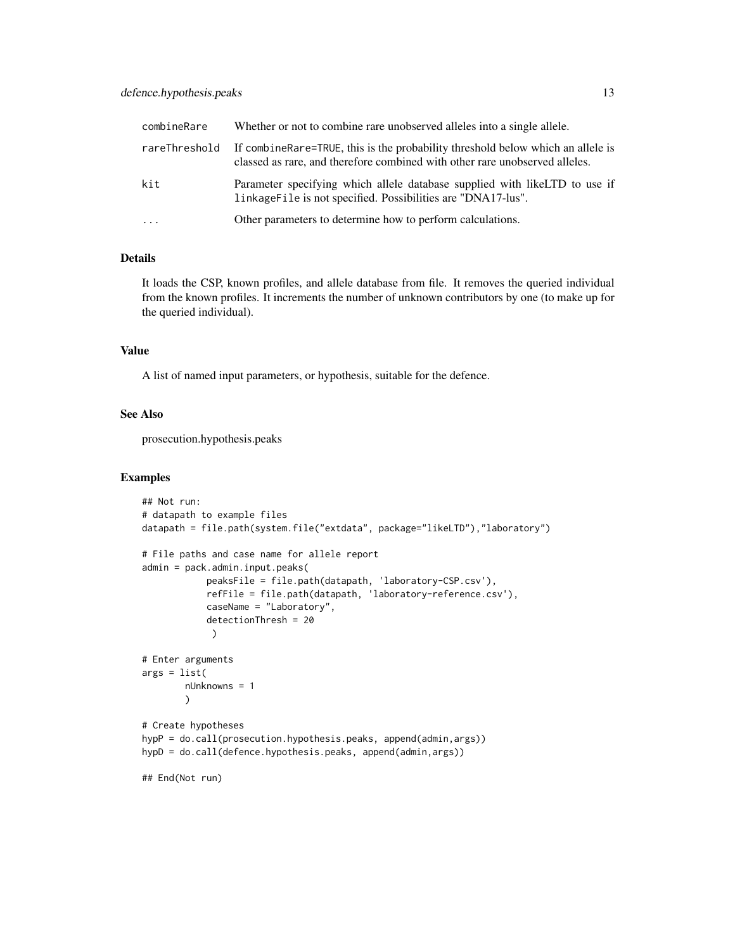### defence.hypothesis.peaks 13

| combineRare   | Whether or not to combine rare unobserved alleles into a single allele.                                                                                           |
|---------------|-------------------------------------------------------------------------------------------------------------------------------------------------------------------|
| rareThreshold | If combine Rare = TRUE, this is the probability threshold below which an allele is<br>classed as rare, and therefore combined with other rare unobserved alleles. |
| kit           | Parameter specifying which allele database supplied with like LTD to use if<br>linkage File is not specified. Possibilities are "DNA17-lus".                      |
| $\cdot$       | Other parameters to determine how to perform calculations.                                                                                                        |

#### Details

It loads the CSP, known profiles, and allele database from file. It removes the queried individual from the known profiles. It increments the number of unknown contributors by one (to make up for the queried individual).

### Value

A list of named input parameters, or hypothesis, suitable for the defence.

### See Also

prosecution.hypothesis.peaks

```
## Not run:
# datapath to example files
datapath = file.path(system.file("extdata", package="likeLTD"),"laboratory")
# File paths and case name for allele report
admin = pack.admin.input.peaks(
            peaksFile = file.path(datapath, 'laboratory-CSP.csv'),
            refFile = file.path(datapath, 'laboratory-reference.csv'),
            caseName = "Laboratory",
            detectionThresh = 20
             )
# Enter arguments
args = list(nUnknowns = 1
       )
# Create hypotheses
hypP = do.call(prosecution.hypothesis.peaks, append(admin,args))
hypD = do.call(defence.hypothesis.peaks, append(admin,args))
## End(Not run)
```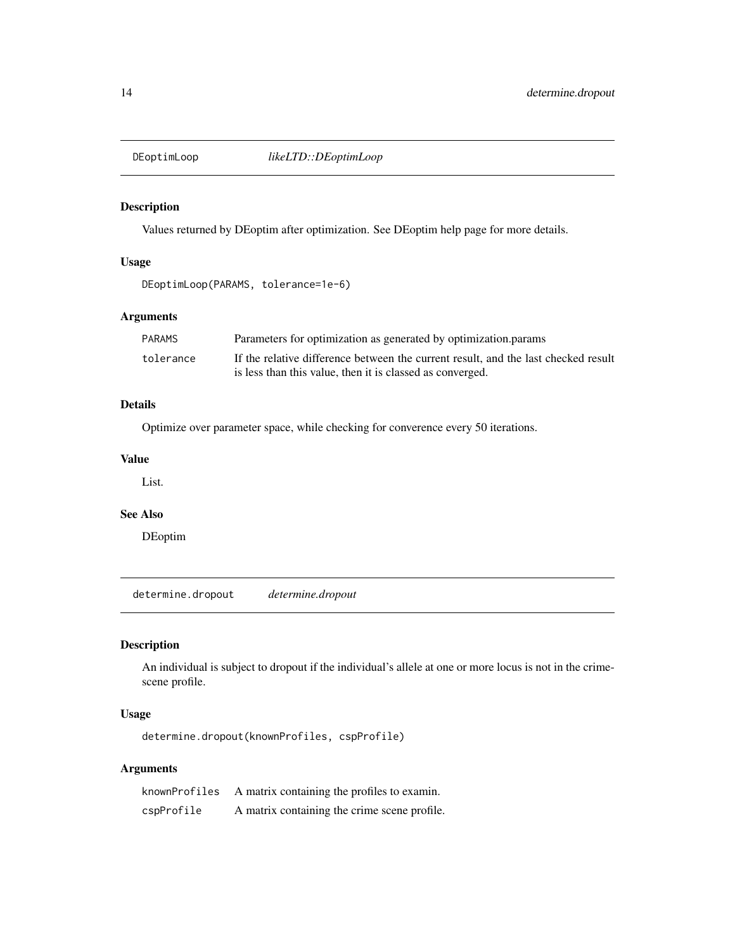<span id="page-13-0"></span>

### Description

Values returned by DEoptim after optimization. See DEoptim help page for more details.

### Usage

```
DEoptimLoop(PARAMS, tolerance=1e-6)
```
### Arguments

| PARAMS    | Parameters for optimization as generated by optimization params                    |
|-----------|------------------------------------------------------------------------------------|
| tolerance | If the relative difference between the current result, and the last checked result |
|           | is less than this value, then it is classed as converged.                          |

### Details

Optimize over parameter space, while checking for converence every 50 iterations.

### Value

List.

#### See Also

DEoptim

determine.dropout *determine.dropout*

### Description

An individual is subject to dropout if the individual's allele at one or more locus is not in the crimescene profile.

### Usage

determine.dropout(knownProfiles, cspProfile)

| knownProfiles | A matrix containing the profiles to examin.  |
|---------------|----------------------------------------------|
| cspProfile    | A matrix containing the crime scene profile. |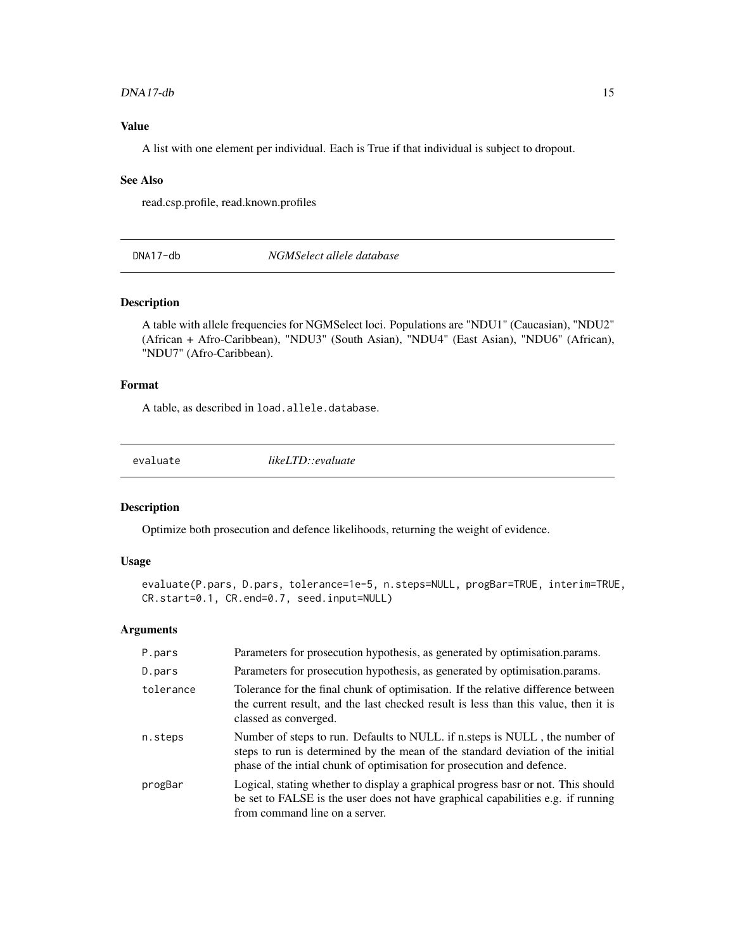#### <span id="page-14-0"></span> $DNA17-db$  15

### Value

A list with one element per individual. Each is True if that individual is subject to dropout.

#### See Also

read.csp.profile, read.known.profiles

DNA17-db *NGMSelect allele database*

#### Description

A table with allele frequencies for NGMSelect loci. Populations are "NDU1" (Caucasian), "NDU2" (African + Afro-Caribbean), "NDU3" (South Asian), "NDU4" (East Asian), "NDU6" (African), "NDU7" (Afro-Caribbean).

### Format

A table, as described in load.allele.database.

evaluate *likeLTD::evaluate*

### Description

Optimize both prosecution and defence likelihoods, returning the weight of evidence.

### Usage

```
evaluate(P.pars, D.pars, tolerance=1e-5, n.steps=NULL, progBar=TRUE, interim=TRUE,
CR.start=0.1, CR.end=0.7, seed.input=NULL)
```

| P.pars    | Parameters for prosecution hypothesis, as generated by optimisation.params.                                                                                                                                                             |
|-----------|-----------------------------------------------------------------------------------------------------------------------------------------------------------------------------------------------------------------------------------------|
| D.pars    | Parameters for prosecution hypothesis, as generated by optimisation.params.                                                                                                                                                             |
| tolerance | Tolerance for the final chunk of optimisation. If the relative difference between<br>the current result, and the last checked result is less than this value, then it is<br>classed as converged.                                       |
| n.steps   | Number of steps to run. Defaults to NULL if n.steps is NULL, the number of<br>steps to run is determined by the mean of the standard deviation of the initial<br>phase of the intial chunk of optimisation for prosecution and defence. |
| progBar   | Logical, stating whether to display a graphical progress base or not. This should<br>be set to FALSE is the user does not have graphical capabilities e.g. if running<br>from command line on a server.                                 |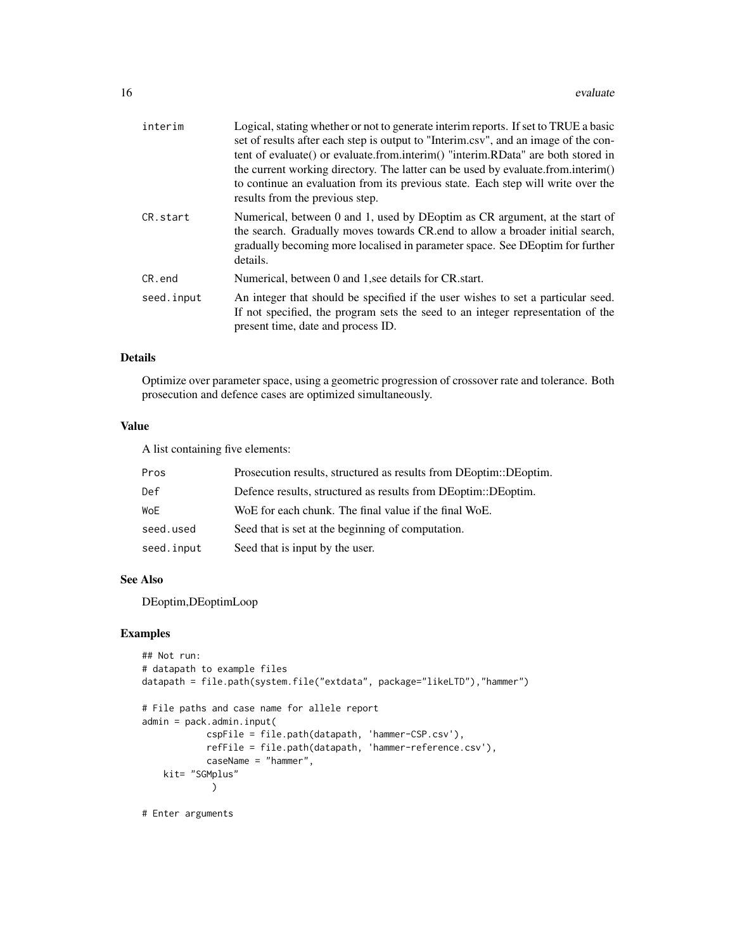| interim    | Logical, stating whether or not to generate interim reports. If set to TRUE a basic<br>set of results after each step is output to "Interim.csv", and an image of the con-<br>tent of evaluate() or evaluate.from.interim() "interim.RData" are both stored in<br>the current working directory. The latter can be used by evaluate.from.interim()<br>to continue an evaluation from its previous state. Each step will write over the<br>results from the previous step. |
|------------|---------------------------------------------------------------------------------------------------------------------------------------------------------------------------------------------------------------------------------------------------------------------------------------------------------------------------------------------------------------------------------------------------------------------------------------------------------------------------|
| CR.start   | Numerical, between 0 and 1, used by DEoptim as CR argument, at the start of<br>the search. Gradually moves towards CR end to allow a broader initial search,<br>gradually becoming more localised in parameter space. See DE optim for further<br>details.                                                                                                                                                                                                                |
| CR.end     | Numerical, between 0 and 1, see details for CR start.                                                                                                                                                                                                                                                                                                                                                                                                                     |
| seed.input | An integer that should be specified if the user wishes to set a particular seed.<br>If not specified, the program sets the seed to an integer representation of the<br>present time, date and process ID.                                                                                                                                                                                                                                                                 |

### Details

Optimize over parameter space, using a geometric progression of crossover rate and tolerance. Both prosecution and defence cases are optimized simultaneously.

#### Value

A list containing five elements:

| Pros       | Prosecution results, structured as results from DEoptim::DEoptim. |
|------------|-------------------------------------------------------------------|
| Def        | Defence results, structured as results from DEoptim::DEoptim.     |
| WoE        | WoE for each chunk. The final value if the final WoE.             |
| seed.used  | Seed that is set at the beginning of computation.                 |
| seed.input | Seed that is input by the user.                                   |

#### See Also

DEoptim,DEoptimLoop

```
## Not run:
# datapath to example files
datapath = file.path(system.file("extdata", package="likeLTD"),"hammer")
# File paths and case name for allele report
admin = pack.admin.input(
            cspFile = file.path(datapath, 'hammer-CSP.csv'),
            refFile = file.path(datapath, 'hammer-reference.csv'),
            caseName = "hammer",
   kit= "SGMplus"
             )
# Enter arguments
```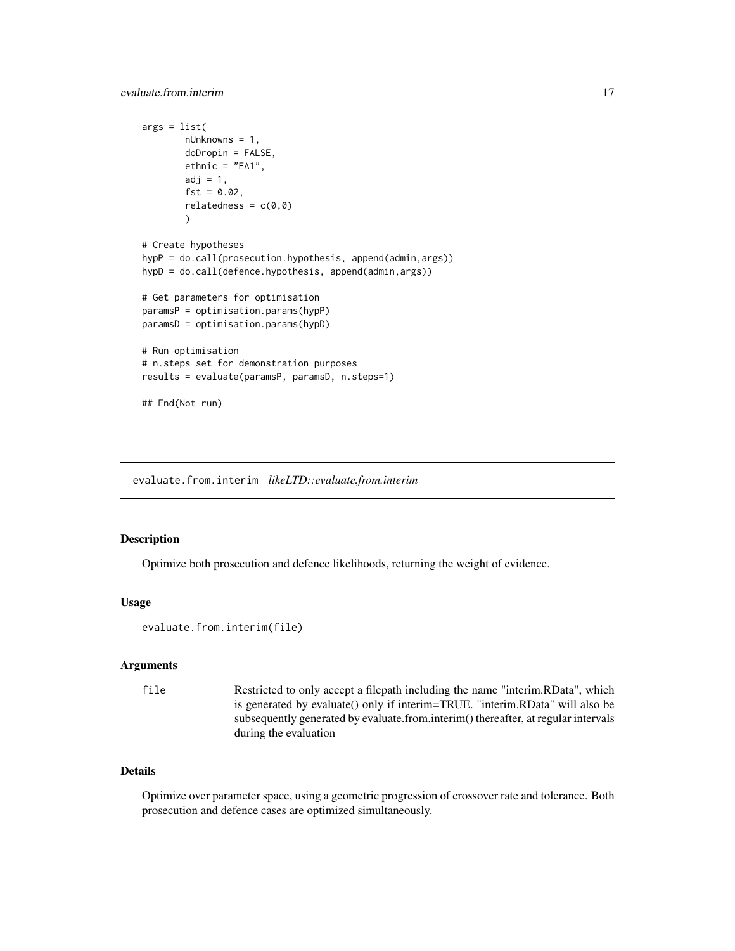```
args = list(nUnknowns = 1,
       doDropin = FALSE,
       ethnic = "EA1",
       adj = 1,fst = 0.02,relatedness = c(0,0))
# Create hypotheses
hypP = do.call(prosecution.hypothesis, append(admin,args))
hypD = do.call(defence.hypothesis, append(admin,args))
# Get parameters for optimisation
paramsP = optimisation.params(hypP)
paramsD = optimisation.params(hypD)
# Run optimisation
# n.steps set for demonstration purposes
results = evaluate(paramsP, paramsD, n.steps=1)
```
## End(Not run)

evaluate.from.interim *likeLTD::evaluate.from.interim*

#### Description

Optimize both prosecution and defence likelihoods, returning the weight of evidence.

#### Usage

```
evaluate.from.interim(file)
```
#### Arguments

```
file Restricted to only accept a filepath including the name "interim.RData", which
                  is generated by evaluate() only if interim=TRUE. "interim.RData" will also be
                  subsequently generated by evaluate.from.interim() thereafter, at regular intervals
                  during the evaluation
```
### Details

Optimize over parameter space, using a geometric progression of crossover rate and tolerance. Both prosecution and defence cases are optimized simultaneously.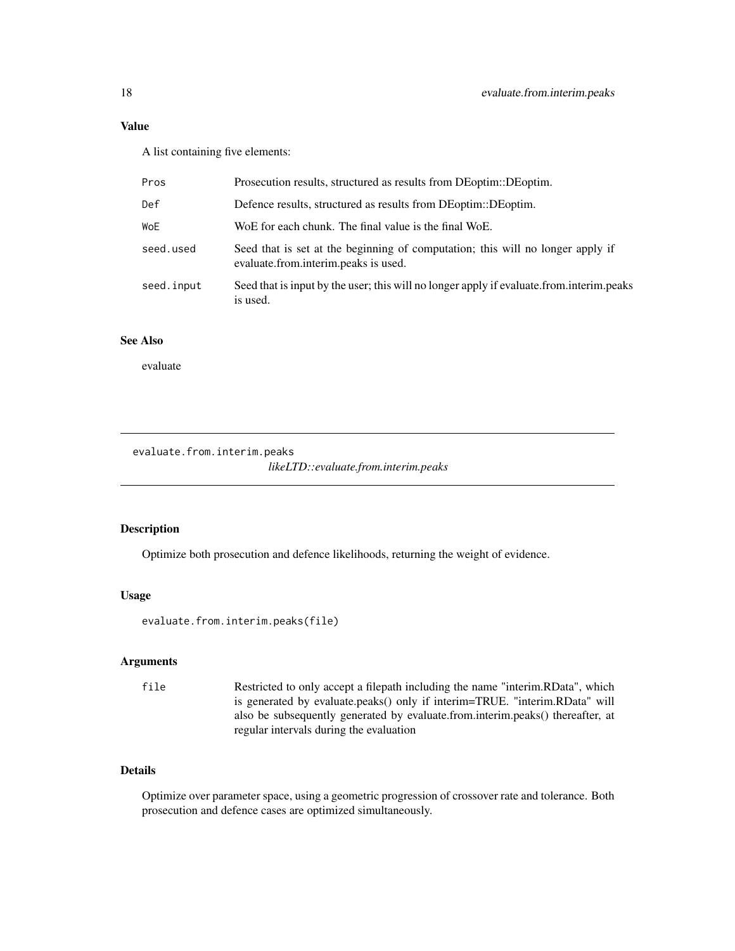### <span id="page-17-0"></span>Value

A list containing five elements:

| Pros       | Prosecution results, structured as results from DEoptim::DEoptim.                                                      |
|------------|------------------------------------------------------------------------------------------------------------------------|
| Def        | Defence results, structured as results from DEoptim::DEoptim.                                                          |
| WoE        | WoE for each chunk. The final value is the final WoE.                                                                  |
| seed.used  | Seed that is set at the beginning of computation; this will no longer apply if<br>evaluate.from.interim.peaks is used. |
| seed.input | Seed that is input by the user; this will no longer apply if evaluate from interim peaks<br>is used.                   |

### See Also

evaluate

evaluate.from.interim.peaks

*likeLTD::evaluate.from.interim.peaks*

#### Description

Optimize both prosecution and defence likelihoods, returning the weight of evidence.

### Usage

evaluate.from.interim.peaks(file)

### Arguments

file Restricted to only accept a filepath including the name "interim.RData", which is generated by evaluate.peaks() only if interim=TRUE. "interim.RData" will also be subsequently generated by evaluate.from.interim.peaks() thereafter, at regular intervals during the evaluation

### Details

Optimize over parameter space, using a geometric progression of crossover rate and tolerance. Both prosecution and defence cases are optimized simultaneously.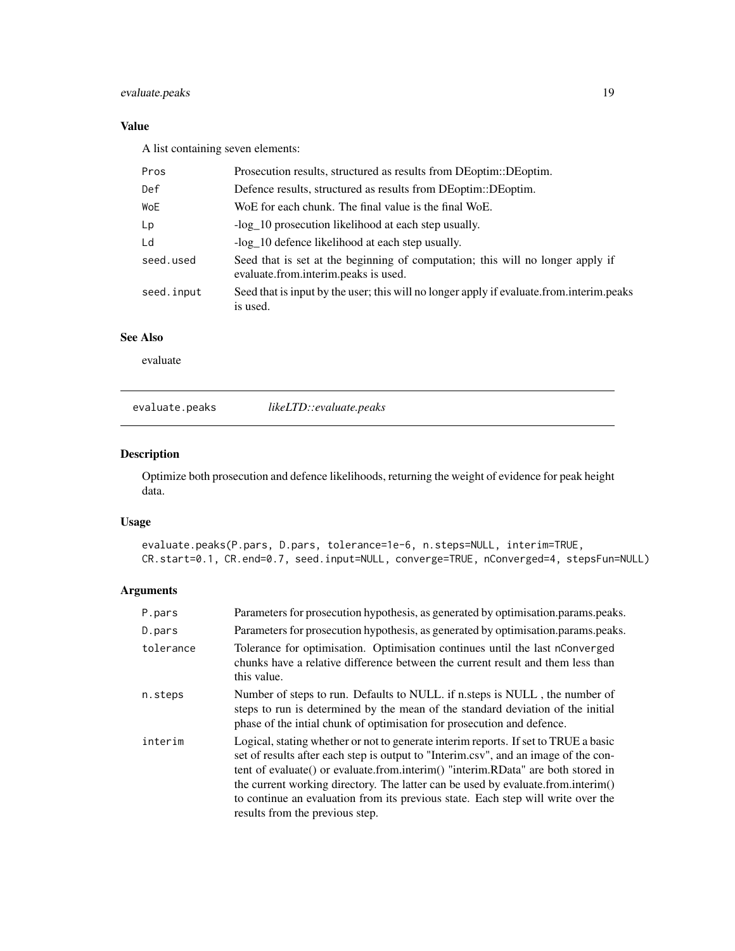### <span id="page-18-0"></span>evaluate.peaks 19

### Value

A list containing seven elements:

| Pros       | Prosecution results, structured as results from DEoptim::DEoptim.                                                      |
|------------|------------------------------------------------------------------------------------------------------------------------|
| Def        | Defence results, structured as results from DEoptim::DEoptim.                                                          |
| WoE        | WoE for each chunk. The final value is the final WoE.                                                                  |
| Lp         | -log_10 prosecution likelihood at each step usually.                                                                   |
| Ld         | -log 10 defence likelihood at each step usually.                                                                       |
| seed.used  | Seed that is set at the beginning of computation; this will no longer apply if<br>evaluate.from.interim.peaks is used. |
| seed.input | Seed that is input by the user; this will no longer apply if evaluate from interim peaks<br>is used.                   |

### See Also

evaluate

evaluate.peaks *likeLTD::evaluate.peaks*

### Description

Optimize both prosecution and defence likelihoods, returning the weight of evidence for peak height data.

### Usage

evaluate.peaks(P.pars, D.pars, tolerance=1e-6, n.steps=NULL, interim=TRUE, CR.start=0.1, CR.end=0.7, seed.input=NULL, converge=TRUE, nConverged=4, stepsFun=NULL)

| P.pars    | Parameters for prosecution hypothesis, as generated by optimisation.params.peaks.                                                                                                                                                                                                                                                                                                                                                                                         |
|-----------|---------------------------------------------------------------------------------------------------------------------------------------------------------------------------------------------------------------------------------------------------------------------------------------------------------------------------------------------------------------------------------------------------------------------------------------------------------------------------|
| D.pars    | Parameters for prosecution hypothesis, as generated by optimisation.params.peaks.                                                                                                                                                                                                                                                                                                                                                                                         |
| tolerance | Tolerance for optimisation. Optimisation continues until the last nConverged<br>chunks have a relative difference between the current result and them less than<br>this value.                                                                                                                                                                                                                                                                                            |
| n.steps   | Number of steps to run. Defaults to NULL. if n. steps is NULL, the number of<br>steps to run is determined by the mean of the standard deviation of the initial<br>phase of the intial chunk of optimisation for prosecution and defence.                                                                                                                                                                                                                                 |
| interim   | Logical, stating whether or not to generate interim reports. If set to TRUE a basic<br>set of results after each step is output to "Interim.csv", and an image of the con-<br>tent of evaluate() or evaluate.from.interim() "interim.RData" are both stored in<br>the current working directory. The latter can be used by evaluate.from.interim()<br>to continue an evaluation from its previous state. Each step will write over the<br>results from the previous step. |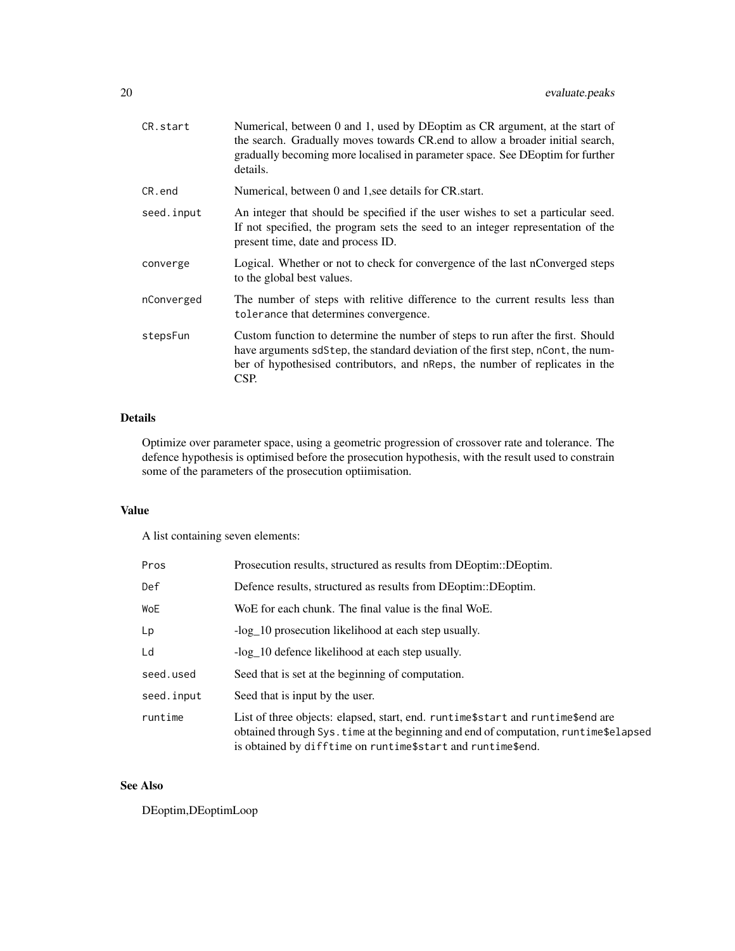| CR.start   | Numerical, between 0 and 1, used by DEoptim as CR argument, at the start of<br>the search. Gradually moves towards CR end to allow a broader initial search,<br>gradually becoming more localised in parameter space. See DEoptim for further<br>details.   |
|------------|-------------------------------------------------------------------------------------------------------------------------------------------------------------------------------------------------------------------------------------------------------------|
| CR.end     | Numerical, between 0 and 1, see details for CR start.                                                                                                                                                                                                       |
| seed.input | An integer that should be specified if the user wishes to set a particular seed.<br>If not specified, the program sets the seed to an integer representation of the<br>present time, date and process ID.                                                   |
| converge   | Logical. Whether or not to check for convergence of the last nConverged steps<br>to the global best values.                                                                                                                                                 |
| nConverged | The number of steps with relitive difference to the current results less than<br>tolerance that determines convergence.                                                                                                                                     |
| stepsFun   | Custom function to determine the number of steps to run after the first. Should<br>have arguments sdStep, the standard deviation of the first step, nCont, the num-<br>ber of hypothesised contributors, and nReps, the number of replicates in the<br>CSP. |

### Details

Optimize over parameter space, using a geometric progression of crossover rate and tolerance. The defence hypothesis is optimised before the prosecution hypothesis, with the result used to constrain some of the parameters of the prosecution optiimisation.

### Value

A list containing seven elements:

| Pros       | Prosecution results, structured as results from DEoptim::DEoptim.                                                                                                                                                                          |
|------------|--------------------------------------------------------------------------------------------------------------------------------------------------------------------------------------------------------------------------------------------|
| Def        | Defence results, structured as results from DEoptim::DEoptim.                                                                                                                                                                              |
| WoE        | WoE for each chunk. The final value is the final WoE.                                                                                                                                                                                      |
| Lp         | -log 10 prosecution likelihood at each step usually.                                                                                                                                                                                       |
| Ld         | -log 10 defence likelihood at each step usually.                                                                                                                                                                                           |
| seed.used  | Seed that is set at the beginning of computation.                                                                                                                                                                                          |
| seed.input | Seed that is input by the user.                                                                                                                                                                                                            |
| runtime    | List of three objects: elapsed, start, end. runtime \$ start and runtime \$ end are<br>obtained through Sys. time at the beginning and end of computation, runtime\$elapsed<br>is obtained by difftime on runtime\$start and runtime\$end. |

### See Also

DEoptim,DEoptimLoop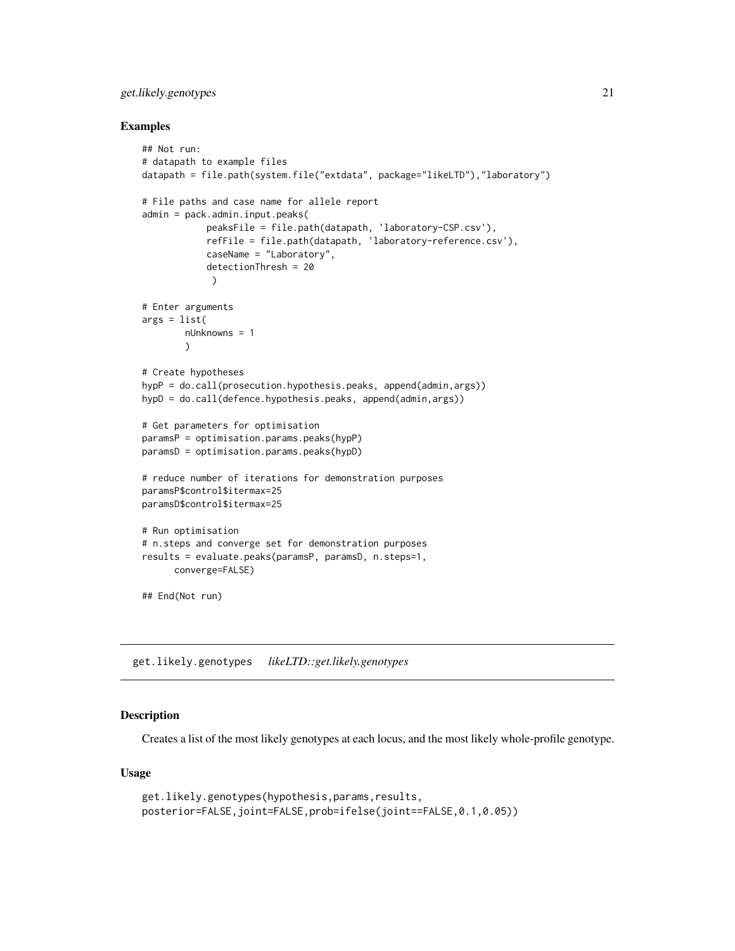### <span id="page-20-0"></span>get.likely.genotypes 21

#### Examples

```
## Not run:
# datapath to example files
datapath = file.path(system.file("extdata", package="likeLTD"),"laboratory")
# File paths and case name for allele report
admin = pack.admin.input.peaks(
            peaksFile = file.path(datapath, 'laboratory-CSP.csv'),
            refFile = file.path(datapath, 'laboratory-reference.csv'),
            caseName = "Laboratory",
            detectionThresh = 20
             )
# Enter arguments
args = list(
        nUnknowns = 1
        )
# Create hypotheses
hypP = do.call(prosecution.hypothesis.peaks, append(admin,args))
hypD = do.call(defence.hypothesis.peaks, append(admin,args))
# Get parameters for optimisation
paramsP = optimisation.params.peaks(hypP)
paramsD = optimisation.params.peaks(hypD)
# reduce number of iterations for demonstration purposes
paramsP$control$itermax=25
paramsD$control$itermax=25
# Run optimisation
# n.steps and converge set for demonstration purposes
results = evaluate.peaks(paramsP, paramsD, n.steps=1,
      converge=FALSE)
## End(Not run)
```
get.likely.genotypes *likeLTD::get.likely.genotypes*

### Description

Creates a list of the most likely genotypes at each locus, and the most likely whole-profile genotype.

#### Usage

```
get.likely.genotypes(hypothesis,params,results,
posterior=FALSE,joint=FALSE,prob=ifelse(joint==FALSE,0.1,0.05))
```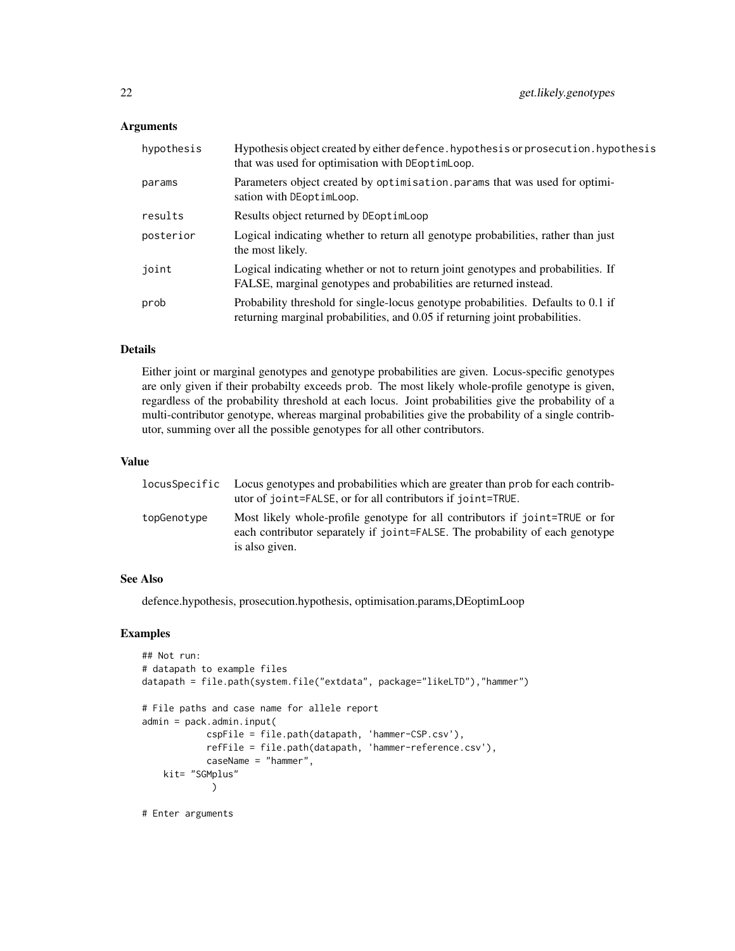#### Arguments

| hypothesis | Hypothesis object created by either defence. hypothesis or prosecution. hypothesis<br>that was used for optimisation with DEoptimLoop.                            |
|------------|-------------------------------------------------------------------------------------------------------------------------------------------------------------------|
| params     | Parameters object created by optimisation. params that was used for optimi-<br>sation with DEoptimLoop.                                                           |
| results    | Results object returned by DEoptimLoop                                                                                                                            |
| posterior  | Logical indicating whether to return all genotype probabilities, rather than just<br>the most likely.                                                             |
| joint      | Logical indicating whether or not to return joint genotypes and probabilities. If<br>FALSE, marginal genotypes and probabilities are returned instead.            |
| prob       | Probability threshold for single-locus genotype probabilities. Defaults to 0.1 if<br>returning marginal probabilities, and 0.05 if returning joint probabilities. |

### Details

Either joint or marginal genotypes and genotype probabilities are given. Locus-specific genotypes are only given if their probabilty exceeds prob. The most likely whole-profile genotype is given, regardless of the probability threshold at each locus. Joint probabilities give the probability of a multi-contributor genotype, whereas marginal probabilities give the probability of a single contributor, summing over all the possible genotypes for all other contributors.

#### Value

|             | locus Specific Locus genotypes and probabilities which are greater than prob for each contrib-<br>utor of joint=FALSE, or for all contributors if joint=TRUE.                  |
|-------------|--------------------------------------------------------------------------------------------------------------------------------------------------------------------------------|
| topGenotype | Most likely whole-profile genotype for all contributors if joint=TRUE or for<br>each contributor separately if joint=FALSE. The probability of each genotype<br>is also given. |

#### See Also

defence.hypothesis, prosecution.hypothesis, optimisation.params,DEoptimLoop

```
## Not run:
# datapath to example files
datapath = file.path(system.file("extdata", package="likeLTD"),"hammer")
# File paths and case name for allele report
admin = pack.admin.input(
            cspFile = file.path(datapath, 'hammer-CSP.csv'),
            refFile = file.path(datapath, 'hammer-reference.csv'),
            caseName = "hammer",
    kit= "SGMplus"
             )
# Enter arguments
```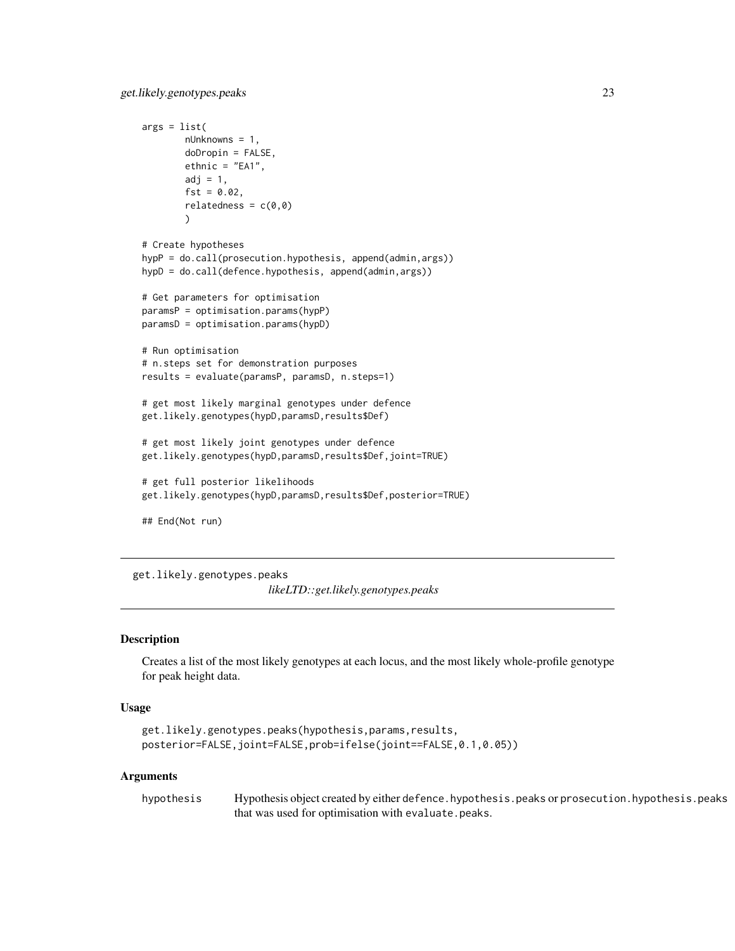```
args = list(nUnknowns = 1,
       doDropin = FALSE,
       ethnic = "EA1",adj = 1,fst = 0.02,relatedness = c(0,0))
# Create hypotheses
hypP = do.call(prosecution.hypothesis, append(admin,args))
hypD = do.call(defence.hypothesis, append(admin,args))
# Get parameters for optimisation
paramsP = optimisation.params(hypP)
paramsD = optimisation.params(hypD)
# Run optimisation
# n.steps set for demonstration purposes
results = evaluate(paramsP, paramsD, n.steps=1)
# get most likely marginal genotypes under defence
get.likely.genotypes(hypD,paramsD,results$Def)
# get most likely joint genotypes under defence
get.likely.genotypes(hypD,paramsD,results$Def,joint=TRUE)
# get full posterior likelihoods
get.likely.genotypes(hypD,paramsD,results$Def,posterior=TRUE)
## End(Not run)
```
get.likely.genotypes.peaks *likeLTD::get.likely.genotypes.peaks*

#### **Description**

Creates a list of the most likely genotypes at each locus, and the most likely whole-profile genotype for peak height data.

#### Usage

```
get.likely.genotypes.peaks(hypothesis,params,results,
posterior=FALSE,joint=FALSE,prob=ifelse(joint==FALSE,0.1,0.05))
```
#### Arguments

hypothesis Hypothesis object created by either defence.hypothesis.peaks or prosecution.hypothesis.peaks that was used for optimisation with evaluate.peaks.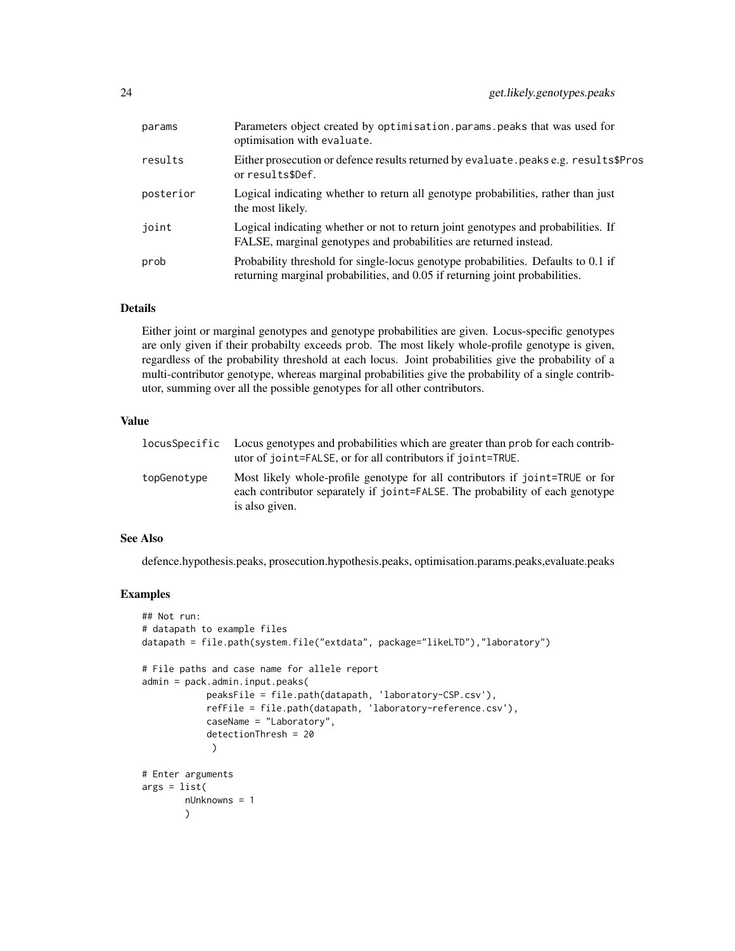| params    | Parameters object created by optimisation.params.peaks that was used for<br>optimisation with evaluate.                                                           |
|-----------|-------------------------------------------------------------------------------------------------------------------------------------------------------------------|
| results   | Either prosecution or defence results returned by evaluate. peaks e.g. results\$Pros<br>or results\$Def.                                                          |
| posterior | Logical indicating whether to return all genotype probabilities, rather than just<br>the most likely.                                                             |
| joint     | Logical indicating whether or not to return joint genotypes and probabilities. If<br>FALSE, marginal genotypes and probabilities are returned instead.            |
| prob      | Probability threshold for single-locus genotype probabilities. Defaults to 0.1 if<br>returning marginal probabilities, and 0.05 if returning joint probabilities. |

#### Details

Either joint or marginal genotypes and genotype probabilities are given. Locus-specific genotypes are only given if their probabilty exceeds prob. The most likely whole-profile genotype is given, regardless of the probability threshold at each locus. Joint probabilities give the probability of a multi-contributor genotype, whereas marginal probabilities give the probability of a single contributor, summing over all the possible genotypes for all other contributors.

#### Value

| locusSpecific | Locus genotypes and probabilities which are greater than prob for each contrib-<br>utor of joint=FALSE, or for all contributors if joint=TRUE.                                 |
|---------------|--------------------------------------------------------------------------------------------------------------------------------------------------------------------------------|
| topGenotype   | Most likely whole-profile genotype for all contributors if joint=TRUE or for<br>each contributor separately if joint=FALSE. The probability of each genotype<br>is also given. |

#### See Also

defence.hypothesis.peaks, prosecution.hypothesis.peaks, optimisation.params.peaks,evaluate.peaks

```
## Not run:
# datapath to example files
datapath = file.path(system.file("extdata", package="likeLTD"),"laboratory")
# File paths and case name for allele report
admin = pack.admin.input.peaks(
            peaksFile = file.path(datapath, 'laboratory-CSP.csv'),
            refFile = file.path(datapath, 'laboratory-reference.csv'),
            caseName = "Laboratory",
            detectionThresh = 20
             )
# Enter arguments
args = list(nUnknowns = 1
       )
```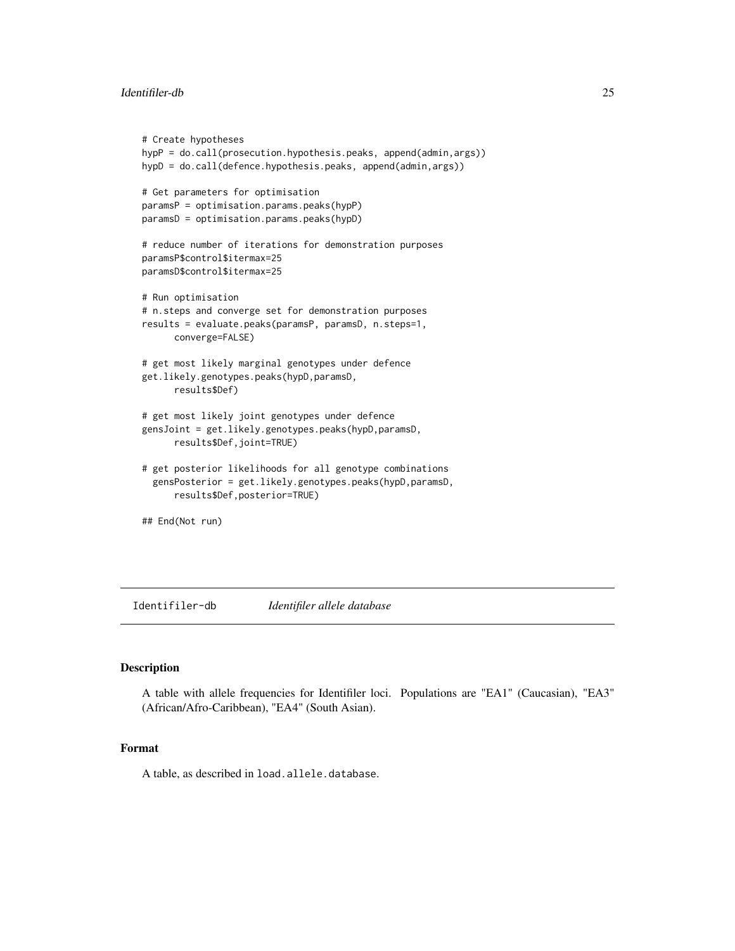#### <span id="page-24-0"></span>Identifiler-db 25

```
# Create hypotheses
hypP = do.call(prosecution.hypothesis.peaks, append(admin,args))
hypD = do.call(defence.hypothesis.peaks, append(admin,args))
# Get parameters for optimisation
paramsP = optimisation.params.peaks(hypP)
paramsD = optimisation.params.peaks(hypD)
# reduce number of iterations for demonstration purposes
paramsP$control$itermax=25
paramsD$control$itermax=25
# Run optimisation
# n.steps and converge set for demonstration purposes
results = evaluate.peaks(paramsP, paramsD, n.steps=1,
     converge=FALSE)
# get most likely marginal genotypes under defence
get.likely.genotypes.peaks(hypD,paramsD,
     results$Def)
# get most likely joint genotypes under defence
gensJoint = get.likely.genotypes.peaks(hypD,paramsD,
     results$Def,joint=TRUE)
# get posterior likelihoods for all genotype combinations
 gensPosterior = get.likely.genotypes.peaks(hypD,paramsD,
     results$Def,posterior=TRUE)
## End(Not run)
```
Identifiler-db *Identifiler allele database*

### Description

A table with allele frequencies for Identifiler loci. Populations are "EA1" (Caucasian), "EA3" (African/Afro-Caribbean), "EA4" (South Asian).

#### Format

A table, as described in load.allele.database.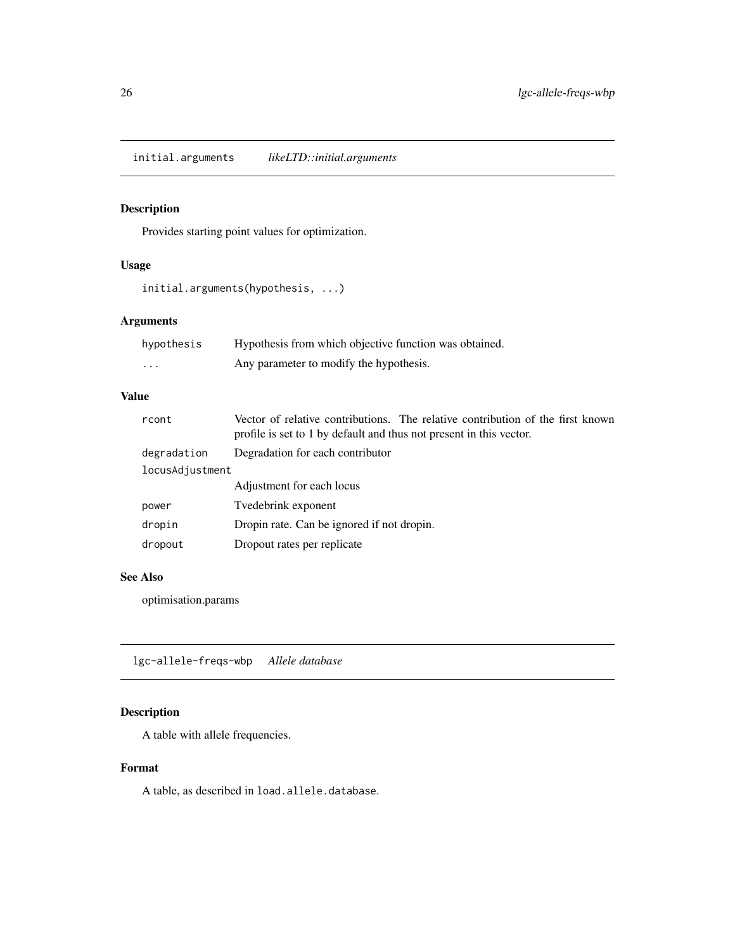<span id="page-25-0"></span>initial.arguments *likeLTD::initial.arguments*

### Description

Provides starting point values for optimization.

### Usage

```
initial.arguments(hypothesis, ...)
```
### Arguments

| hypothesis | Hypothesis from which objective function was obtained. |
|------------|--------------------------------------------------------|
| $\cdot$    | Any parameter to modify the hypothesis.                |

#### Value

| Vector of relative contributions. The relative contribution of the first known<br>profile is set to 1 by default and thus not present in this vector. |  |  |  |
|-------------------------------------------------------------------------------------------------------------------------------------------------------|--|--|--|
| Degradation for each contributor                                                                                                                      |  |  |  |
| locusAdjustment                                                                                                                                       |  |  |  |
| Adjustment for each locus                                                                                                                             |  |  |  |
| Tvedebrink exponent                                                                                                                                   |  |  |  |
| Dropin rate. Can be ignored if not dropin.                                                                                                            |  |  |  |
| Dropout rates per replicate                                                                                                                           |  |  |  |
|                                                                                                                                                       |  |  |  |

### See Also

optimisation.params

lgc-allele-freqs-wbp *Allele database*

### Description

A table with allele frequencies.

### Format

A table, as described in load.allele.database.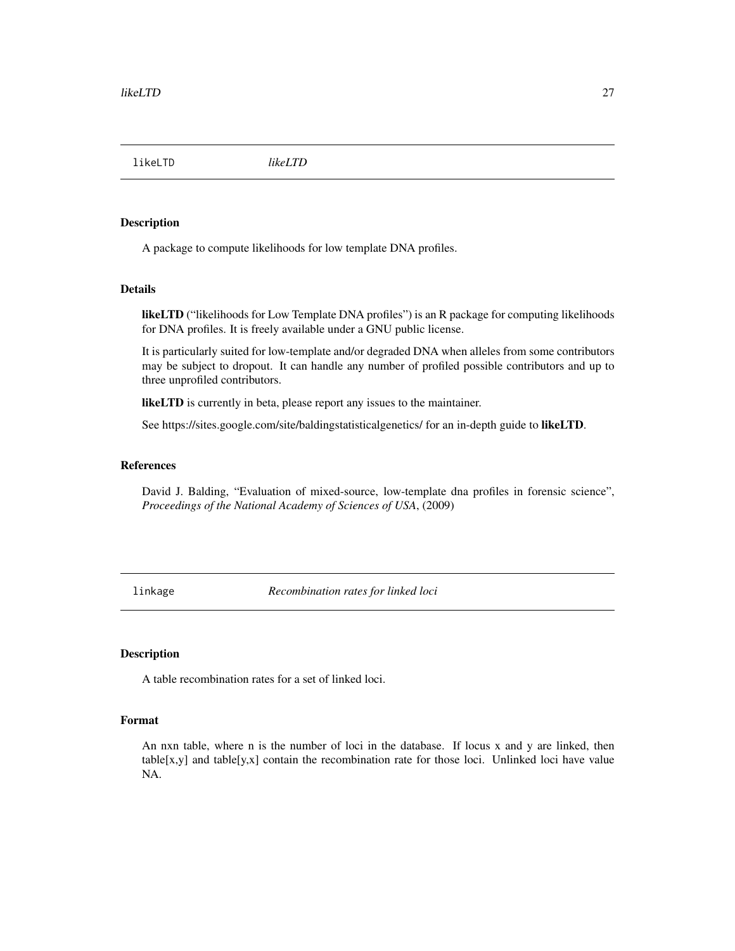<span id="page-26-0"></span>likeLTD *likeLTD*

#### Description

A package to compute likelihoods for low template DNA profiles.

#### Details

likeLTD ("likelihoods for Low Template DNA profiles") is an R package for computing likelihoods for DNA profiles. It is freely available under a GNU public license.

It is particularly suited for low-template and/or degraded DNA when alleles from some contributors may be subject to dropout. It can handle any number of profiled possible contributors and up to three unprofiled contributors.

likeLTD is currently in beta, please report any issues to the maintainer.

See https://sites.google.com/site/baldingstatisticalgenetics/ for an in-depth guide to likeLTD.

#### References

David J. Balding, "Evaluation of mixed-source, low-template dna profiles in forensic science", *Proceedings of the National Academy of Sciences of USA*, (2009)

linkage *Recombination rates for linked loci*

### Description

A table recombination rates for a set of linked loci.

### Format

An nxn table, where n is the number of loci in the database. If locus x and y are linked, then table[x,y] and table[y,x] contain the recombination rate for those loci. Unlinked loci have value NA.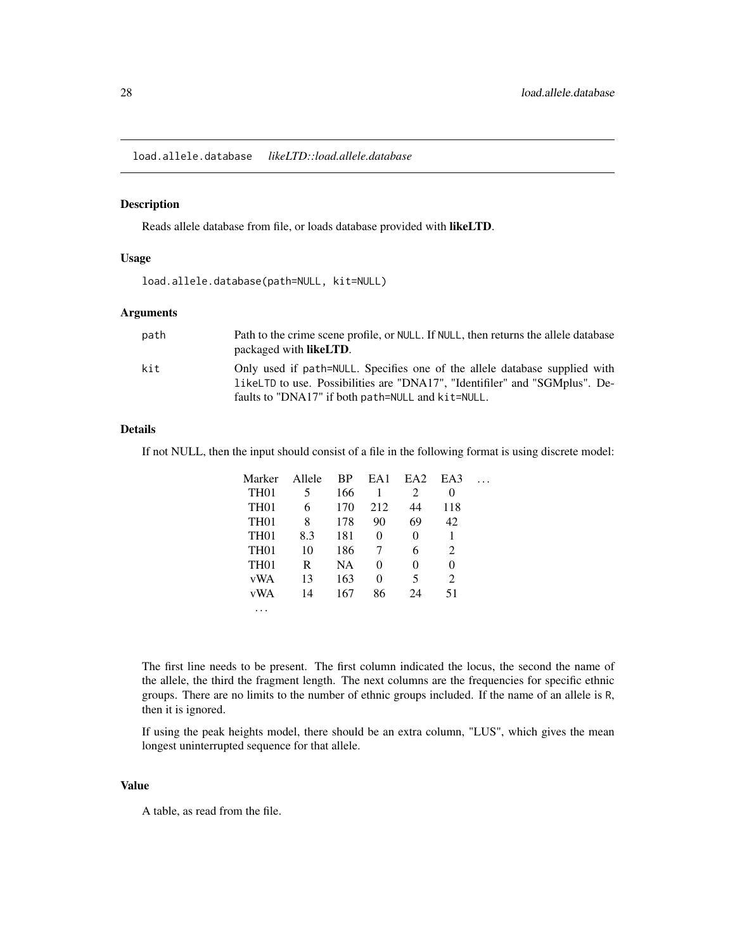<span id="page-27-0"></span>load.allele.database *likeLTD::load.allele.database*

### Description

Reads allele database from file, or loads database provided with likeLTD.

#### Usage

load.allele.database(path=NULL, kit=NULL)

#### Arguments

| path | Path to the crime scene profile, or NULL. If NULL, then returns the allele database |
|------|-------------------------------------------------------------------------------------|
|      | packaged with <b>likeLTD</b> .                                                      |
| kit  | Only used if path=NULL. Specifies one of the allele database supplied with          |
|      | 1 ikel TD to use. Possibilities are "DNA17", "Identifiler" and "SGMplus". De-       |
|      | faults to "DNA17" if both path=NULL and kit=NULL.                                   |

### Details

If not NULL, then the input should consist of a file in the following format is using discrete model:

| Marker           | Allele | BP        | EA1      | EA <sub>2</sub> | EA3 |  |
|------------------|--------|-----------|----------|-----------------|-----|--|
| TH <sub>01</sub> | 5      | 166       | 1        | 2               | 0   |  |
| TH <sub>01</sub> | 6      | 170       | 212      | 44              | 118 |  |
| TH <sub>01</sub> | 8      | 178       | 90       | 69              | 42  |  |
| TH <sub>01</sub> | 8.3    | 181       | $\theta$ | 0               |     |  |
| TH <sub>01</sub> | 10     | 186       |          | 6               | 2   |  |
| TH <sub>01</sub> | R      | <b>NA</b> | $\Omega$ | 0               | 0   |  |
| vWA              | 13     | 163       | 0        | 5               | 2   |  |
| vWA              | 14     | 167       | 86       | 24              | 51  |  |
|                  |        |           |          |                 |     |  |

The first line needs to be present. The first column indicated the locus, the second the name of the allele, the third the fragment length. The next columns are the frequencies for specific ethnic groups. There are no limits to the number of ethnic groups included. If the name of an allele is R, then it is ignored.

If using the peak heights model, there should be an extra column, "LUS", which gives the mean longest uninterrupted sequence for that allele.

#### Value

A table, as read from the file.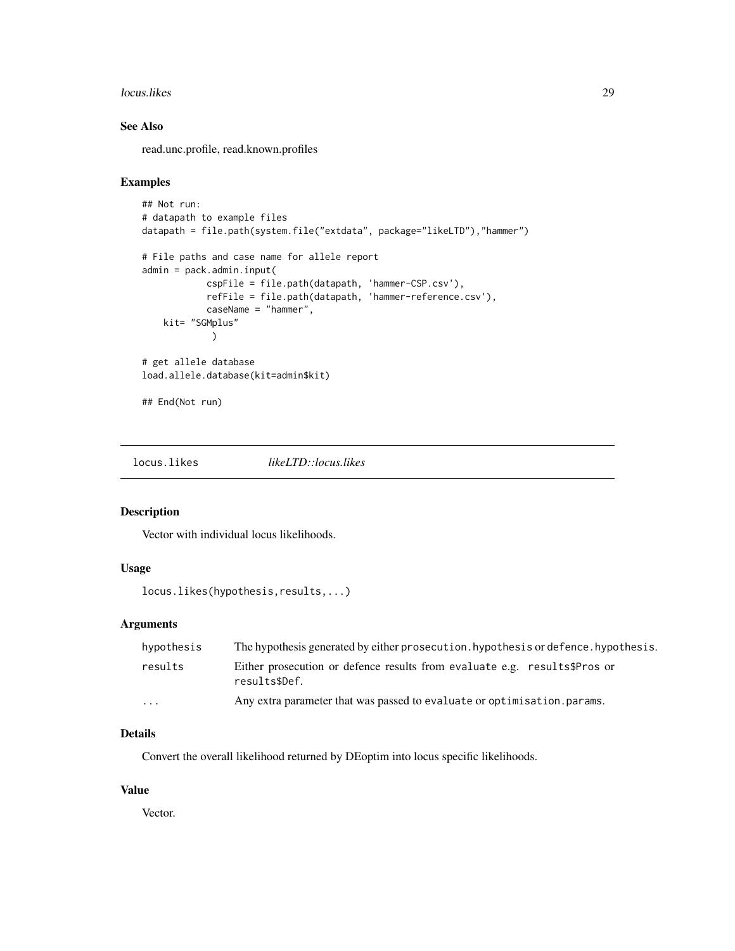#### <span id="page-28-0"></span>locus.likes 29

### See Also

read.unc.profile, read.known.profiles

#### Examples

```
## Not run:
# datapath to example files
datapath = file.path(system.file("extdata", package="likeLTD"),"hammer")
# File paths and case name for allele report
admin = pack.admin.input(
            cspFile = file.path(datapath, 'hammer-CSP.csv'),
            refFile = file.path(datapath, 'hammer-reference.csv'),
            caseName = "hammer",
   kit= "SGMplus"
            )
# get allele database
load.allele.database(kit=admin$kit)
## End(Not run)
```
locus.likes *likeLTD::locus.likes*

#### Description

Vector with individual locus likelihoods.

### Usage

locus.likes(hypothesis,results,...)

### Arguments

| hypothesis | The hypothesis generated by either prosecution. hypothesis or defence. hypothesis.         |
|------------|--------------------------------------------------------------------------------------------|
| results    | Either prosecution or defence results from evaluate e.g. results\$Pros or<br>results\$Def. |
| $\cdots$   | Any extra parameter that was passed to evaluate or optimisation. params.                   |

### Details

Convert the overall likelihood returned by DEoptim into locus specific likelihoods.

#### Value

Vector.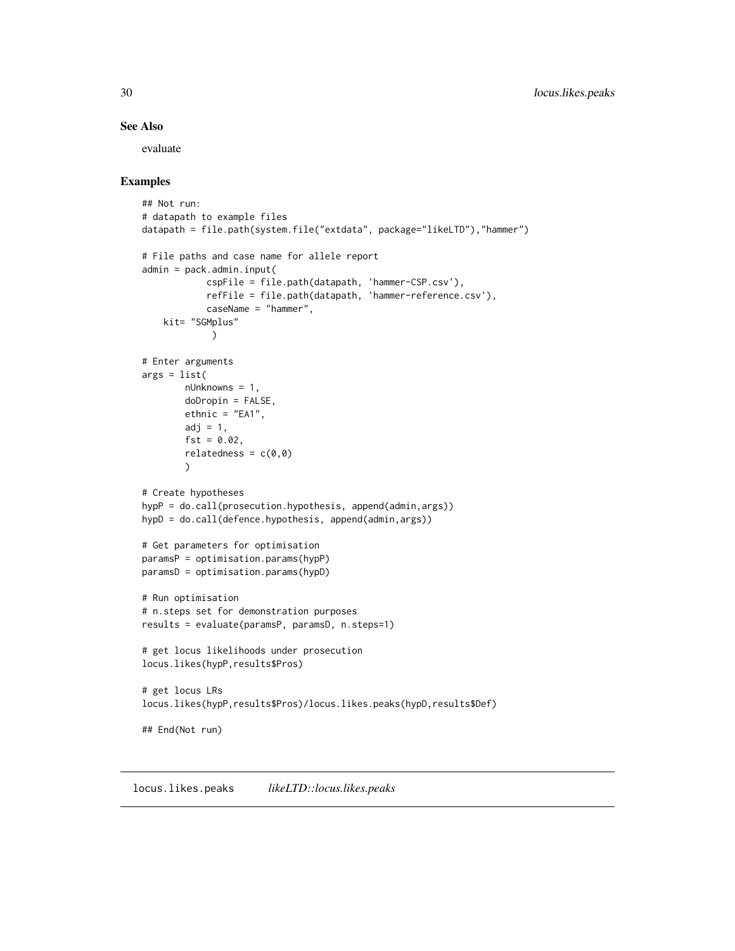### <span id="page-29-0"></span>See Also

evaluate

### Examples

```
## Not run:
# datapath to example files
datapath = file.path(system.file("extdata", package="likeLTD"),"hammer")
# File paths and case name for allele report
admin = pack.admin.input(
            cspFile = file.path(datapath, 'hammer-CSP.csv'),
            refFile = file.path(datapath, 'hammer-reference.csv'),
            caseName = "hammer",
   kit= "SGMplus"
            \lambda# Enter arguments
args = list(nUnknowns = 1,
       doDropin = FALSE,
       ethnic = "EA1",
        adj = 1,fst = 0.02,relatedness = c(0,0))
# Create hypotheses
hypP = do.call(prosecution.hypothesis, append(admin,args))
hypD = do.call(defence.hypothesis, append(admin,args))
# Get parameters for optimisation
paramsP = optimisation.params(hypP)
paramsD = optimisation.params(hypD)
# Run optimisation
# n.steps set for demonstration purposes
results = evaluate(paramsP, paramsD, n.steps=1)
# get locus likelihoods under prosecution
locus.likes(hypP,results$Pros)
# get locus LRs
locus.likes(hypP,results$Pros)/locus.likes.peaks(hypD,results$Def)
## End(Not run)
```
locus.likes.peaks *likeLTD::locus.likes.peaks*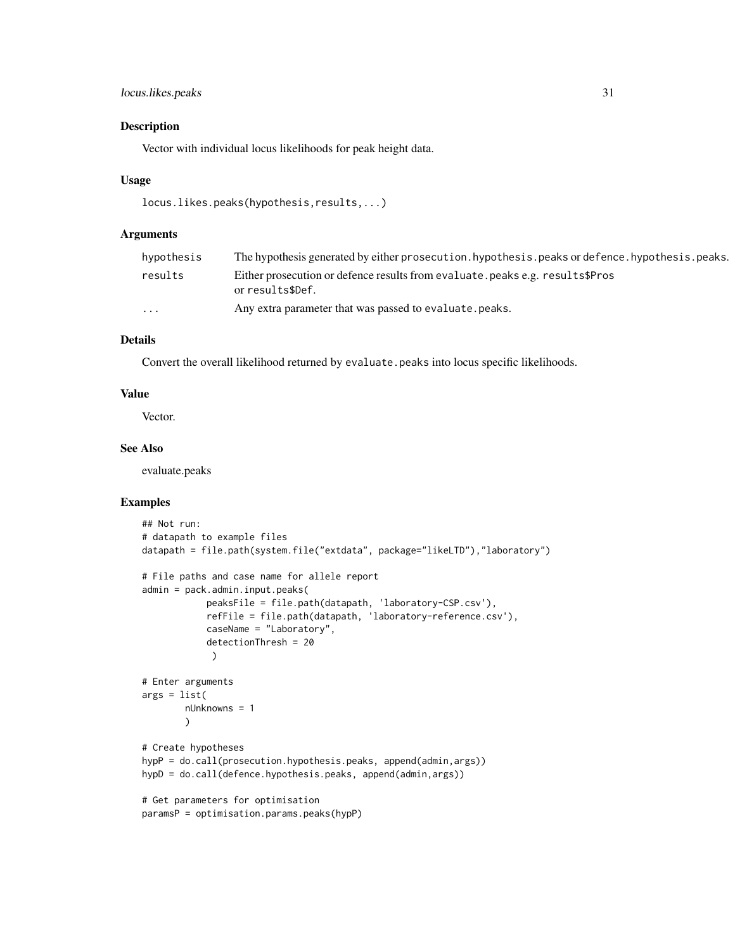### locus.likes.peaks 31

#### Description

Vector with individual locus likelihoods for peak height data.

#### Usage

```
locus.likes.peaks(hypothesis,results,...)
```
#### Arguments

| hypothesis | The hypothesis generated by either prosecution. hypothesis. peaks or defence. hypothesis. peaks.  |
|------------|---------------------------------------------------------------------------------------------------|
| results    | Either prosecution or defence results from evaluate. peaks e.g. results\$Pros<br>or results\$Def. |
| $\cdots$   | Any extra parameter that was passed to evaluate. peaks.                                           |

### Details

Convert the overall likelihood returned by evaluate.peaks into locus specific likelihoods.

#### Value

Vector.

### See Also

evaluate.peaks

```
## Not run:
# datapath to example files
datapath = file.path(system.file("extdata", package="likeLTD"),"laboratory")
# File paths and case name for allele report
admin = pack.admin.input.peaks(
            peaksFile = file.path(datapath, 'laboratory-CSP.csv'),
            refFile = file.path(datapath, 'laboratory-reference.csv'),
            caseName = "Laboratory",
            detectionThresh = 20
            )
# Enter arguments
args = list(
       nUnknowns = 1
       )
# Create hypotheses
hypP = do.call(prosecution.hypothesis.peaks, append(admin,args))
hypD = do.call(defence.hypothesis.peaks, append(admin,args))
# Get parameters for optimisation
paramsP = optimisation.params.peaks(hypP)
```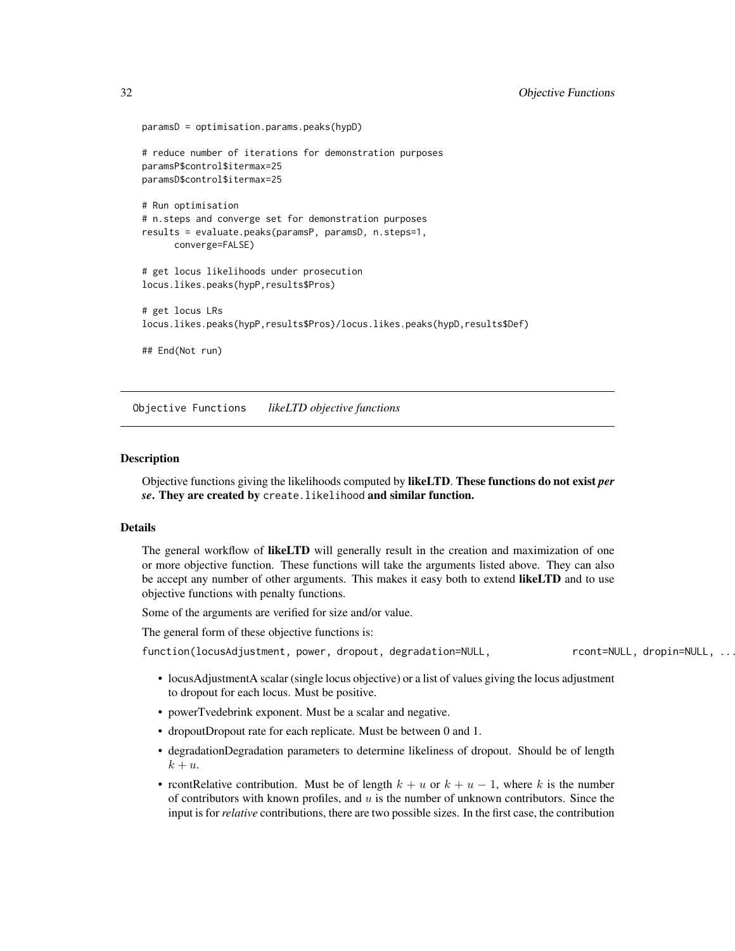```
paramsD = optimisation.params.peaks(hypD)
# reduce number of iterations for demonstration purposes
paramsP$control$itermax=25
paramsD$control$itermax=25
# Run optimisation
# n.steps and converge set for demonstration purposes
results = evaluate.peaks(paramsP, paramsD, n.steps=1,
     converge=FALSE)
# get locus likelihoods under prosecution
locus.likes.peaks(hypP,results$Pros)
# get locus LRs
locus.likes.peaks(hypP,results$Pros)/locus.likes.peaks(hypD,results$Def)
## End(Not run)
```
Objective Functions *likeLTD objective functions*

#### Description

Objective functions giving the likelihoods computed by likeLTD. These functions do not exist *per se*. They are created by create.likelihood and similar function.

#### Details

The general workflow of **likeLTD** will generally result in the creation and maximization of one or more objective function. These functions will take the arguments listed above. They can also be accept any number of other arguments. This makes it easy both to extend likeLTD and to use objective functions with penalty functions.

Some of the arguments are verified for size and/or value.

The general form of these objective functions is:

function(locusAdjustment, power, dropout, degradation=NULL, result result=NULL, dropin=NULL, ...

- locusAdjustmentA scalar (single locus objective) or a list of values giving the locus adjustment to dropout for each locus. Must be positive.
- powerTvedebrink exponent. Must be a scalar and negative.
- dropoutDropout rate for each replicate. Must be between 0 and 1.
- degradationDegradation parameters to determine likeliness of dropout. Should be of length  $k + u$ .
- rcontRelative contribution. Must be of length  $k + u$  or  $k + u 1$ , where k is the number of contributors with known profiles, and  $u$  is the number of unknown contributors. Since the input is for *relative* contributions, there are two possible sizes. In the first case, the contribution

<span id="page-31-0"></span>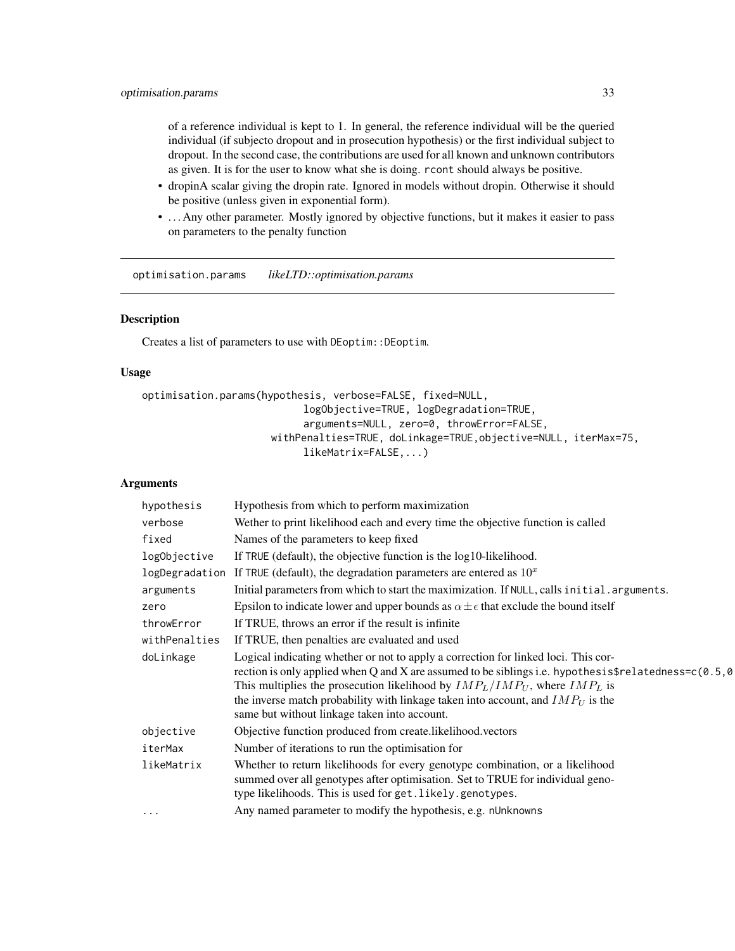<span id="page-32-0"></span>of a reference individual is kept to 1. In general, the reference individual will be the queried individual (if subjecto dropout and in prosecution hypothesis) or the first individual subject to dropout. In the second case, the contributions are used for all known and unknown contributors as given. It is for the user to know what she is doing. rcont should always be positive.

- dropinA scalar giving the dropin rate. Ignored in models without dropin. Otherwise it should be positive (unless given in exponential form).
- ... Any other parameter. Mostly ignored by objective functions, but it makes it easier to pass on parameters to the penalty function

optimisation.params *likeLTD::optimisation.params*

#### Description

Creates a list of parameters to use with DEoptim::DEoptim.

#### Usage

```
optimisation.params(hypothesis, verbose=FALSE, fixed=NULL,
                           logObjective=TRUE, logDegradation=TRUE,
                           arguments=NULL, zero=0, throwError=FALSE,
                     withPenalties=TRUE, doLinkage=TRUE,objective=NULL, iterMax=75,
                           likeMatrix=FALSE,...)
```

| hypothesis    | Hypothesis from which to perform maximization                                                                                                                                                                                                                                                                                                                                                                          |
|---------------|------------------------------------------------------------------------------------------------------------------------------------------------------------------------------------------------------------------------------------------------------------------------------------------------------------------------------------------------------------------------------------------------------------------------|
| verbose       | Wether to print likelihood each and every time the objective function is called                                                                                                                                                                                                                                                                                                                                        |
| fixed         | Names of the parameters to keep fixed                                                                                                                                                                                                                                                                                                                                                                                  |
| logObjective  | If TRUE (default), the objective function is the log10-likelihood.                                                                                                                                                                                                                                                                                                                                                     |
|               | logDegradation If TRUE (default), the degradation parameters are entered as $10x$                                                                                                                                                                                                                                                                                                                                      |
| arguments     | Initial parameters from which to start the maximization. If NULL, calls initial . arguments.                                                                                                                                                                                                                                                                                                                           |
| zero          | Epsilon to indicate lower and upper bounds as $\alpha \pm \epsilon$ that exclude the bound itself                                                                                                                                                                                                                                                                                                                      |
| throwError    | If TRUE, throws an error if the result is infinite                                                                                                                                                                                                                                                                                                                                                                     |
| withPenalties | If TRUE, then penalties are evaluated and used                                                                                                                                                                                                                                                                                                                                                                         |
| doLinkage     | Logical indicating whether or not to apply a correction for linked loci. This cor-<br>rection is only applied when Q and X are assumed to be siblings i.e. hypothesis\$relatedness= $c(0.5, 0)$<br>This multiplies the prosecution likelihood by $IMP_L/IMP_U$ , where $IMP_L$ is<br>the inverse match probability with linkage taken into account, and $IMP_U$ is the<br>same but without linkage taken into account. |
| objective     | Objective function produced from create.likelihood.vectors                                                                                                                                                                                                                                                                                                                                                             |
| iterMax       | Number of iterations to run the optimisation for                                                                                                                                                                                                                                                                                                                                                                       |
| likeMatrix    | Whether to return likelihoods for every genotype combination, or a likelihood<br>summed over all genotypes after optimisation. Set to TRUE for individual geno-<br>type likelihoods. This is used for get.likely.genotypes.                                                                                                                                                                                            |
| $\cdots$      | Any named parameter to modify the hypothesis, e.g. nUnknowns                                                                                                                                                                                                                                                                                                                                                           |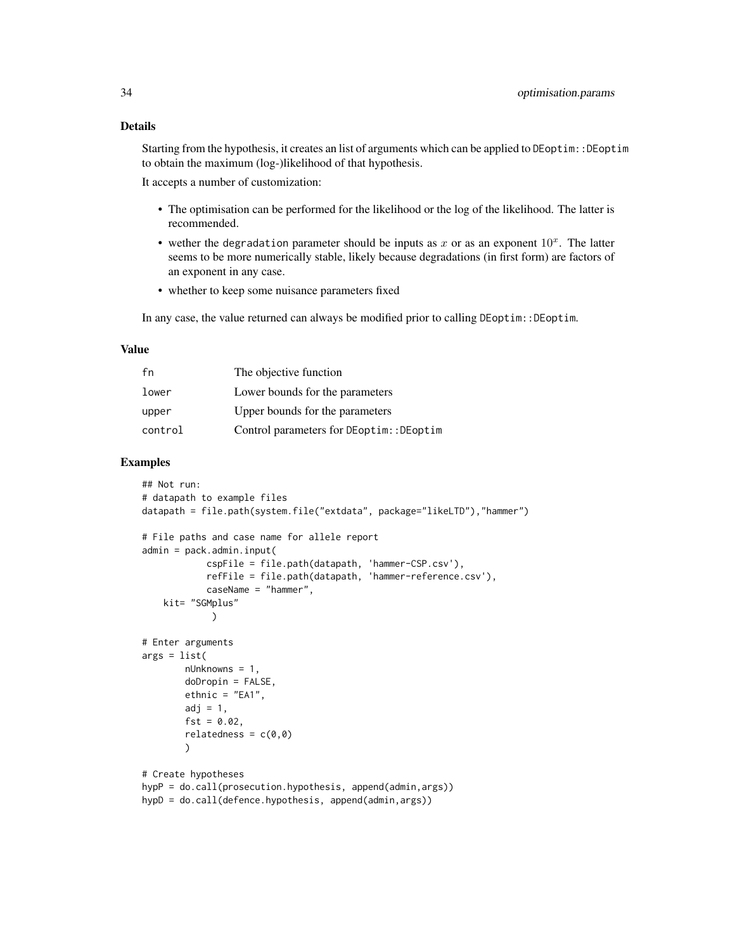Starting from the hypothesis, it creates an list of arguments which can be applied to DEoptim::DEoptim to obtain the maximum (log-)likelihood of that hypothesis.

It accepts a number of customization:

- The optimisation can be performed for the likelihood or the log of the likelihood. The latter is recommended.
- wether the degradation parameter should be inputs as x or as an exponent  $10<sup>x</sup>$ . The latter seems to be more numerically stable, likely because degradations (in first form) are factors of an exponent in any case.
- whether to keep some nuisance parameters fixed

In any case, the value returned can always be modified prior to calling DEoptim::DEoptim.

### Value

| fn      | The objective function                   |
|---------|------------------------------------------|
| lower   | Lower bounds for the parameters          |
| upper   | Upper bounds for the parameters          |
| control | Control parameters for DEoptim:: DEoptim |

```
## Not run:
# datapath to example files
datapath = file.path(system.file("extdata", package="likeLTD"),"hammer")
# File paths and case name for allele report
admin = pack.admin.input(
            cspFile = file.path(datapath, 'hammer-CSP.csv'),
            refFile = file.path(datapath, 'hammer-reference.csv'),
            caseName = "hammer",
   kit= "SGMplus"
            )
# Enter arguments
args = list(
       nUnknowns = 1,
       doDropin = FALSE,
       ethnic = "EA1",adj = 1,fst = 0.02,relatedness = c(0,0))
# Create hypotheses
hypP = do.call(prosecution.hypothesis, append(admin,args))
hypD = do.call(defence.hypothesis, append(admin,args))
```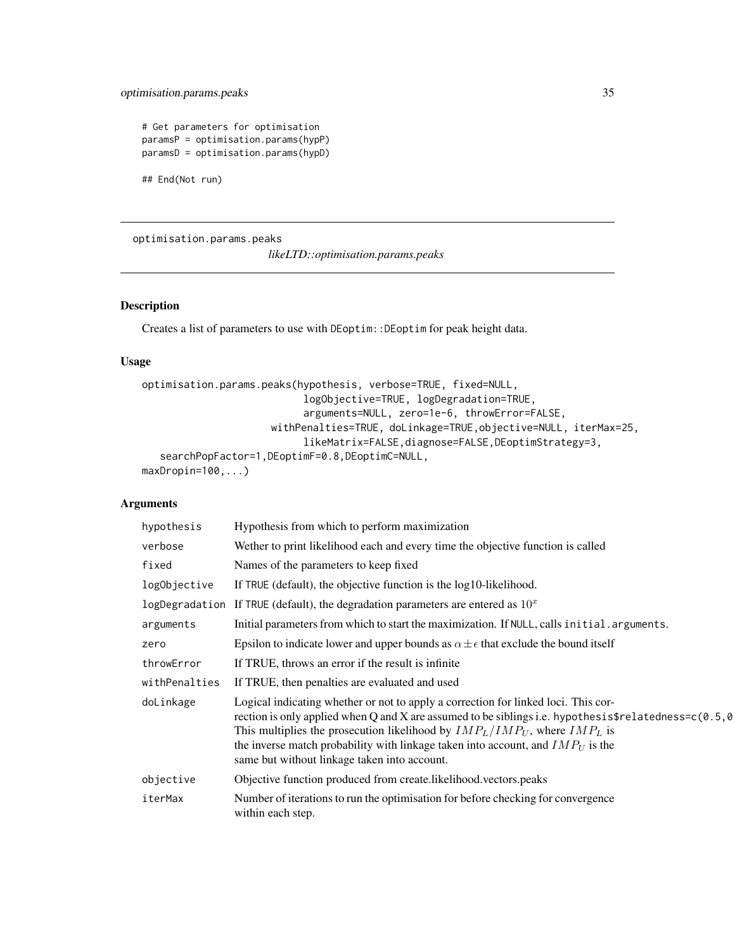### <span id="page-34-0"></span>optimisation.params.peaks 35

```
# Get parameters for optimisation
paramsP = optimisation.params(hypP)
paramsD = optimisation.params(hypD)
```
## End(Not run)

optimisation.params.peaks

*likeLTD::optimisation.params.peaks*

### Description

Creates a list of parameters to use with DEoptim::DEoptim for peak height data.

#### Usage

```
optimisation.params.peaks(hypothesis, verbose=TRUE, fixed=NULL,
                           logObjective=TRUE, logDegradation=TRUE,
                           arguments=NULL, zero=1e-6, throwError=FALSE,
                     withPenalties=TRUE, doLinkage=TRUE,objective=NULL, iterMax=25,
                           likeMatrix=FALSE,diagnose=FALSE,DEoptimStrategy=3,
   searchPopFactor=1,DEoptimF=0.8,DEoptimC=NULL,
maxDropin=100,...)
```

| hypothesis    | Hypothesis from which to perform maximization                                                                                                                                                                                                                                                                                                                                                                          |
|---------------|------------------------------------------------------------------------------------------------------------------------------------------------------------------------------------------------------------------------------------------------------------------------------------------------------------------------------------------------------------------------------------------------------------------------|
| verbose       | Wether to print likelihood each and every time the objective function is called                                                                                                                                                                                                                                                                                                                                        |
| fixed         | Names of the parameters to keep fixed                                                                                                                                                                                                                                                                                                                                                                                  |
| logObjective  | If TRUE (default), the objective function is the log10-likelihood.                                                                                                                                                                                                                                                                                                                                                     |
|               | logDegradation If TRUE (default), the degradation parameters are entered as $10x$                                                                                                                                                                                                                                                                                                                                      |
| arguments     | Initial parameters from which to start the maximization. If NULL, calls initial.arguments.                                                                                                                                                                                                                                                                                                                             |
| zero          | Epsilon to indicate lower and upper bounds as $\alpha \pm \epsilon$ that exclude the bound itself                                                                                                                                                                                                                                                                                                                      |
| throwError    | If TRUE, throws an error if the result is infinite                                                                                                                                                                                                                                                                                                                                                                     |
| withPenalties | If TRUE, then penalties are evaluated and used                                                                                                                                                                                                                                                                                                                                                                         |
| doLinkage     | Logical indicating whether or not to apply a correction for linked loci. This cor-<br>rection is only applied when Q and X are assumed to be siblings i.e. hypothesis\$relatedness= $c(0.5, 0)$<br>This multiplies the prosecution likelihood by $IMP_L/IMP_U$ , where $IMP_L$ is<br>the inverse match probability with linkage taken into account, and $IMP_U$ is the<br>same but without linkage taken into account. |
| objective     | Objective function produced from create.likelihood.vectors.peaks                                                                                                                                                                                                                                                                                                                                                       |
| iterMax       | Number of iterations to run the optimisation for before checking for convergence<br>within each step.                                                                                                                                                                                                                                                                                                                  |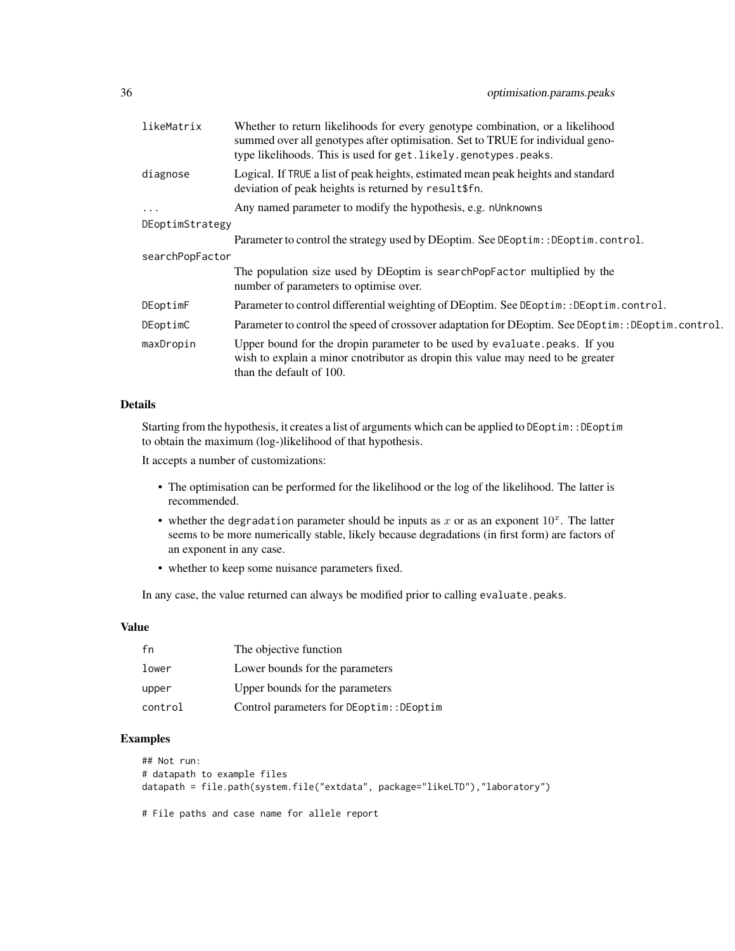| likeMatrix      | Whether to return likelihoods for every genotype combination, or a likelihood<br>summed over all genotypes after optimisation. Set to TRUE for individual geno-<br>type likelihoods. This is used for get. likely.genotypes.peaks. |  |
|-----------------|------------------------------------------------------------------------------------------------------------------------------------------------------------------------------------------------------------------------------------|--|
| diagnose        | Logical. If TRUE a list of peak heights, estimated mean peak heights and standard<br>deviation of peak heights is returned by result\$fn.                                                                                          |  |
| $\cdots$        | Any named parameter to modify the hypothesis, e.g. nUnknowns                                                                                                                                                                       |  |
| DEoptimStrategy |                                                                                                                                                                                                                                    |  |
|                 | Parameter to control the strategy used by DEoptim. See DEoptim:: DEoptim.control.                                                                                                                                                  |  |
| searchPopFactor |                                                                                                                                                                                                                                    |  |
|                 | The population size used by DE optim is search PopFactor multiplied by the<br>number of parameters to optimise over.                                                                                                               |  |
| DEoptimF        | Parameter to control differential weighting of DEoptim. See DEoptim: : DEoptim.control.                                                                                                                                            |  |
| DEoptimC        | Parameter to control the speed of crossover adaptation for DEoptim. See DEoptim: :DEoptim.control.                                                                                                                                 |  |
| maxDropin       | Upper bound for the dropin parameter to be used by evaluate.peaks. If you<br>wish to explain a minor cnotributor as dropin this value may need to be greater<br>than the default of 100.                                           |  |

### Details

Starting from the hypothesis, it creates a list of arguments which can be applied to DEoptim::DEoptim to obtain the maximum (log-)likelihood of that hypothesis.

It accepts a number of customizations:

- The optimisation can be performed for the likelihood or the log of the likelihood. The latter is recommended.
- whether the degradation parameter should be inputs as x or as an exponent  $10<sup>x</sup>$ . The latter seems to be more numerically stable, likely because degradations (in first form) are factors of an exponent in any case.
- whether to keep some nuisance parameters fixed.

In any case, the value returned can always be modified prior to calling evaluate.peaks.

#### Value

| f'n     | The objective function                   |
|---------|------------------------------------------|
| lower   | Lower bounds for the parameters          |
| upper   | Upper bounds for the parameters          |
| control | Control parameters for DEoptim:: DEoptim |

### Examples

```
## Not run:
# datapath to example files
datapath = file.path(system.file("extdata", package="likeLTD"),"laboratory")
```
# File paths and case name for allele report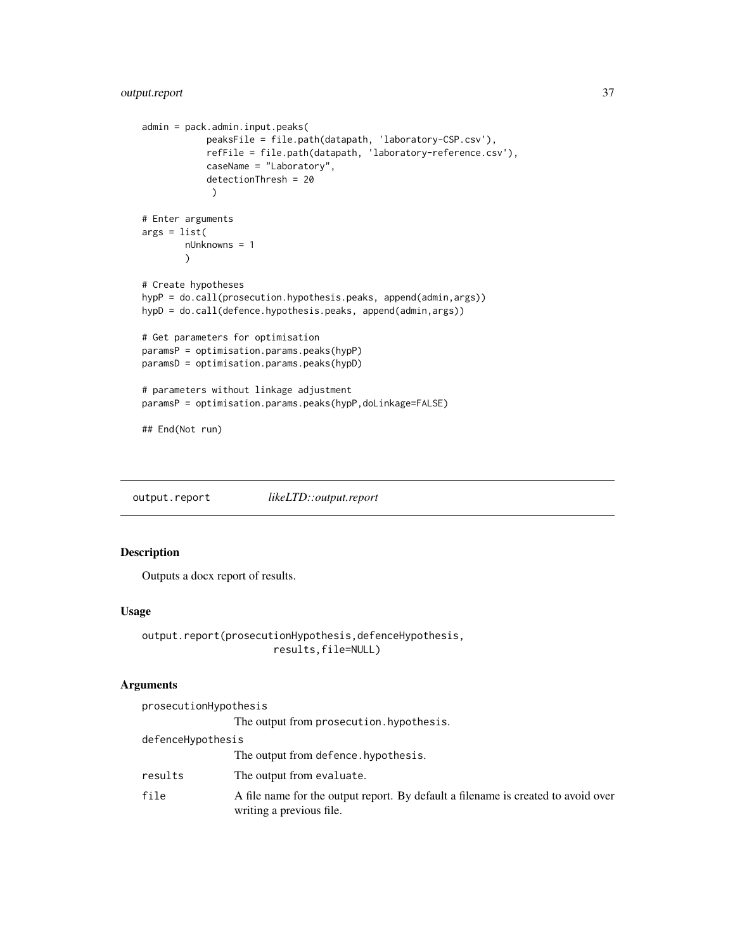```
admin = pack.admin.input.peaks(
            peaksFile = file.path(datapath, 'laboratory-CSP.csv'),
            refFile = file.path(datapath, 'laboratory-reference.csv'),
            caseName = "Laboratory",
            detectionThresh = 20
            )
# Enter arguments
args = list(nUnknowns = 1
        )
# Create hypotheses
hypP = do.call(prosecution.hypothesis.peaks, append(admin,args))
hypD = do.call(defence.hypothesis.peaks, append(admin,args))
# Get parameters for optimisation
paramsP = optimisation.params.peaks(hypP)
paramsD = optimisation.params.peaks(hypD)
# parameters without linkage adjustment
paramsP = optimisation.params.peaks(hypP,doLinkage=FALSE)
## End(Not run)
```
output.report *likeLTD::output.report*

### Description

Outputs a docx report of results.

#### Usage

```
output.report(prosecutionHypothesis,defenceHypothesis,
                      results,file=NULL)
```

| prosecutionHypothesis |                                                                                                               |
|-----------------------|---------------------------------------------------------------------------------------------------------------|
|                       | The output from prosecution. hypothesis.                                                                      |
| defenceHypothesis     |                                                                                                               |
|                       | The output from defence. hypothesis.                                                                          |
| results               | The output from evaluate.                                                                                     |
| file                  | A file name for the output report. By default a filename is created to avoid over<br>writing a previous file. |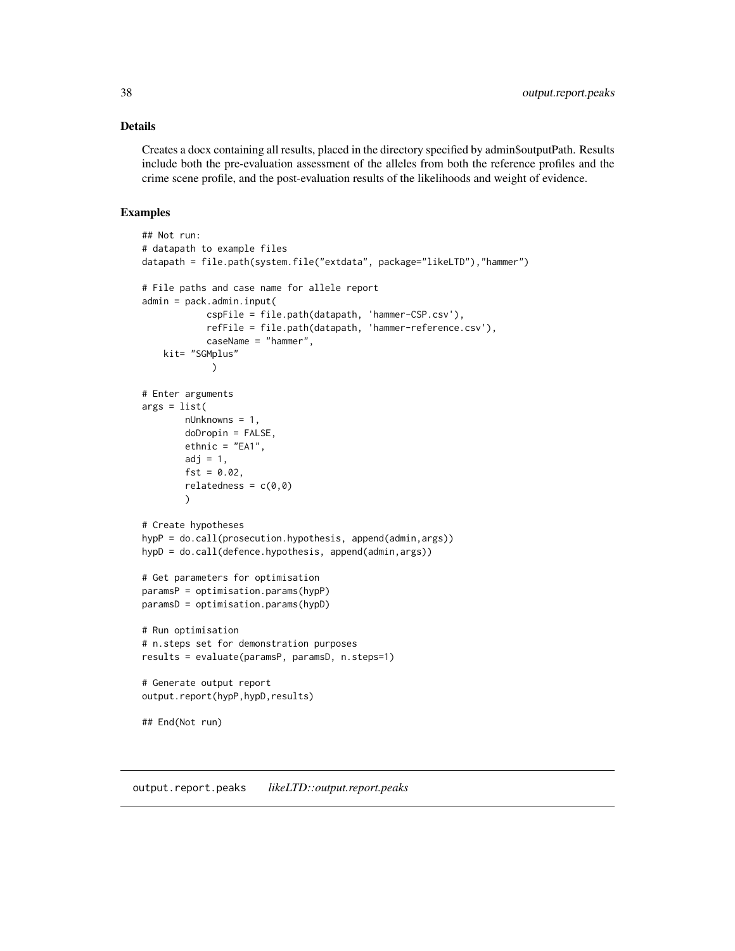### <span id="page-37-0"></span>Details

Creates a docx containing all results, placed in the directory specified by admin\$outputPath. Results include both the pre-evaluation assessment of the alleles from both the reference profiles and the crime scene profile, and the post-evaluation results of the likelihoods and weight of evidence.

#### Examples

```
## Not run:
# datapath to example files
datapath = file.path(system.file("extdata", package="likeLTD"),"hammer")
# File paths and case name for allele report
admin = pack.admin.input(
            cspFile = file.path(datapath, 'hammer-CSP.csv'),
            refFile = file.path(datapath, 'hammer-reference.csv'),
            caseName = "hammer",
   kit= "SGMplus"
             )
# Enter arguments
args = list(nUnknowns = 1,
        doDropin = FALSE,
       ethnic = "EA1",
       adj = 1,
       fst = 0.02,
        relatedness = c(0,0))
# Create hypotheses
hypP = do.call(prosecution.hypothesis, append(admin,args))
hypD = do.call(defence.hypothesis, append(admin,args))
# Get parameters for optimisation
paramsP = optimisation.params(hypP)
paramsD = optimisation.params(hypD)
# Run optimisation
# n.steps set for demonstration purposes
results = evaluate(paramsP, paramsD, n.steps=1)
# Generate output report
output.report(hypP,hypD,results)
## End(Not run)
```
output.report.peaks *likeLTD::output.report.peaks*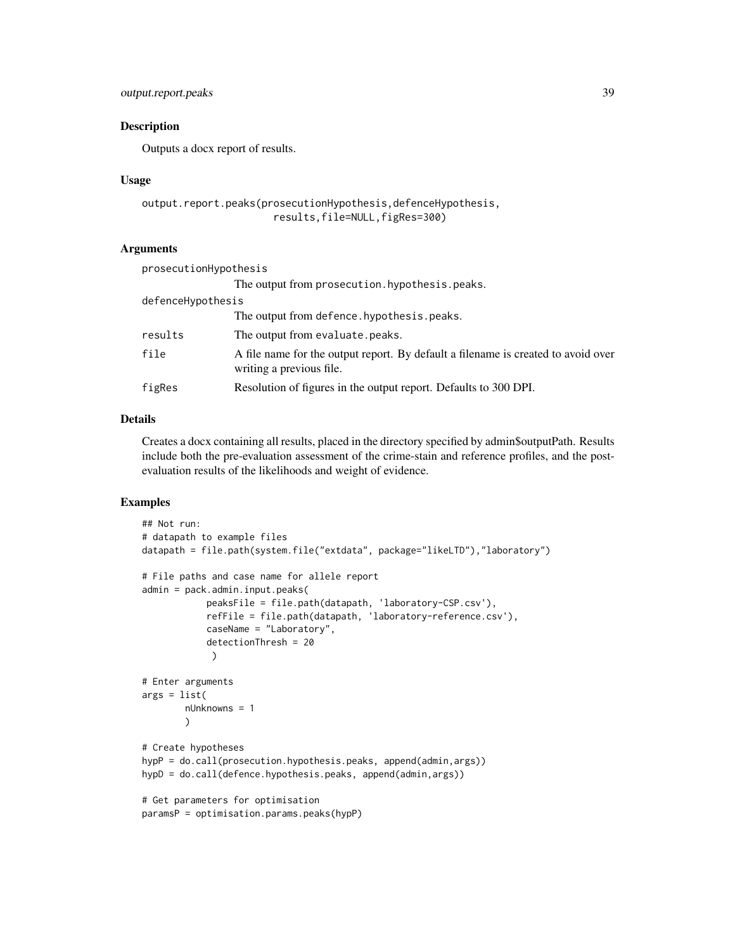### output.report.peaks 39

#### Description

Outputs a docx report of results.

#### Usage

```
output.report.peaks(prosecutionHypothesis,defenceHypothesis,
                      results,file=NULL,figRes=300)
```
#### Arguments

| prosecutionHypothesis |                                                                                                               |
|-----------------------|---------------------------------------------------------------------------------------------------------------|
|                       | The output from prosecution. hypothesis. peaks.                                                               |
| defenceHypothesis     |                                                                                                               |
|                       | The output from defence. hypothes is . peaks.                                                                 |
| results               | The output from evaluate. peaks.                                                                              |
| file                  | A file name for the output report. By default a filename is created to avoid over<br>writing a previous file. |
| figRes                | Resolution of figures in the output report. Defaults to 300 DPI.                                              |

### Details

Creates a docx containing all results, placed in the directory specified by admin\$outputPath. Results include both the pre-evaluation assessment of the crime-stain and reference profiles, and the postevaluation results of the likelihoods and weight of evidence.

```
## Not run:
# datapath to example files
datapath = file.path(system.file("extdata", package="likeLTD"),"laboratory")
# File paths and case name for allele report
admin = pack.admin.input.peaks(
            peaksFile = file.path(datapath, 'laboratory-CSP.csv'),
            refFile = file.path(datapath, 'laboratory-reference.csv'),
            caseName = "Laboratory",
            detectionThresh = 20
            )
# Enter arguments
args = list(nUnknowns = 1
       )
# Create hypotheses
hypP = do.call(prosecution.hypothesis.peaks, append(admin,args))
hypD = do.call(defence.hypothesis.peaks, append(admin,args))
# Get parameters for optimisation
paramsP = optimisation.params.peaks(hypP)
```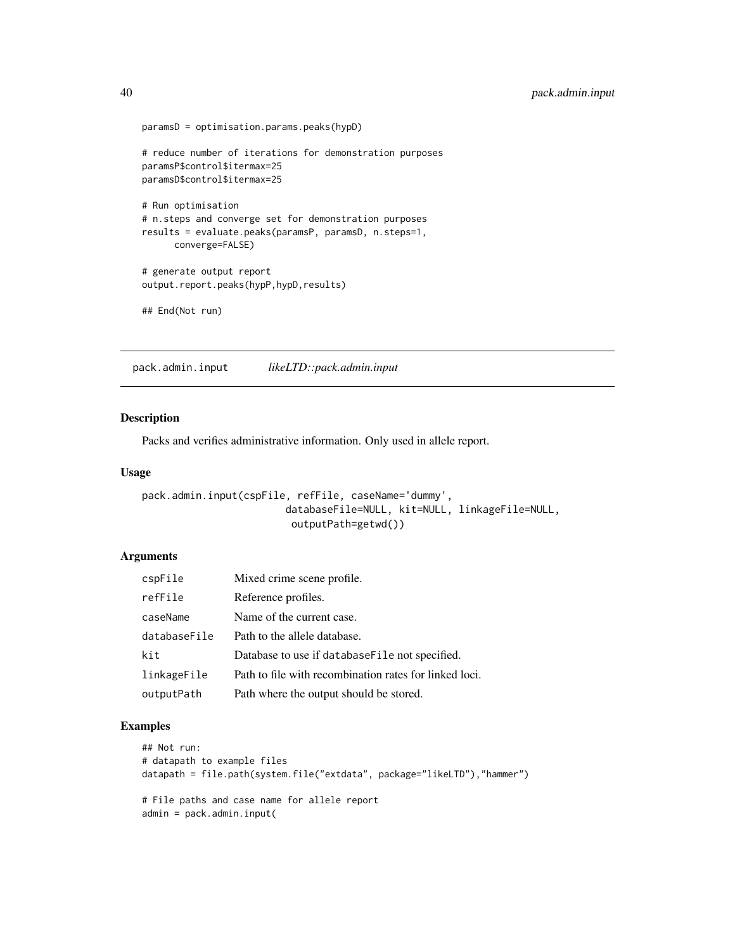```
paramsD = optimisation.params.peaks(hypD)
# reduce number of iterations for demonstration purposes
paramsP$control$itermax=25
paramsD$control$itermax=25
# Run optimisation
# n.steps and converge set for demonstration purposes
results = evaluate.peaks(paramsP, paramsD, n.steps=1,
      converge=FALSE)
# generate output report
output.report.peaks(hypP,hypD,results)
## End(Not run)
```
pack.admin.input *likeLTD::pack.admin.input*

#### Description

Packs and verifies administrative information. Only used in allele report.

#### Usage

```
pack.admin.input(cspFile, refFile, caseName='dummy',
                        databaseFile=NULL, kit=NULL, linkageFile=NULL,
                         outputPath=getwd())
```
### Arguments

| cspFile      | Mixed crime scene profile.                             |
|--------------|--------------------------------------------------------|
| refFile      | Reference profiles.                                    |
| caseName     | Name of the current case.                              |
| databaseFile | Path to the allele database.                           |
| kit          | Database to use if database File not specified.        |
| linkageFile  | Path to file with recombination rates for linked loci. |
| outputPath   | Path where the output should be stored.                |

```
## Not run:
# datapath to example files
datapath = file.path(system.file("extdata", package="likeLTD"),"hammer")
# File paths and case name for allele report
admin = pack.admin.input(
```
<span id="page-39-0"></span>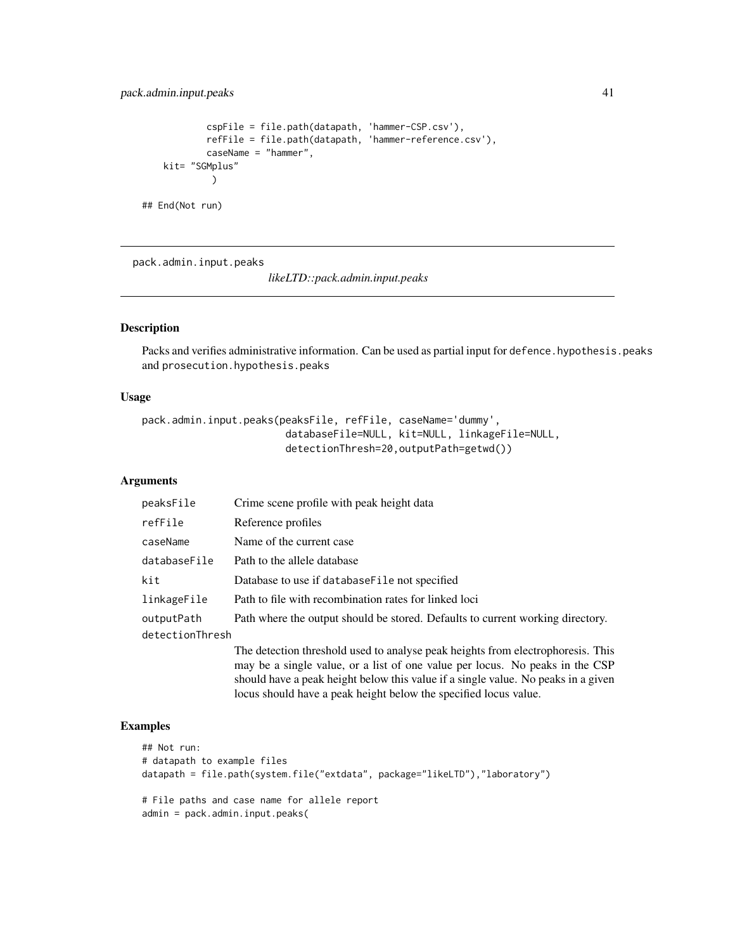```
cspFile = file.path(datapath, 'hammer-CSP.csv'),
            refFile = file.path(datapath, 'hammer-reference.csv'),
            caseName = "hammer",
   kit= "SGMplus"
            )
## End(Not run)
```
pack.admin.input.peaks

*likeLTD::pack.admin.input.peaks*

#### Description

Packs and verifies administrative information. Can be used as partial input for defence. hypothesis.peaks and prosecution.hypothesis.peaks

### Usage

```
pack.admin.input.peaks(peaksFile, refFile, caseName='dummy',
                        databaseFile=NULL, kit=NULL, linkageFile=NULL,
                        detectionThresh=20,outputPath=getwd())
```
#### Arguments

| peaksFile       | Crime scene profile with peak height data                                                                                                                                                                                                                                                                                |
|-----------------|--------------------------------------------------------------------------------------------------------------------------------------------------------------------------------------------------------------------------------------------------------------------------------------------------------------------------|
| refFile         | Reference profiles                                                                                                                                                                                                                                                                                                       |
| caseName        | Name of the current case                                                                                                                                                                                                                                                                                                 |
| databaseFile    | Path to the allele database                                                                                                                                                                                                                                                                                              |
| kit             | Database to use if database File not specified                                                                                                                                                                                                                                                                           |
| linkageFile     | Path to file with recombination rates for linked loci                                                                                                                                                                                                                                                                    |
| outputPath      | Path where the output should be stored. Defaults to current working directory.                                                                                                                                                                                                                                           |
| detectionThresh |                                                                                                                                                                                                                                                                                                                          |
|                 | The detection threshold used to analyse peak heights from electrophoresis. This<br>may be a single value, or a list of one value per locus. No peaks in the CSP<br>should have a peak height below this value if a single value. No peaks in a given<br>locus should have a peak height below the specified locus value. |

```
## Not run:
# datapath to example files
datapath = file.path(system.file("extdata", package="likeLTD"),"laboratory")
# File paths and case name for allele report
admin = pack.admin.input.peaks(
```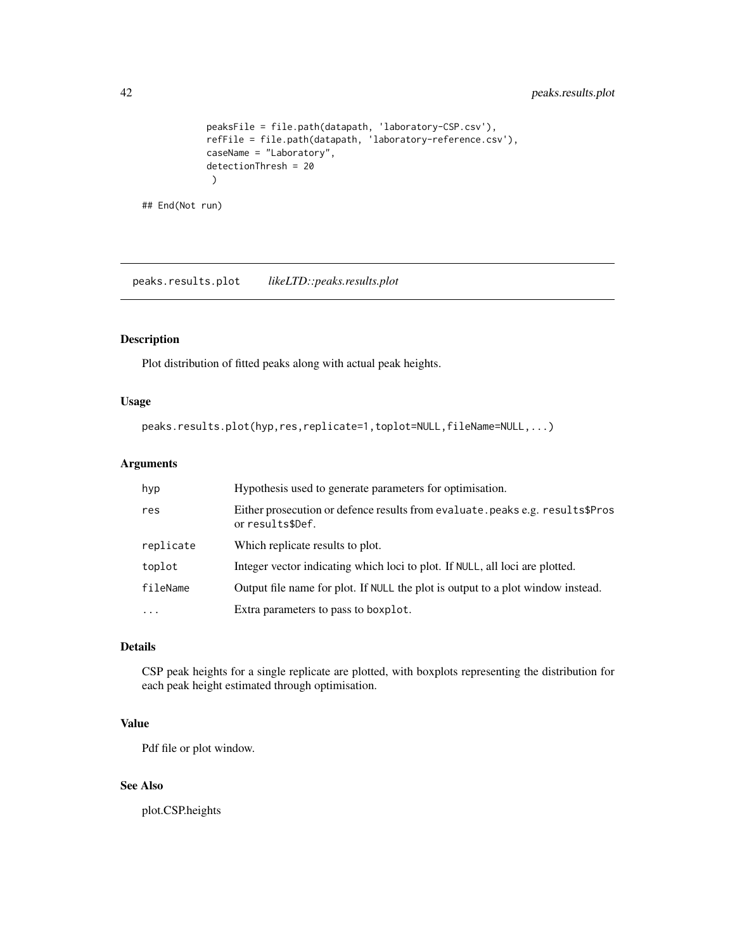```
peaksFile = file.path(datapath, 'laboratory-CSP.csv'),
            refFile = file.path(datapath, 'laboratory-reference.csv'),
            caseName = "Laboratory",
            detectionThresh = 20
            )
## End(Not run)
```
peaks.results.plot *likeLTD::peaks.results.plot*

### Description

Plot distribution of fitted peaks along with actual peak heights.

#### Usage

```
peaks.results.plot(hyp,res,replicate=1,toplot=NULL,fileName=NULL,...)
```
### Arguments

| hyp       | Hypothesis used to generate parameters for optimisation.                                          |
|-----------|---------------------------------------------------------------------------------------------------|
| res       | Either prosecution or defence results from evaluate. peaks e.g. results\$Pros<br>or results\$Def. |
| replicate | Which replicate results to plot.                                                                  |
| toplot    | Integer vector indicating which loci to plot. If NULL, all loci are plotted.                      |
| fileName  | Output file name for plot. If NULL the plot is output to a plot window instead.                   |
| $\cdots$  | Extra parameters to pass to boxplot.                                                              |

### Details

CSP peak heights for a single replicate are plotted, with boxplots representing the distribution for each peak height estimated through optimisation.

### Value

Pdf file or plot window.

### See Also

plot.CSP.heights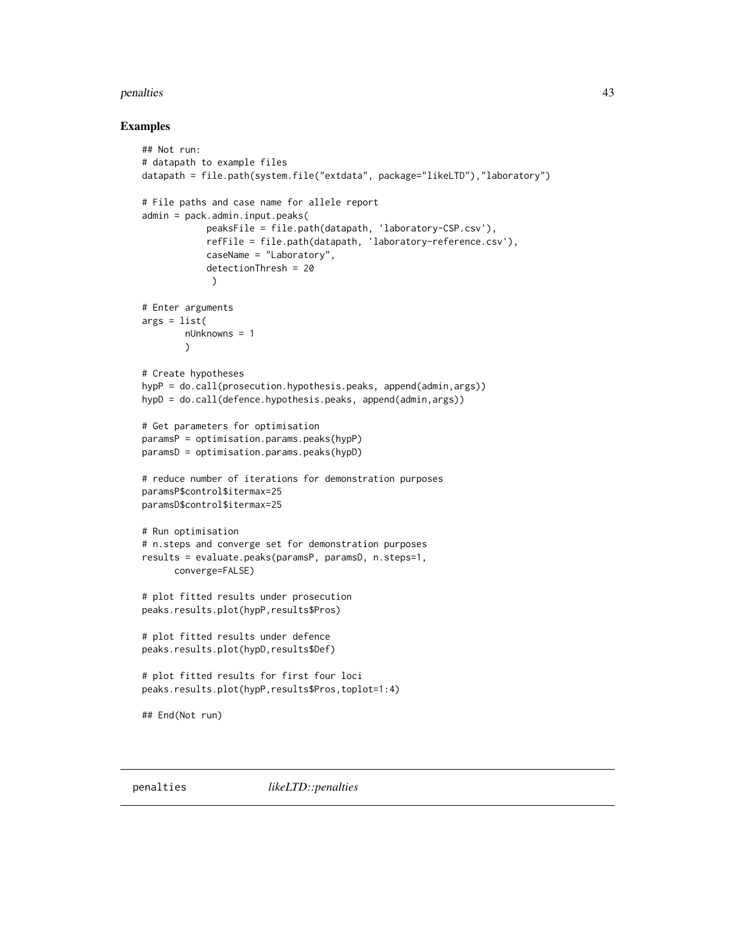#### <span id="page-42-0"></span>penalties 43

```
## Not run:
# datapath to example files
datapath = file.path(system.file("extdata", package="likeLTD"),"laboratory")
# File paths and case name for allele report
admin = pack.admin.input.peaks(
            peaksFile = file.path(datapath, 'laboratory-CSP.csv'),
            refFile = file.path(datapath, 'laboratory-reference.csv'),
            caseName = "Laboratory",
            detectionThresh = 20
             )
# Enter arguments
args = list(nUnknowns = 1
        )
# Create hypotheses
hypP = do.call(prosecution.hypothesis.peaks, append(admin,args))
hypD = do.call(defence.hypothesis.peaks, append(admin,args))
# Get parameters for optimisation
paramsP = optimisation.params.peaks(hypP)
paramsD = optimisation.params.peaks(hypD)
# reduce number of iterations for demonstration purposes
paramsP$control$itermax=25
paramsD$control$itermax=25
# Run optimisation
# n.steps and converge set for demonstration purposes
results = evaluate.peaks(paramsP, paramsD, n.steps=1,
      converge=FALSE)
# plot fitted results under prosecution
peaks.results.plot(hypP,results$Pros)
# plot fitted results under defence
peaks.results.plot(hypD,results$Def)
# plot fitted results for first four loci
peaks.results.plot(hypP,results$Pros,toplot=1:4)
## End(Not run)
```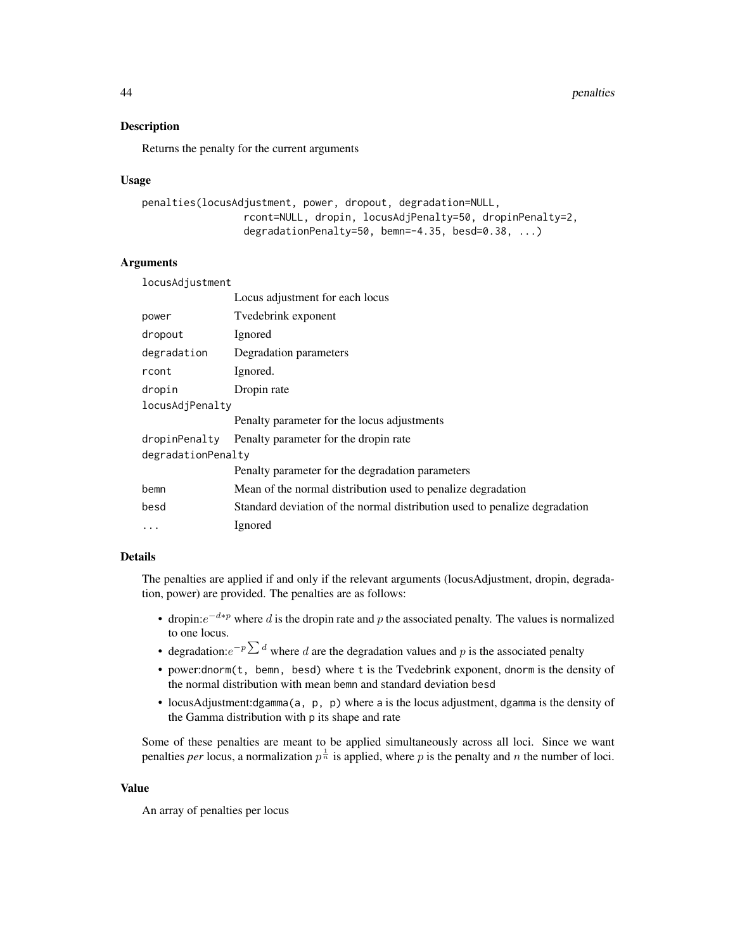44 penalties

#### **Description**

Returns the penalty for the current arguments

#### Usage

```
penalties(locusAdjustment, power, dropout, degradation=NULL,
                 rcont=NULL, dropin, locusAdjPenalty=50, dropinPenalty=2,
                 degradationPenalty=50, bemn=-4.35, besd=0.38, ...)
```
#### Arguments

| locusAdjustment    |                                                                            |  |
|--------------------|----------------------------------------------------------------------------|--|
|                    | Locus adjustment for each locus                                            |  |
| power              | Tvedebrink exponent                                                        |  |
| dropout            | Ignored                                                                    |  |
| degradation        | Degradation parameters                                                     |  |
| rcont              | Ignored.                                                                   |  |
| dropin             | Dropin rate                                                                |  |
| locusAdjPenalty    |                                                                            |  |
|                    | Penalty parameter for the locus adjustments                                |  |
| dropinPenalty      | Penalty parameter for the dropin rate                                      |  |
| degradationPenalty |                                                                            |  |
|                    | Penalty parameter for the degradation parameters                           |  |
| bemn               | Mean of the normal distribution used to penalize degradation               |  |
| besd               | Standard deviation of the normal distribution used to penalize degradation |  |
| $\ddots$           | Ignored                                                                    |  |
|                    |                                                                            |  |

### Details

The penalties are applied if and only if the relevant arguments (locusAdjustment, dropin, degradation, power) are provided. The penalties are as follows:

- dropin: $e^{-d*p}$  where d is the dropin rate and p the associated penalty. The values is normalized to one locus.
- degradation: $e^{-p\sum d}$  where d are the degradation values and p is the associated penalty
- power:dnorm(t, bemn, besd) where t is the Tvedebrink exponent, dnorm is the density of the normal distribution with mean bemn and standard deviation besd
- locusAdjustment:dgamma(a, p, p) where a is the locus adjustment, dgamma is the density of the Gamma distribution with p its shape and rate

Some of these penalties are meant to be applied simultaneously across all loci. Since we want penalties *per* locus, a normalization  $p^{\frac{1}{n}}$  is applied, where p is the penalty and n the number of loci.

#### Value

An array of penalties per locus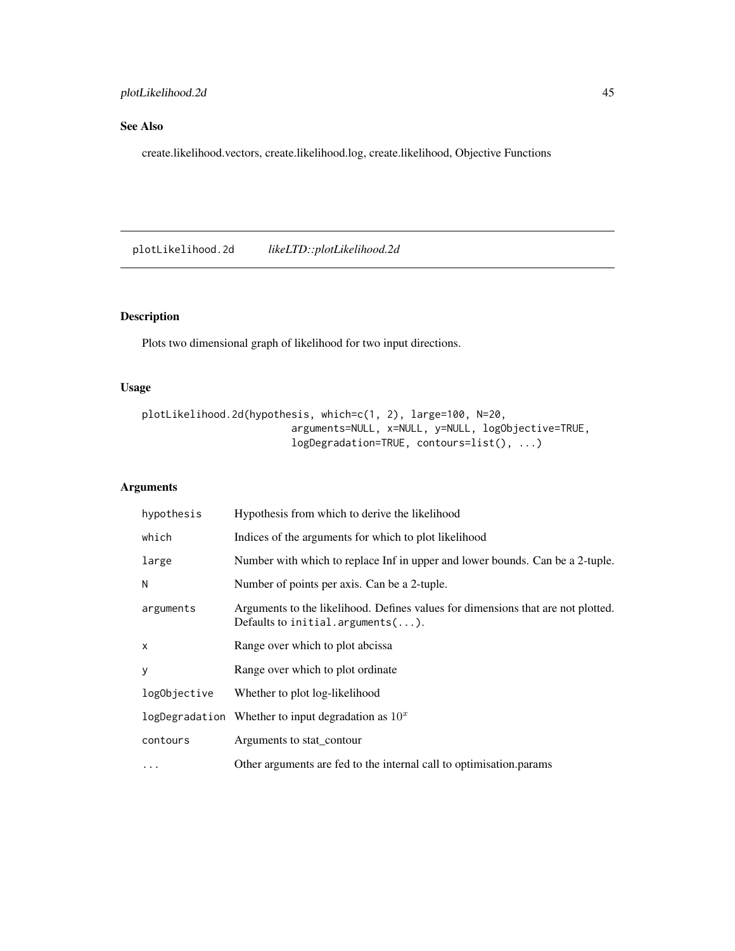### <span id="page-44-0"></span>See Also

create.likelihood.vectors, create.likelihood.log, create.likelihood, Objective Functions

plotLikelihood.2d *likeLTD::plotLikelihood.2d*

### Description

Plots two dimensional graph of likelihood for two input directions.

### Usage

```
plotLikelihood.2d(hypothesis, which=c(1, 2), large=100, N=20,
                         arguments=NULL, x=NULL, y=NULL, logObjective=TRUE,
                         logDegradation=TRUE, contours=list(), ...)
```

| hypothesis   | Hypothesis from which to derive the likelihood                                                                                 |
|--------------|--------------------------------------------------------------------------------------------------------------------------------|
| which        | Indices of the arguments for which to plot likelihood                                                                          |
| large        | Number with which to replace Inf in upper and lower bounds. Can be a 2-tuple.                                                  |
| N            | Number of points per axis. Can be a 2-tuple.                                                                                   |
| arguments    | Arguments to the likelihood. Defines values for dimensions that are not plotted.<br>Defaults to initial.arguments $(\ldots)$ . |
| X            | Range over which to plot abcissa                                                                                               |
| У            | Range over which to plot ordinate                                                                                              |
| logObjective | Whether to plot log-likelihood                                                                                                 |
|              | logDegradation Whether to input degradation as $10x$                                                                           |
| contours     | Arguments to stat_contour                                                                                                      |
| $\cdots$     | Other arguments are fed to the internal call to optimisation. params                                                           |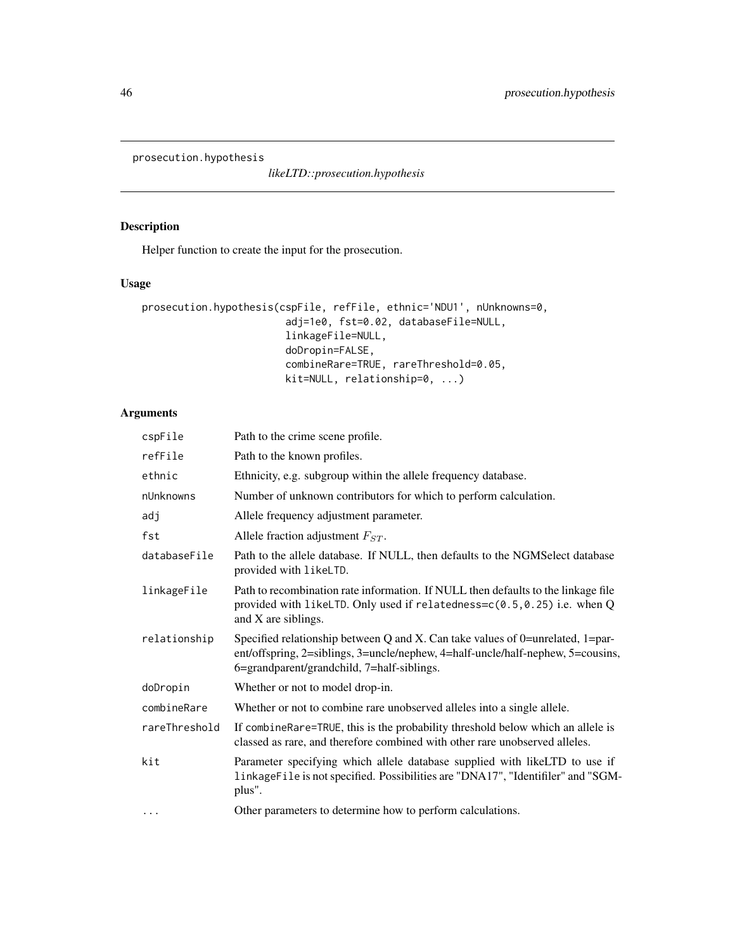<span id="page-45-0"></span>prosecution.hypothesis

*likeLTD::prosecution.hypothesis*

### Description

Helper function to create the input for the prosecution.

### Usage

```
prosecution.hypothesis(cspFile, refFile, ethnic='NDU1', nUnknowns=0,
                        adj=1e0, fst=0.02, databaseFile=NULL,
                        linkageFile=NULL,
                        doDropin=FALSE,
                        combineRare=TRUE, rareThreshold=0.05,
                        kit=NULL, relationship=0, ...)
```

| cspFile       | Path to the crime scene profile.                                                                                                                                                                                |
|---------------|-----------------------------------------------------------------------------------------------------------------------------------------------------------------------------------------------------------------|
| refFile       | Path to the known profiles.                                                                                                                                                                                     |
| ethnic        | Ethnicity, e.g. subgroup within the allele frequency database.                                                                                                                                                  |
| nUnknowns     | Number of unknown contributors for which to perform calculation.                                                                                                                                                |
| adj           | Allele frequency adjustment parameter.                                                                                                                                                                          |
| fst           | Allele fraction adjustment $F_{ST}$ .                                                                                                                                                                           |
| databaseFile  | Path to the allele database. If NULL, then defaults to the NGMS elect database<br>provided with likeLTD.                                                                                                        |
| linkageFile   | Path to recombination rate information. If NULL then defaults to the linkage file<br>provided with likeLTD. Only used if relatedness= $c(0.5, 0.25)$ i.e. when Q<br>and X are siblings.                         |
| relationship  | Specified relationship between Q and X. Can take values of 0=unrelated, 1=par-<br>ent/offspring, 2=siblings, 3=uncle/nephew, 4=half-uncle/half-nephew, 5=cousins,<br>6=grandparent/grandchild, 7=half-siblings. |
| doDropin      | Whether or not to model drop-in.                                                                                                                                                                                |
| combineRare   | Whether or not to combine rare unobserved alleles into a single allele.                                                                                                                                         |
| rareThreshold | If combineRare=TRUE, this is the probability threshold below which an allele is<br>classed as rare, and therefore combined with other rare unobserved alleles.                                                  |
| kit           | Parameter specifying which allele database supplied with likeLTD to use if<br>linkageFile is not specified. Possibilities are "DNA17", "Identifiler" and "SGM-<br>plus".                                        |
| $\cdots$      | Other parameters to determine how to perform calculations.                                                                                                                                                      |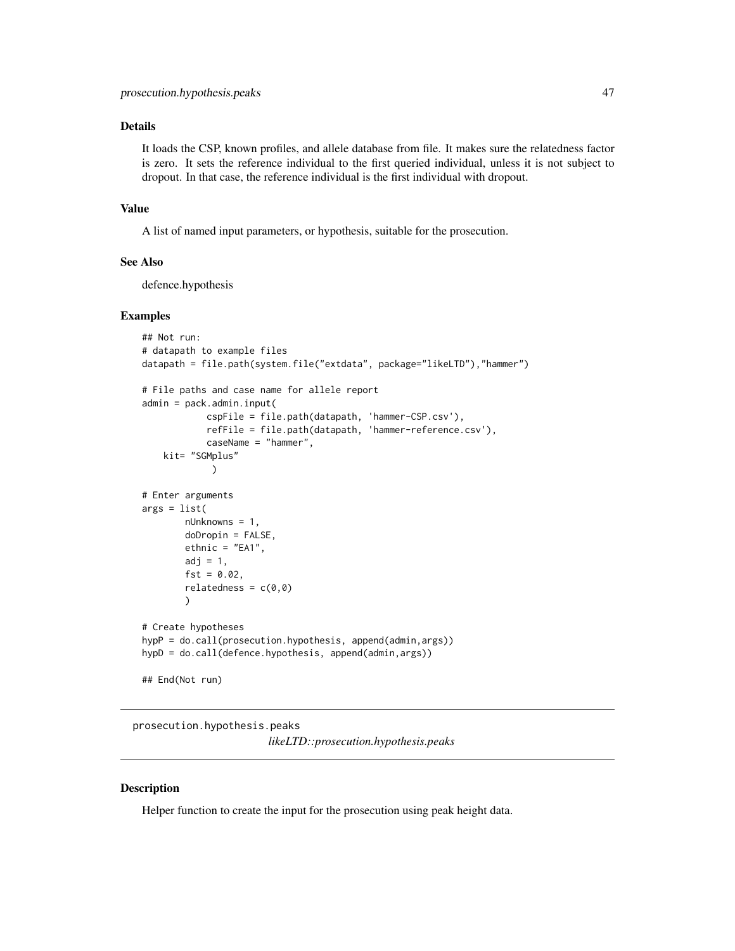### <span id="page-46-0"></span>Details

It loads the CSP, known profiles, and allele database from file. It makes sure the relatedness factor is zero. It sets the reference individual to the first queried individual, unless it is not subject to dropout. In that case, the reference individual is the first individual with dropout.

#### Value

A list of named input parameters, or hypothesis, suitable for the prosecution.

#### See Also

defence.hypothesis

#### Examples

```
## Not run:
# datapath to example files
datapath = file.path(system.file("extdata", package="likeLTD"),"hammer")
# File paths and case name for allele report
admin = pack.admin.input(
            cspFile = file.path(datapath, 'hammer-CSP.csv'),
            refFile = file.path(datapath, 'hammer-reference.csv'),
            caseName = "hammer",
   kit= "SGMplus"
             )
# Enter arguments
args = list(
       nUnknowns = 1,
        doDropin = FALSE,
        ethnic = "EA1",adj = 1,fst = 0.02,
        relatedness = c(0,0))
# Create hypotheses
hypP = do.call(prosecution.hypothesis, append(admin,args))
hypD = do.call(defence.hypothesis, append(admin,args))
## End(Not run)
```
prosecution.hypothesis.peaks

*likeLTD::prosecution.hypothesis.peaks*

#### Description

Helper function to create the input for the prosecution using peak height data.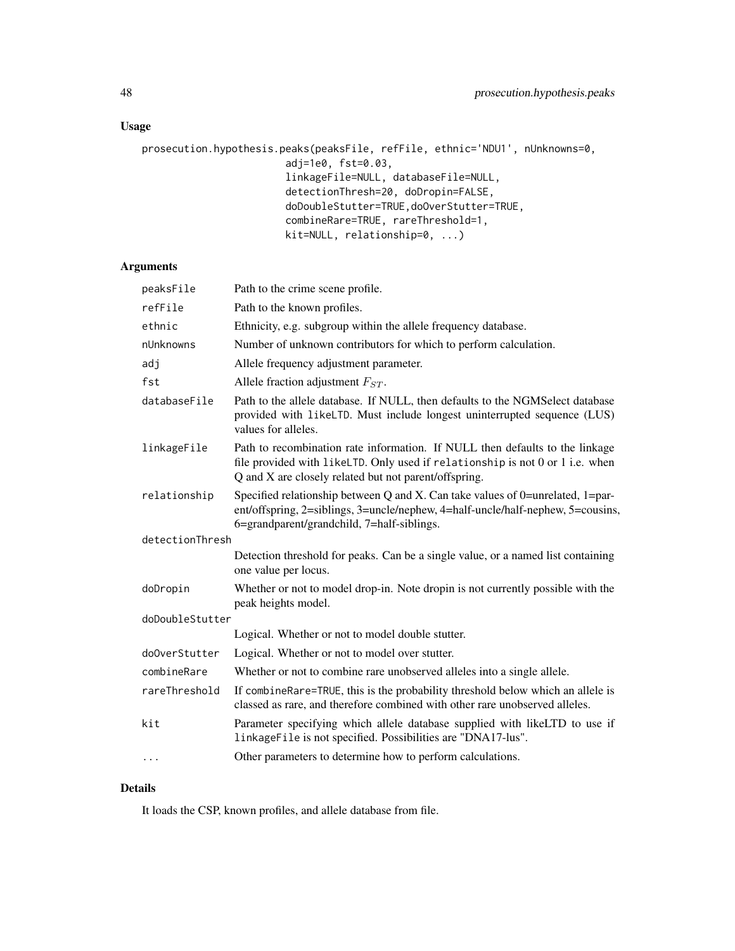### Usage

```
prosecution.hypothesis.peaks(peaksFile, refFile, ethnic='NDU1', nUnknowns=0,
                        adj=1e0, fst=0.03,
                        linkageFile=NULL, databaseFile=NULL,
                        detectionThresh=20, doDropin=FALSE,
                        doDoubleStutter=TRUE,doOverStutter=TRUE,
                        combineRare=TRUE, rareThreshold=1,
                        kit=NULL, relationship=0, ...)
```
### Arguments

| peaksFile       | Path to the crime scene profile.                                                                                                                                                                                       |
|-----------------|------------------------------------------------------------------------------------------------------------------------------------------------------------------------------------------------------------------------|
| refFile         | Path to the known profiles.                                                                                                                                                                                            |
| ethnic          | Ethnicity, e.g. subgroup within the allele frequency database.                                                                                                                                                         |
| nUnknowns       | Number of unknown contributors for which to perform calculation.                                                                                                                                                       |
| adj             | Allele frequency adjustment parameter.                                                                                                                                                                                 |
| fst             | Allele fraction adjustment $F_{ST}$ .                                                                                                                                                                                  |
| databaseFile    | Path to the allele database. If NULL, then defaults to the NGMSelect database<br>provided with likeLTD. Must include longest uninterrupted sequence (LUS)<br>values for alleles.                                       |
| linkageFile     | Path to recombination rate information. If NULL then defaults to the linkage<br>file provided with likeLTD. Only used if relationship is not 0 or 1 i.e. when<br>Q and X are closely related but not parent/offspring. |
| relationship    | Specified relationship between Q and X. Can take values of 0=unrelated, 1=par-<br>ent/offspring, 2=siblings, 3=uncle/nephew, 4=half-uncle/half-nephew, 5=cousins,<br>6=grandparent/grandchild, 7=half-siblings.        |
| detectionThresh |                                                                                                                                                                                                                        |
|                 | Detection threshold for peaks. Can be a single value, or a named list containing<br>one value per locus.                                                                                                               |
| doDropin        | Whether or not to model drop-in. Note dropin is not currently possible with the<br>peak heights model.                                                                                                                 |
| doDoubleStutter |                                                                                                                                                                                                                        |
|                 | Logical. Whether or not to model double stutter.                                                                                                                                                                       |
| do0verStutter   | Logical. Whether or not to model over stutter.                                                                                                                                                                         |
| combineRare     | Whether or not to combine rare unobserved alleles into a single allele.                                                                                                                                                |
| rareThreshold   | If combineRare=TRUE, this is the probability threshold below which an allele is<br>classed as rare, and therefore combined with other rare unobserved alleles.                                                         |
| kit             | Parameter specifying which allele database supplied with likeLTD to use if<br>linkageFile is not specified. Possibilities are "DNA17-lus".                                                                             |
| $\cdots$        | Other parameters to determine how to perform calculations.                                                                                                                                                             |
|                 |                                                                                                                                                                                                                        |

### Details

It loads the CSP, known profiles, and allele database from file.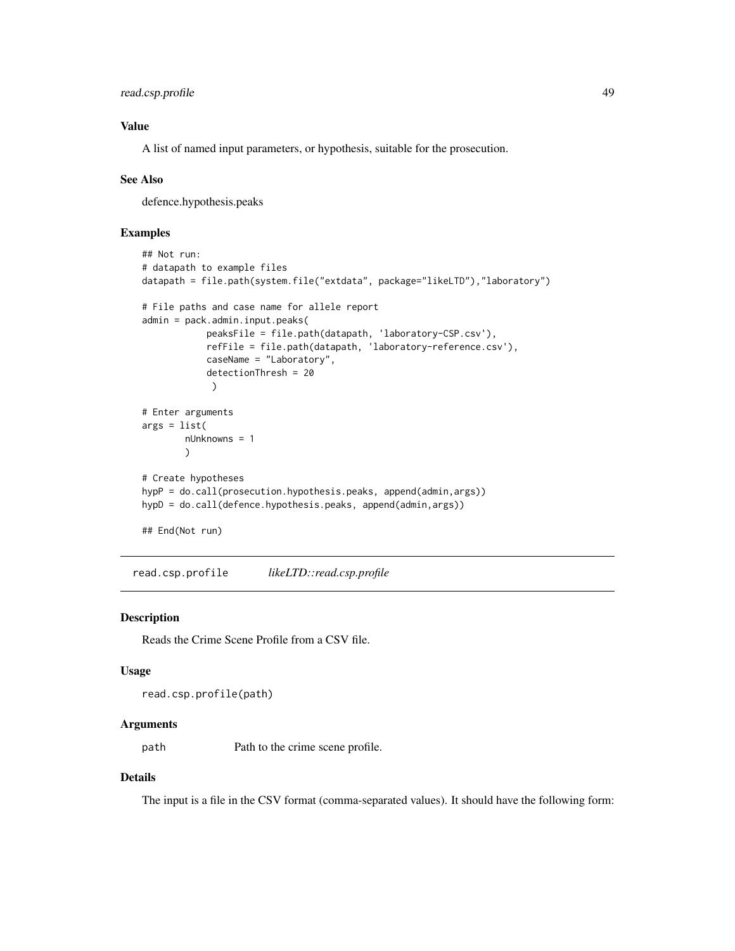```
read.csp.profile 49
```
### Value

A list of named input parameters, or hypothesis, suitable for the prosecution.

### See Also

defence.hypothesis.peaks

#### Examples

```
## Not run:
# datapath to example files
datapath = file.path(system.file("extdata", package="likeLTD"),"laboratory")
# File paths and case name for allele report
admin = pack.admin.input.peaks(
            peaksFile = file.path(datapath, 'laboratory-CSP.csv'),
            refFile = file.path(datapath, 'laboratory-reference.csv'),
            caseName = "Laboratory",
            detectionThresh = 20
             )
# Enter arguments
args = list(nUnknowns = 1
        )
# Create hypotheses
hypP = do.call(prosecution.hypothesis.peaks, append(admin,args))
hypD = do.call(defence.hypothesis.peaks, append(admin,args))
## End(Not run)
```
read.csp.profile *likeLTD::read.csp.profile*

#### Description

Reads the Crime Scene Profile from a CSV file.

#### Usage

```
read.csp.profile(path)
```
#### Arguments

path Path to the crime scene profile.

#### Details

The input is a file in the CSV format (comma-separated values). It should have the following form: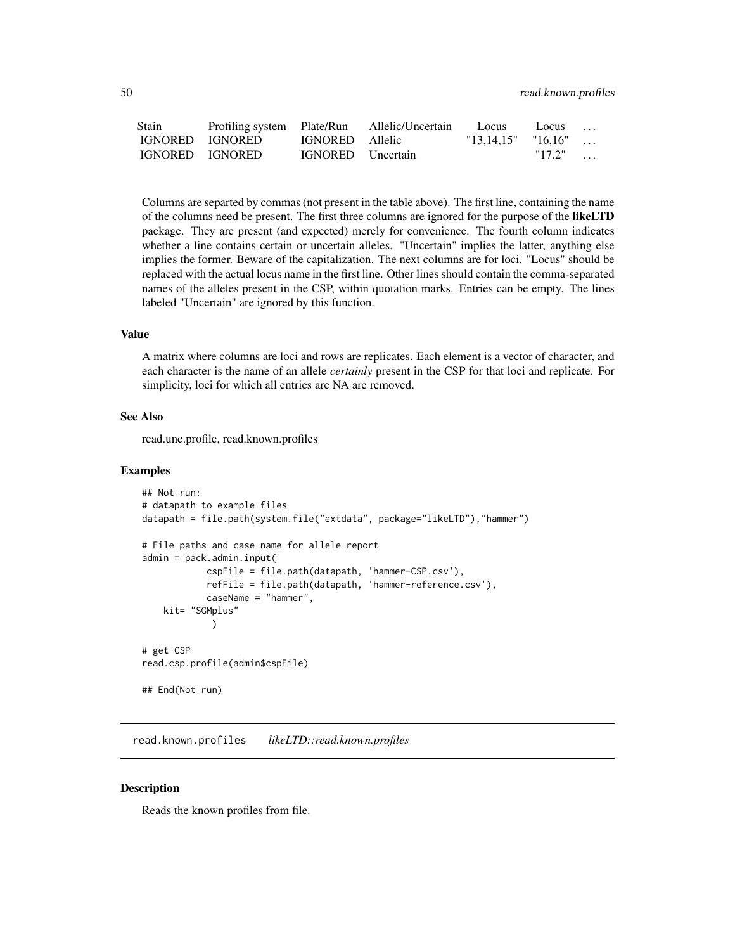<span id="page-49-0"></span>

| Stain           |                 |                          | Profiling system Plate/Run Allelic/Uncertain Locus |                        | $\sim$ Locus |  |
|-----------------|-----------------|--------------------------|----------------------------------------------------|------------------------|--------------|--|
|                 | IGNORED IGNORED | IGNORED Allelic          |                                                    | $"13.14.15"$ $"16.16"$ |              |  |
| IGNORED IGNORED |                 | <b>IGNORED</b> Uncertain |                                                    |                        | $"17.2"$     |  |

Columns are separted by commas (not present in the table above). The first line, containing the name of the columns need be present. The first three columns are ignored for the purpose of the likeLTD package. They are present (and expected) merely for convenience. The fourth column indicates whether a line contains certain or uncertain alleles. "Uncertain" implies the latter, anything else implies the former. Beware of the capitalization. The next columns are for loci. "Locus" should be replaced with the actual locus name in the first line. Other lines should contain the comma-separated names of the alleles present in the CSP, within quotation marks. Entries can be empty. The lines labeled "Uncertain" are ignored by this function.

#### Value

A matrix where columns are loci and rows are replicates. Each element is a vector of character, and each character is the name of an allele *certainly* present in the CSP for that loci and replicate. For simplicity, loci for which all entries are NA are removed.

### See Also

read.unc.profile, read.known.profiles

#### Examples

```
## Not run:
# datapath to example files
datapath = file.path(system.file("extdata", package="likeLTD"),"hammer")
# File paths and case name for allele report
admin = pack.admin.input(
            cspFile = file.path(datapath, 'hammer-CSP.csv'),
            refFile = file.path(datapath, 'hammer-reference.csv'),
            caseName = "hammer",
   kit= "SGMplus"
             )
# get CSP
read.csp.profile(admin$cspFile)
## End(Not run)
```
read.known.profiles *likeLTD::read.known.profiles*

#### Description

Reads the known profiles from file.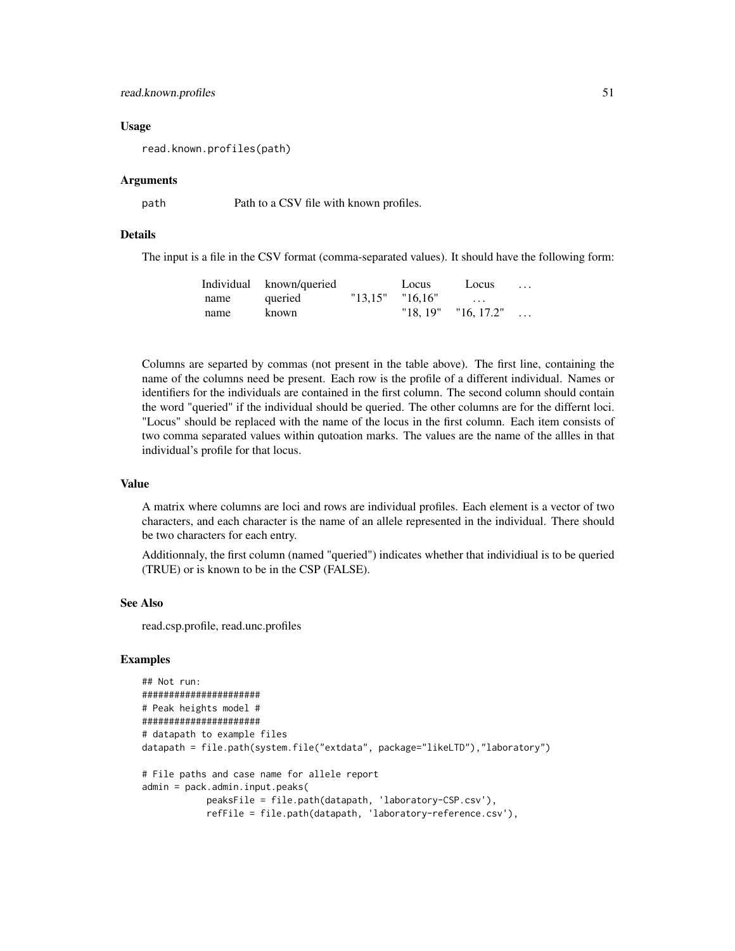#### read.known.profiles 51

#### Usage

read.known.profiles(path)

#### Arguments

path Path to a CSV file with known profiles.

#### Details

The input is a file in the CSV format (comma-separated values). It should have the following form:

|      | Individual known/queried |                     | Locus   | Locus              | . |
|------|--------------------------|---------------------|---------|--------------------|---|
| name | queried                  | $"13.15"$ $"16.16"$ |         | $\cdots$           |   |
| name | known                    |                     | "18.19" | $"16, 17.2" \dots$ |   |

Columns are separted by commas (not present in the table above). The first line, containing the name of the columns need be present. Each row is the profile of a different individual. Names or identifiers for the individuals are contained in the first column. The second column should contain the word "queried" if the individual should be queried. The other columns are for the differnt loci. "Locus" should be replaced with the name of the locus in the first column. Each item consists of two comma separated values within qutoation marks. The values are the name of the allles in that individual's profile for that locus.

#### Value

A matrix where columns are loci and rows are individual profiles. Each element is a vector of two characters, and each character is the name of an allele represented in the individual. There should be two characters for each entry.

Additionnaly, the first column (named "queried") indicates whether that individiual is to be queried (TRUE) or is known to be in the CSP (FALSE).

#### See Also

read.csp.profile, read.unc.profiles

```
## Not run:
######################
# Peak heights model #
######################
# datapath to example files
datapath = file.path(system.file("extdata", package="likeLTD"),"laboratory")
# File paths and case name for allele report
admin = pack.admin.input.peaks(
            peaksFile = file.path(datapath, 'laboratory-CSP.csv'),
            refFile = file.path(datapath, 'laboratory-reference.csv'),
```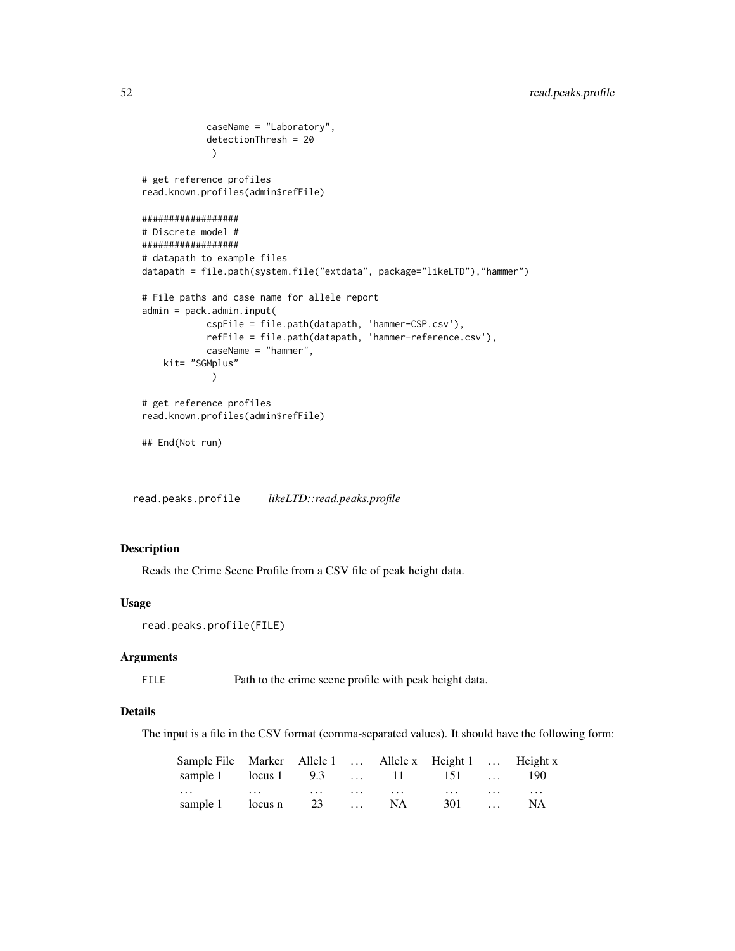```
caseName = "Laboratory",
            detectionThresh = 20
            )
# get reference profiles
read.known.profiles(admin$refFile)
##################
# Discrete model #
##################
# datapath to example files
datapath = file.path(system.file("extdata", package="likeLTD"),"hammer")
# File paths and case name for allele report
admin = pack.admin.input(
            cspFile = file.path(datapath, 'hammer-CSP.csv'),
            refFile = file.path(datapath, 'hammer-reference.csv'),
            caseName = "hammer",
   kit= "SGMplus"
            )
# get reference profiles
read.known.profiles(admin$refFile)
## End(Not run)
```
read.peaks.profile *likeLTD::read.peaks.profile*

### Description

Reads the Crime Scene Profile from a CSV file of peak height data.

#### Usage

```
read.peaks.profile(FILE)
```
#### Arguments

FILE Path to the crime scene profile with peak height data.

#### Details

The input is a file in the CSV format (comma-separated values). It should have the following form:

| Sample File Marker Allele 1  Allele x Height 1  Height x                                                                                                                                                                         |  |  |  |  |
|----------------------------------------------------------------------------------------------------------------------------------------------------------------------------------------------------------------------------------|--|--|--|--|
| sample 1 locus 1 9.3  11 151  190                                                                                                                                                                                                |  |  |  |  |
| $\mathbf{r}$ , and the set of the set of the set of the set of the set of the set of the set of the set of the set of the set of the set of the set of the set of the set of the set of the set of the set of the set of the set |  |  |  |  |
| sample 1 locus n 23  NA 301  NA                                                                                                                                                                                                  |  |  |  |  |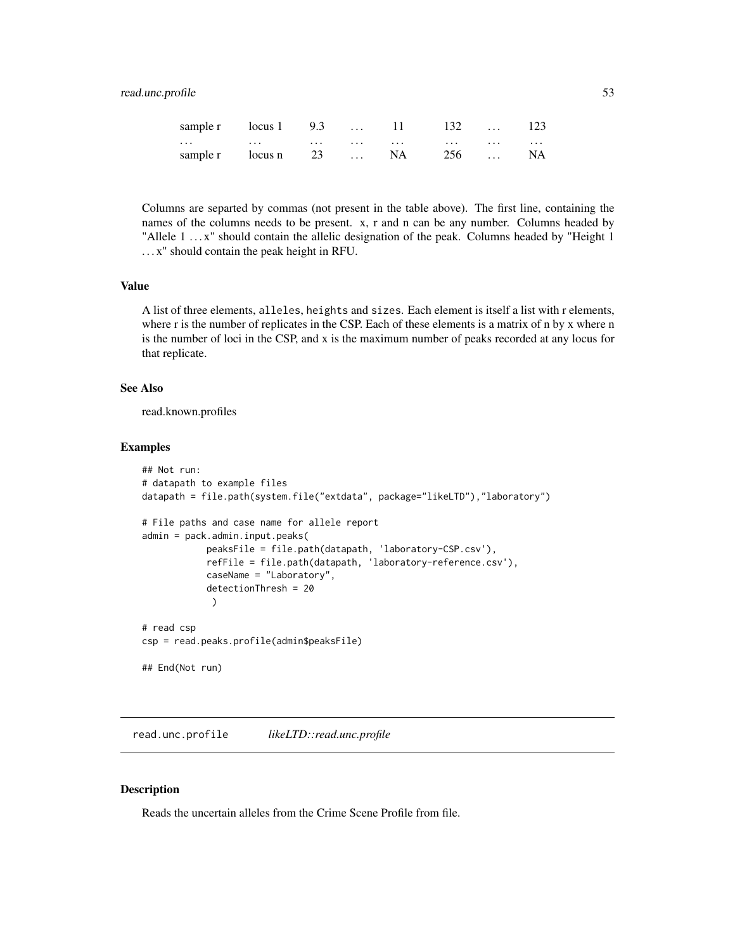### <span id="page-52-0"></span>read.unc.profile 53

|          | sample r locus 1 9.3  11 132  123                                                                                                                                                                                              |  |  |  |
|----------|--------------------------------------------------------------------------------------------------------------------------------------------------------------------------------------------------------------------------------|--|--|--|
| $\cdots$ | المتماد المتحدث المتحدث المتحدث المتحدث المتحدث المنافس والمنافس والمنافس والمنافس والمنافس والمنافس والمنافس والمنافس والمنافس والمستقرب والمنافس والمستقرب والمستقرب والمستقرب والمستقرب والمستقرب والمستقرب والمستقرب والمس |  |  |  |
|          | sample r locus n 23  NA 256  NA                                                                                                                                                                                                |  |  |  |

Columns are separted by commas (not present in the table above). The first line, containing the names of the columns needs to be present. x, r and n can be any number. Columns headed by "Allele 1 . . . x" should contain the allelic designation of the peak. Columns headed by "Height 1 . . . x" should contain the peak height in RFU.

### Value

A list of three elements, alleles, heights and sizes. Each element is itself a list with r elements, where r is the number of replicates in the CSP. Each of these elements is a matrix of n by x where n is the number of loci in the CSP, and x is the maximum number of peaks recorded at any locus for that replicate.

#### See Also

read.known.profiles

#### Examples

```
## Not run:
# datapath to example files
datapath = file.path(system.file("extdata", package="likeLTD"),"laboratory")
# File paths and case name for allele report
admin = pack.admin.input.peaks(
            peaksFile = file.path(datapath, 'laboratory-CSP.csv'),
            refFile = file.path(datapath, 'laboratory-reference.csv'),
            caseName = "Laboratory",
            detectionThresh = 20
             )
# read csp
csp = read.peaks.profile(admin$peaksFile)
## End(Not run)
```
read.unc.profile *likeLTD::read.unc.profile*

#### Description

Reads the uncertain alleles from the Crime Scene Profile from file.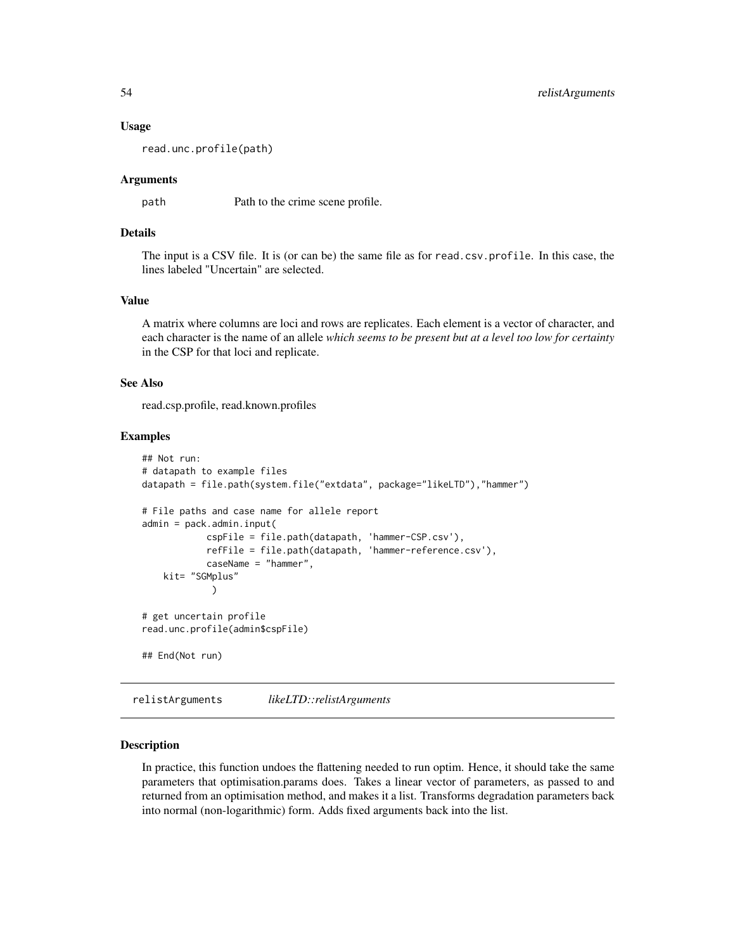#### Usage

read.unc.profile(path)

#### Arguments

path Path to the crime scene profile.

### Details

The input is a CSV file. It is (or can be) the same file as for read.csv.profile. In this case, the lines labeled "Uncertain" are selected.

#### Value

A matrix where columns are loci and rows are replicates. Each element is a vector of character, and each character is the name of an allele *which seems to be present but at a level too low for certainty* in the CSP for that loci and replicate.

#### See Also

read.csp.profile, read.known.profiles

#### Examples

```
## Not run:
# datapath to example files
datapath = file.path(system.file("extdata", package="likeLTD"),"hammer")
# File paths and case name for allele report
admin = pack.admin.input(
            cspFile = file.path(datapath, 'hammer-CSP.csv'),
            refFile = file.path(datapath, 'hammer-reference.csv'),
            caseName = "hammer",
   kit= "SGMplus"
             )
# get uncertain profile
read.unc.profile(admin$cspFile)
## End(Not run)
```
relistArguments *likeLTD::relistArguments*

#### Description

In practice, this function undoes the flattening needed to run optim. Hence, it should take the same parameters that optimisation.params does. Takes a linear vector of parameters, as passed to and returned from an optimisation method, and makes it a list. Transforms degradation parameters back into normal (non-logarithmic) form. Adds fixed arguments back into the list.

<span id="page-53-0"></span>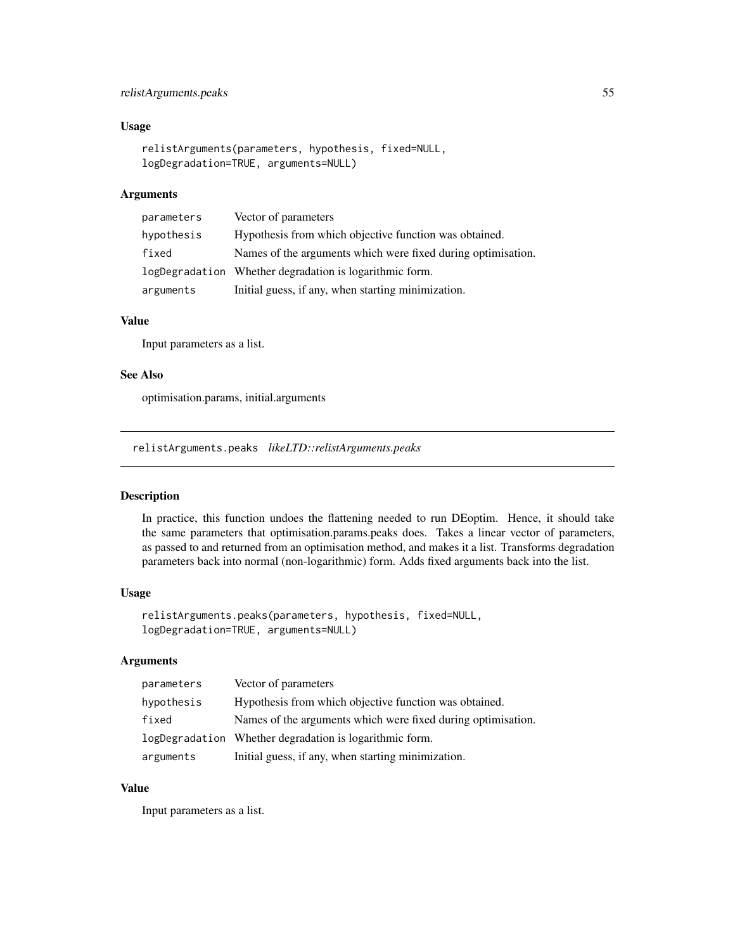### <span id="page-54-0"></span>relistArguments.peaks 55

### Usage

```
relistArguments(parameters, hypothesis, fixed=NULL,
logDegradation=TRUE, arguments=NULL)
```
### Arguments

| parameters | Vector of parameters                                         |
|------------|--------------------------------------------------------------|
| hypothesis | Hypothesis from which objective function was obtained.       |
| fixed      | Names of the arguments which were fixed during optimisation. |
|            | logDegradation Whether degradation is logarithmic form.      |
| arguments  | Initial guess, if any, when starting minimization.           |

### Value

Input parameters as a list.

#### See Also

optimisation.params, initial.arguments

relistArguments.peaks *likeLTD::relistArguments.peaks*

### Description

In practice, this function undoes the flattening needed to run DEoptim. Hence, it should take the same parameters that optimisation.params.peaks does. Takes a linear vector of parameters, as passed to and returned from an optimisation method, and makes it a list. Transforms degradation parameters back into normal (non-logarithmic) form. Adds fixed arguments back into the list.

#### Usage

```
relistArguments.peaks(parameters, hypothesis, fixed=NULL,
logDegradation=TRUE, arguments=NULL)
```
### Arguments

| parameters | Vector of parameters                                         |
|------------|--------------------------------------------------------------|
| hypothesis | Hypothesis from which objective function was obtained.       |
| fixed      | Names of the arguments which were fixed during optimisation. |
|            | logDegradation Whether degradation is logarithmic form.      |
| arguments  | Initial guess, if any, when starting minimization.           |

### Value

Input parameters as a list.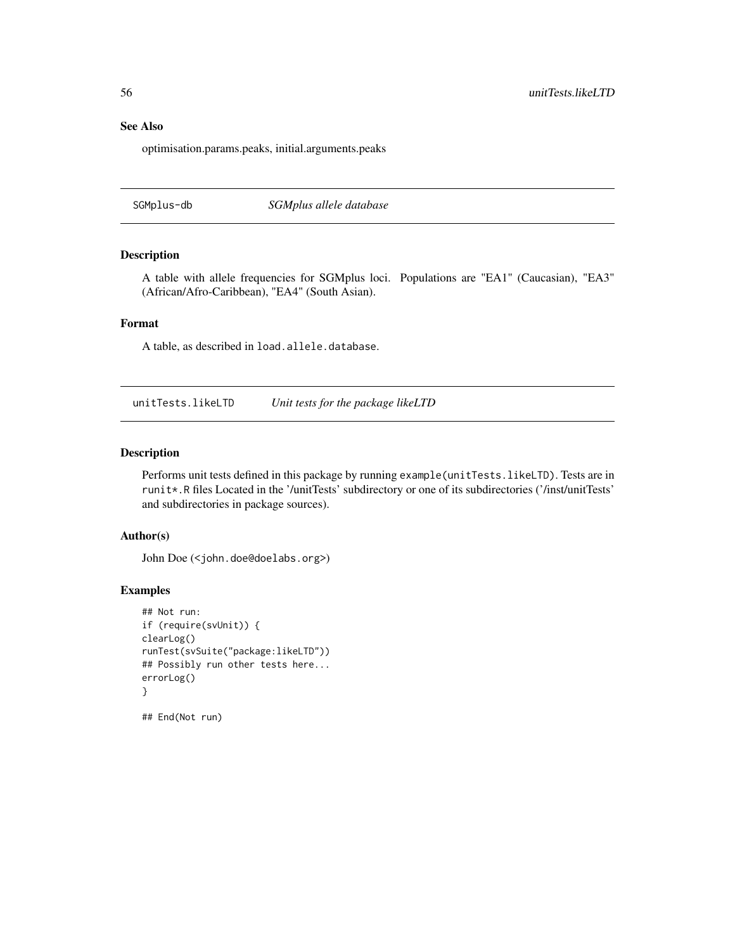### See Also

optimisation.params.peaks, initial.arguments.peaks

SGMplus-db *SGMplus allele database*

#### Description

A table with allele frequencies for SGMplus loci. Populations are "EA1" (Caucasian), "EA3" (African/Afro-Caribbean), "EA4" (South Asian).

#### Format

A table, as described in load.allele.database.

unitTests.likeLTD *Unit tests for the package likeLTD*

#### Description

Performs unit tests defined in this package by running example(unitTests.likeLTD). Tests are in runit\*.R files Located in the '/unitTests' subdirectory or one of its subdirectories ('/inst/unitTests' and subdirectories in package sources).

#### Author(s)

John Doe (<john.doe@doelabs.org>)

#### Examples

```
## Not run:
if (require(svUnit)) {
clearLog()
runTest(svSuite("package:likeLTD"))
## Possibly run other tests here...
errorLog()
}
```
## End(Not run)

<span id="page-55-0"></span>